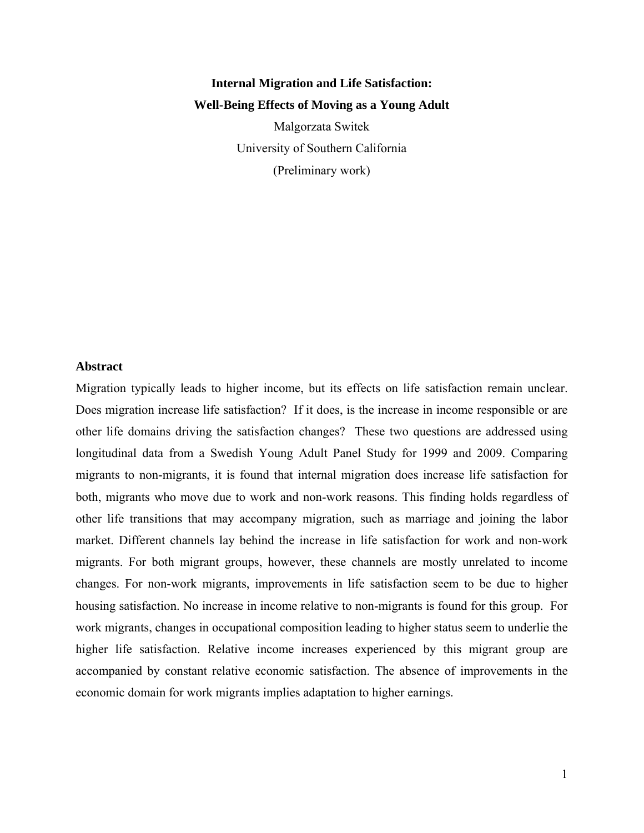# **Internal Migration and Life Satisfaction: Well-Being Effects of Moving as a Young Adult**

Malgorzata Switek University of Southern California (Preliminary work)

#### **Abstract**

Migration typically leads to higher income, but its effects on life satisfaction remain unclear. Does migration increase life satisfaction? If it does, is the increase in income responsible or are other life domains driving the satisfaction changes? These two questions are addressed using longitudinal data from a Swedish Young Adult Panel Study for 1999 and 2009. Comparing migrants to non-migrants, it is found that internal migration does increase life satisfaction for both, migrants who move due to work and non-work reasons. This finding holds regardless of other life transitions that may accompany migration, such as marriage and joining the labor market. Different channels lay behind the increase in life satisfaction for work and non-work migrants. For both migrant groups, however, these channels are mostly unrelated to income changes. For non-work migrants, improvements in life satisfaction seem to be due to higher housing satisfaction. No increase in income relative to non-migrants is found for this group. For work migrants, changes in occupational composition leading to higher status seem to underlie the higher life satisfaction. Relative income increases experienced by this migrant group are accompanied by constant relative economic satisfaction. The absence of improvements in the economic domain for work migrants implies adaptation to higher earnings.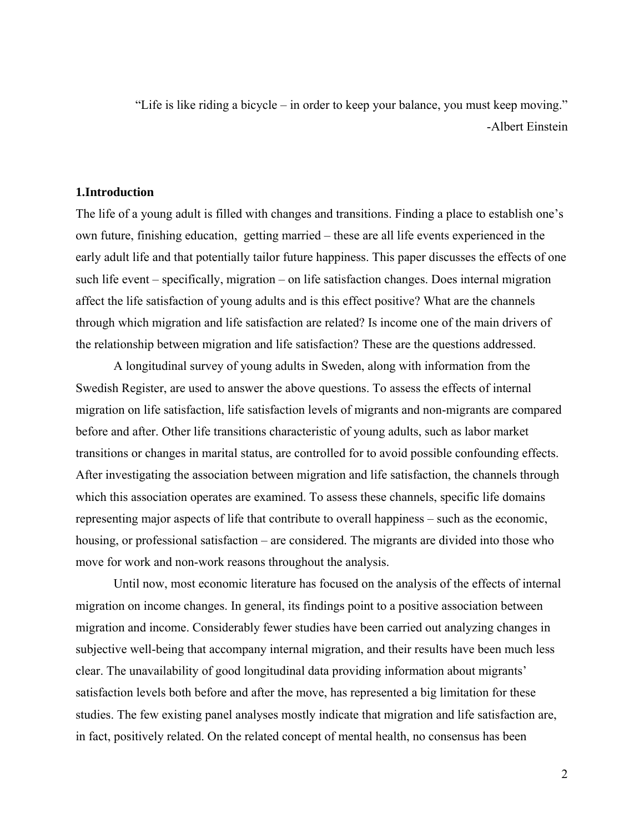"Life is like riding a bicycle – in order to keep your balance, you must keep moving." -Albert Einstein

#### **1.Introduction**

The life of a young adult is filled with changes and transitions. Finding a place to establish one's own future, finishing education, getting married – these are all life events experienced in the early adult life and that potentially tailor future happiness. This paper discusses the effects of one such life event – specifically, migration – on life satisfaction changes. Does internal migration affect the life satisfaction of young adults and is this effect positive? What are the channels through which migration and life satisfaction are related? Is income one of the main drivers of the relationship between migration and life satisfaction? These are the questions addressed.

 A longitudinal survey of young adults in Sweden, along with information from the Swedish Register, are used to answer the above questions. To assess the effects of internal migration on life satisfaction, life satisfaction levels of migrants and non-migrants are compared before and after. Other life transitions characteristic of young adults, such as labor market transitions or changes in marital status, are controlled for to avoid possible confounding effects. After investigating the association between migration and life satisfaction, the channels through which this association operates are examined. To assess these channels, specific life domains representing major aspects of life that contribute to overall happiness – such as the economic, housing, or professional satisfaction – are considered. The migrants are divided into those who move for work and non-work reasons throughout the analysis.

 Until now, most economic literature has focused on the analysis of the effects of internal migration on income changes. In general, its findings point to a positive association between migration and income. Considerably fewer studies have been carried out analyzing changes in subjective well-being that accompany internal migration, and their results have been much less clear. The unavailability of good longitudinal data providing information about migrants' satisfaction levels both before and after the move, has represented a big limitation for these studies. The few existing panel analyses mostly indicate that migration and life satisfaction are, in fact, positively related. On the related concept of mental health, no consensus has been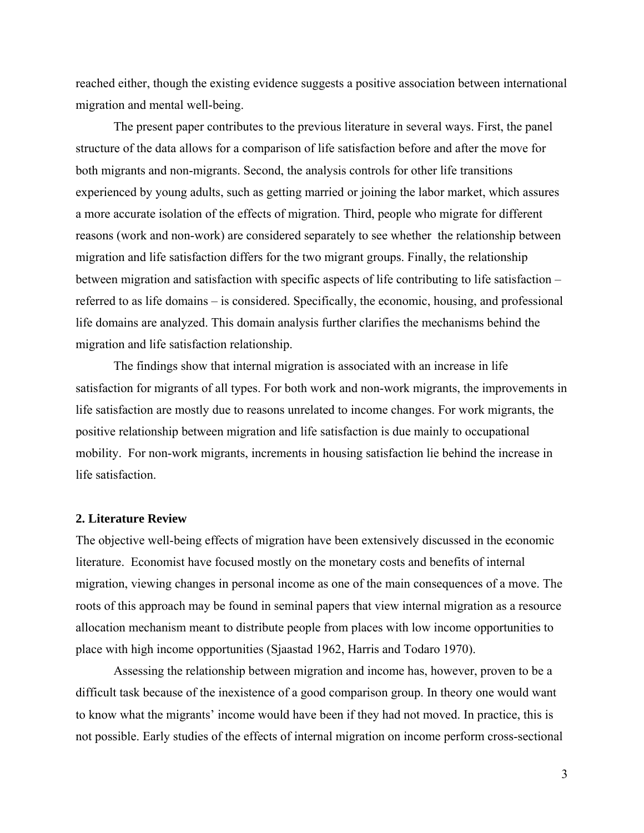reached either, though the existing evidence suggests a positive association between international migration and mental well-being.

The present paper contributes to the previous literature in several ways. First, the panel structure of the data allows for a comparison of life satisfaction before and after the move for both migrants and non-migrants. Second, the analysis controls for other life transitions experienced by young adults, such as getting married or joining the labor market, which assures a more accurate isolation of the effects of migration. Third, people who migrate for different reasons (work and non-work) are considered separately to see whether the relationship between migration and life satisfaction differs for the two migrant groups. Finally, the relationship between migration and satisfaction with specific aspects of life contributing to life satisfaction – referred to as life domains – is considered. Specifically, the economic, housing, and professional life domains are analyzed. This domain analysis further clarifies the mechanisms behind the migration and life satisfaction relationship.

The findings show that internal migration is associated with an increase in life satisfaction for migrants of all types. For both work and non-work migrants, the improvements in life satisfaction are mostly due to reasons unrelated to income changes. For work migrants, the positive relationship between migration and life satisfaction is due mainly to occupational mobility. For non-work migrants, increments in housing satisfaction lie behind the increase in life satisfaction.

#### **2. Literature Review**

The objective well-being effects of migration have been extensively discussed in the economic literature. Economist have focused mostly on the monetary costs and benefits of internal migration, viewing changes in personal income as one of the main consequences of a move. The roots of this approach may be found in seminal papers that view internal migration as a resource allocation mechanism meant to distribute people from places with low income opportunities to place with high income opportunities (Sjaastad 1962, Harris and Todaro 1970).

Assessing the relationship between migration and income has, however, proven to be a difficult task because of the inexistence of a good comparison group. In theory one would want to know what the migrants' income would have been if they had not moved. In practice, this is not possible. Early studies of the effects of internal migration on income perform cross-sectional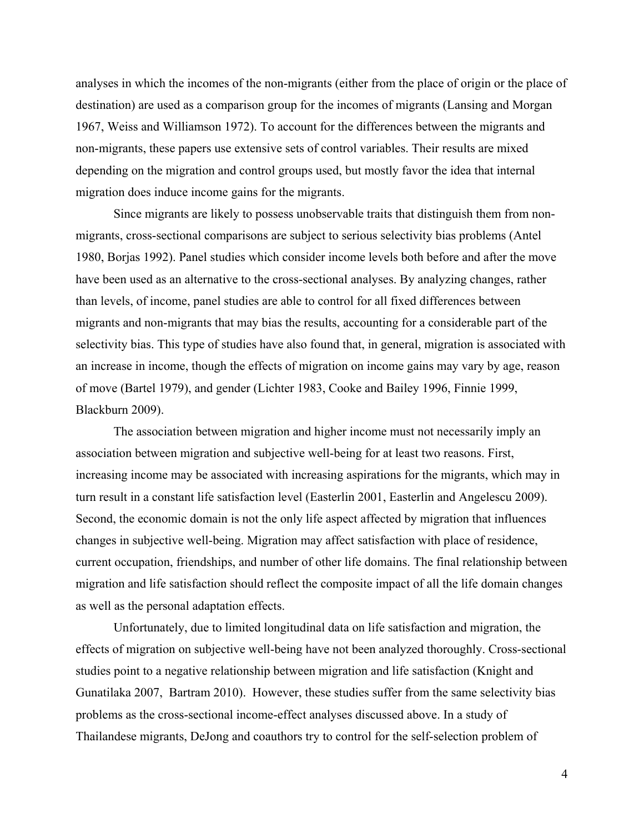analyses in which the incomes of the non-migrants (either from the place of origin or the place of destination) are used as a comparison group for the incomes of migrants (Lansing and Morgan 1967, Weiss and Williamson 1972). To account for the differences between the migrants and non-migrants, these papers use extensive sets of control variables. Their results are mixed depending on the migration and control groups used, but mostly favor the idea that internal migration does induce income gains for the migrants.

Since migrants are likely to possess unobservable traits that distinguish them from nonmigrants, cross-sectional comparisons are subject to serious selectivity bias problems (Antel 1980, Borjas 1992). Panel studies which consider income levels both before and after the move have been used as an alternative to the cross-sectional analyses. By analyzing changes, rather than levels, of income, panel studies are able to control for all fixed differences between migrants and non-migrants that may bias the results, accounting for a considerable part of the selectivity bias. This type of studies have also found that, in general, migration is associated with an increase in income, though the effects of migration on income gains may vary by age, reason of move (Bartel 1979), and gender (Lichter 1983, Cooke and Bailey 1996, Finnie 1999, Blackburn 2009).

The association between migration and higher income must not necessarily imply an association between migration and subjective well-being for at least two reasons. First, increasing income may be associated with increasing aspirations for the migrants, which may in turn result in a constant life satisfaction level (Easterlin 2001, Easterlin and Angelescu 2009). Second, the economic domain is not the only life aspect affected by migration that influences changes in subjective well-being. Migration may affect satisfaction with place of residence, current occupation, friendships, and number of other life domains. The final relationship between migration and life satisfaction should reflect the composite impact of all the life domain changes as well as the personal adaptation effects.

Unfortunately, due to limited longitudinal data on life satisfaction and migration, the effects of migration on subjective well-being have not been analyzed thoroughly. Cross-sectional studies point to a negative relationship between migration and life satisfaction (Knight and Gunatilaka 2007, Bartram 2010). However, these studies suffer from the same selectivity bias problems as the cross-sectional income-effect analyses discussed above. In a study of Thailandese migrants, DeJong and coauthors try to control for the self-selection problem of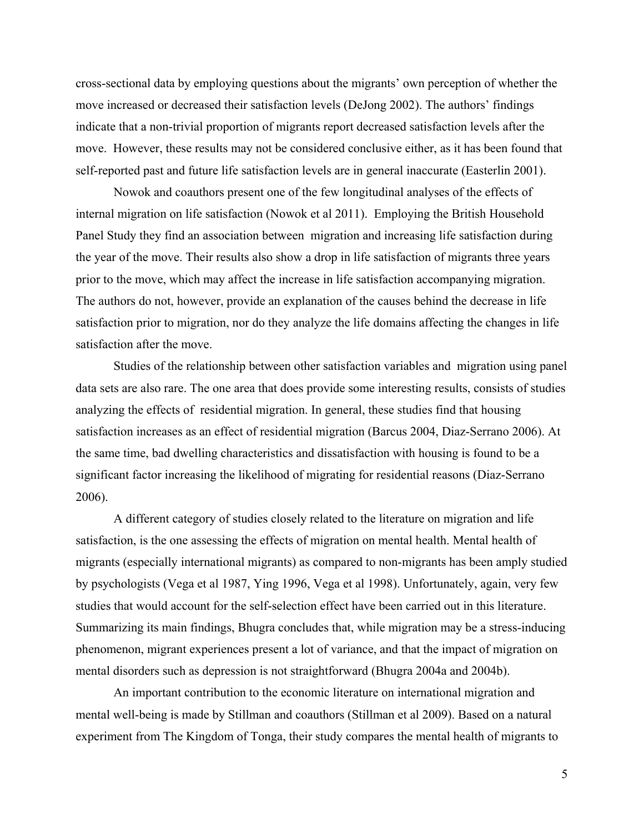cross-sectional data by employing questions about the migrants' own perception of whether the move increased or decreased their satisfaction levels (DeJong 2002). The authors' findings indicate that a non-trivial proportion of migrants report decreased satisfaction levels after the move. However, these results may not be considered conclusive either, as it has been found that self-reported past and future life satisfaction levels are in general inaccurate (Easterlin 2001).

Nowok and coauthors present one of the few longitudinal analyses of the effects of internal migration on life satisfaction (Nowok et al 2011). Employing the British Household Panel Study they find an association between migration and increasing life satisfaction during the year of the move. Their results also show a drop in life satisfaction of migrants three years prior to the move, which may affect the increase in life satisfaction accompanying migration. The authors do not, however, provide an explanation of the causes behind the decrease in life satisfaction prior to migration, nor do they analyze the life domains affecting the changes in life satisfaction after the move.

Studies of the relationship between other satisfaction variables and migration using panel data sets are also rare. The one area that does provide some interesting results, consists of studies analyzing the effects of residential migration. In general, these studies find that housing satisfaction increases as an effect of residential migration (Barcus 2004, Diaz-Serrano 2006). At the same time, bad dwelling characteristics and dissatisfaction with housing is found to be a significant factor increasing the likelihood of migrating for residential reasons (Diaz-Serrano 2006).

 A different category of studies closely related to the literature on migration and life satisfaction, is the one assessing the effects of migration on mental health. Mental health of migrants (especially international migrants) as compared to non-migrants has been amply studied by psychologists (Vega et al 1987, Ying 1996, Vega et al 1998). Unfortunately, again, very few studies that would account for the self-selection effect have been carried out in this literature. Summarizing its main findings, Bhugra concludes that, while migration may be a stress-inducing phenomenon, migrant experiences present a lot of variance, and that the impact of migration on mental disorders such as depression is not straightforward (Bhugra 2004a and 2004b).

 An important contribution to the economic literature on international migration and mental well-being is made by Stillman and coauthors (Stillman et al 2009). Based on a natural experiment from The Kingdom of Tonga, their study compares the mental health of migrants to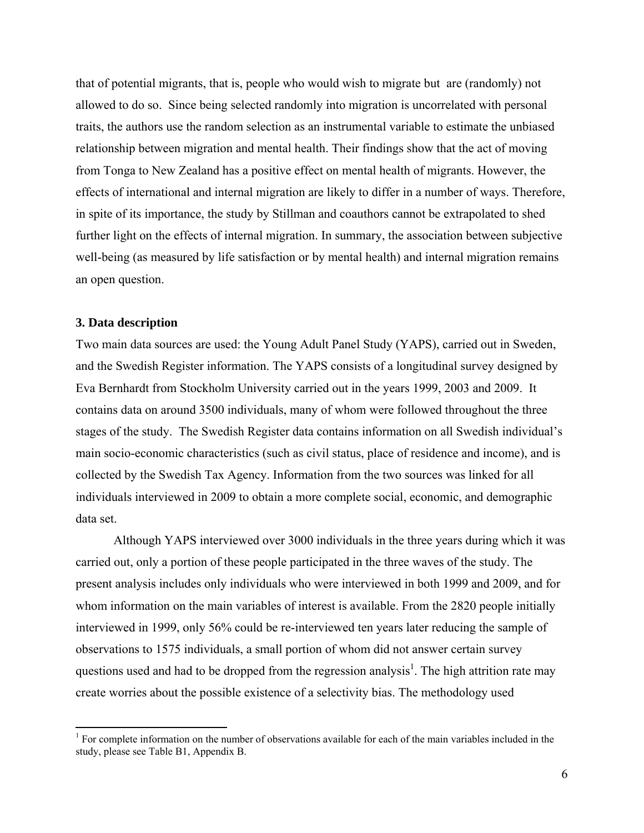that of potential migrants, that is, people who would wish to migrate but are (randomly) not allowed to do so. Since being selected randomly into migration is uncorrelated with personal traits, the authors use the random selection as an instrumental variable to estimate the unbiased relationship between migration and mental health. Their findings show that the act of moving from Tonga to New Zealand has a positive effect on mental health of migrants. However, the effects of international and internal migration are likely to differ in a number of ways. Therefore, in spite of its importance, the study by Stillman and coauthors cannot be extrapolated to shed further light on the effects of internal migration. In summary, the association between subjective well-being (as measured by life satisfaction or by mental health) and internal migration remains an open question.

#### **3. Data description**

Two main data sources are used: the Young Adult Panel Study (YAPS), carried out in Sweden, and the Swedish Register information. The YAPS consists of a longitudinal survey designed by Eva Bernhardt from Stockholm University carried out in the years 1999, 2003 and 2009. It contains data on around 3500 individuals, many of whom were followed throughout the three stages of the study. The Swedish Register data contains information on all Swedish individual's main socio-economic characteristics (such as civil status, place of residence and income), and is collected by the Swedish Tax Agency. Information from the two sources was linked for all individuals interviewed in 2009 to obtain a more complete social, economic, and demographic data set.

 Although YAPS interviewed over 3000 individuals in the three years during which it was carried out, only a portion of these people participated in the three waves of the study. The present analysis includes only individuals who were interviewed in both 1999 and 2009, and for whom information on the main variables of interest is available. From the 2820 people initially interviewed in 1999, only 56% could be re-interviewed ten years later reducing the sample of observations to 1575 individuals, a small portion of whom did not answer certain survey questions used and had to be dropped from the regression analysis<sup>1</sup>. The high attrition rate may create worries about the possible existence of a selectivity bias. The methodology used

<sup>&</sup>lt;sup>1</sup> For complete information on the number of observations available for each of the main variables included in the study, please see Table B1, Appendix B.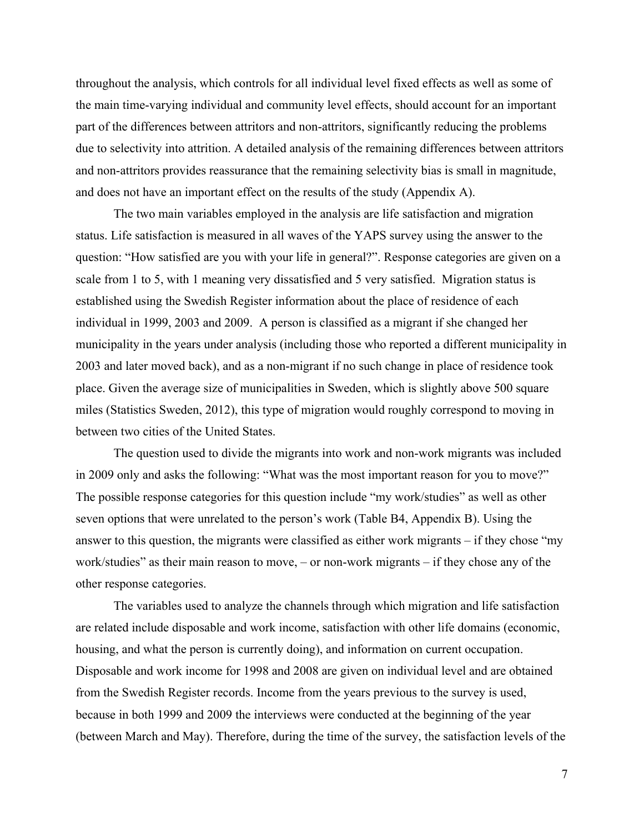throughout the analysis, which controls for all individual level fixed effects as well as some of the main time-varying individual and community level effects, should account for an important part of the differences between attritors and non-attritors, significantly reducing the problems due to selectivity into attrition. A detailed analysis of the remaining differences between attritors and non-attritors provides reassurance that the remaining selectivity bias is small in magnitude, and does not have an important effect on the results of the study (Appendix A).

The two main variables employed in the analysis are life satisfaction and migration status. Life satisfaction is measured in all waves of the YAPS survey using the answer to the question: "How satisfied are you with your life in general?". Response categories are given on a scale from 1 to 5, with 1 meaning very dissatisfied and 5 very satisfied. Migration status is established using the Swedish Register information about the place of residence of each individual in 1999, 2003 and 2009. A person is classified as a migrant if she changed her municipality in the years under analysis (including those who reported a different municipality in 2003 and later moved back), and as a non-migrant if no such change in place of residence took place. Given the average size of municipalities in Sweden, which is slightly above 500 square miles (Statistics Sweden, 2012), this type of migration would roughly correspond to moving in between two cities of the United States.

The question used to divide the migrants into work and non-work migrants was included in 2009 only and asks the following: "What was the most important reason for you to move?" The possible response categories for this question include "my work/studies" as well as other seven options that were unrelated to the person's work (Table B4, Appendix B). Using the answer to this question, the migrants were classified as either work migrants – if they chose "my work/studies" as their main reason to move, – or non-work migrants – if they chose any of the other response categories.

The variables used to analyze the channels through which migration and life satisfaction are related include disposable and work income, satisfaction with other life domains (economic, housing, and what the person is currently doing), and information on current occupation. Disposable and work income for 1998 and 2008 are given on individual level and are obtained from the Swedish Register records. Income from the years previous to the survey is used, because in both 1999 and 2009 the interviews were conducted at the beginning of the year (between March and May). Therefore, during the time of the survey, the satisfaction levels of the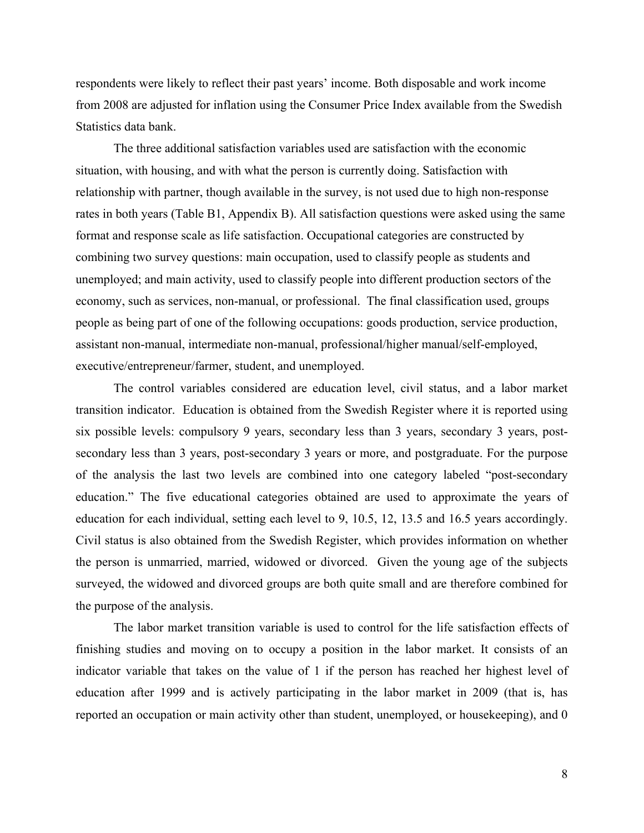respondents were likely to reflect their past years' income. Both disposable and work income from 2008 are adjusted for inflation using the Consumer Price Index available from the Swedish Statistics data bank.

The three additional satisfaction variables used are satisfaction with the economic situation, with housing, and with what the person is currently doing. Satisfaction with relationship with partner, though available in the survey, is not used due to high non-response rates in both years (Table B1, Appendix B). All satisfaction questions were asked using the same format and response scale as life satisfaction. Occupational categories are constructed by combining two survey questions: main occupation, used to classify people as students and unemployed; and main activity, used to classify people into different production sectors of the economy, such as services, non-manual, or professional. The final classification used, groups people as being part of one of the following occupations: goods production, service production, assistant non-manual, intermediate non-manual, professional/higher manual/self-employed, executive/entrepreneur/farmer, student, and unemployed.

The control variables considered are education level, civil status, and a labor market transition indicator. Education is obtained from the Swedish Register where it is reported using six possible levels: compulsory 9 years, secondary less than 3 years, secondary 3 years, postsecondary less than 3 years, post-secondary 3 years or more, and postgraduate. For the purpose of the analysis the last two levels are combined into one category labeled "post-secondary education." The five educational categories obtained are used to approximate the years of education for each individual, setting each level to 9, 10.5, 12, 13.5 and 16.5 years accordingly. Civil status is also obtained from the Swedish Register, which provides information on whether the person is unmarried, married, widowed or divorced. Given the young age of the subjects surveyed, the widowed and divorced groups are both quite small and are therefore combined for the purpose of the analysis.

The labor market transition variable is used to control for the life satisfaction effects of finishing studies and moving on to occupy a position in the labor market. It consists of an indicator variable that takes on the value of 1 if the person has reached her highest level of education after 1999 and is actively participating in the labor market in 2009 (that is, has reported an occupation or main activity other than student, unemployed, or housekeeping), and 0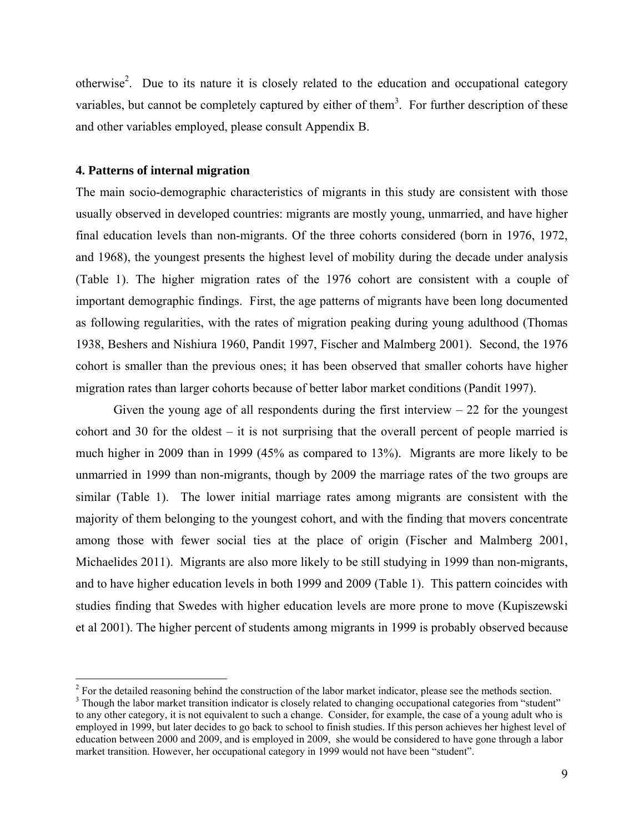otherwise<sup>2</sup>. Due to its nature it is closely related to the education and occupational category variables, but cannot be completely captured by either of them<sup>3</sup>. For further description of these and other variables employed, please consult Appendix B.

#### **4. Patterns of internal migration**

The main socio-demographic characteristics of migrants in this study are consistent with those usually observed in developed countries: migrants are mostly young, unmarried, and have higher final education levels than non-migrants. Of the three cohorts considered (born in 1976, 1972, and 1968), the youngest presents the highest level of mobility during the decade under analysis (Table 1). The higher migration rates of the 1976 cohort are consistent with a couple of important demographic findings. First, the age patterns of migrants have been long documented as following regularities, with the rates of migration peaking during young adulthood (Thomas 1938, Beshers and Nishiura 1960, Pandit 1997, Fischer and Malmberg 2001). Second, the 1976 cohort is smaller than the previous ones; it has been observed that smaller cohorts have higher migration rates than larger cohorts because of better labor market conditions (Pandit 1997).

Given the young age of all respondents during the first interview  $-22$  for the youngest cohort and 30 for the oldest – it is not surprising that the overall percent of people married is much higher in 2009 than in 1999 (45% as compared to 13%). Migrants are more likely to be unmarried in 1999 than non-migrants, though by 2009 the marriage rates of the two groups are similar (Table 1). The lower initial marriage rates among migrants are consistent with the majority of them belonging to the youngest cohort, and with the finding that movers concentrate among those with fewer social ties at the place of origin (Fischer and Malmberg 2001, Michaelides 2011). Migrants are also more likely to be still studying in 1999 than non-migrants, and to have higher education levels in both 1999 and 2009 (Table 1). This pattern coincides with studies finding that Swedes with higher education levels are more prone to move (Kupiszewski et al 2001). The higher percent of students among migrants in 1999 is probably observed because

<sup>&</sup>lt;sup>2</sup> For the detailed reasoning behind the construction of the labor market indicator, please see the methods section.

<sup>&</sup>lt;sup>3</sup> Though the labor market transition indicator is closely related to changing occupational categories from "student" to any other category, it is not equivalent to such a change. Consider, for example, the case of a young adult who is employed in 1999, but later decides to go back to school to finish studies. If this person achieves her highest level of education between 2000 and 2009, and is employed in 2009, she would be considered to have gone through a labor market transition. However, her occupational category in 1999 would not have been "student".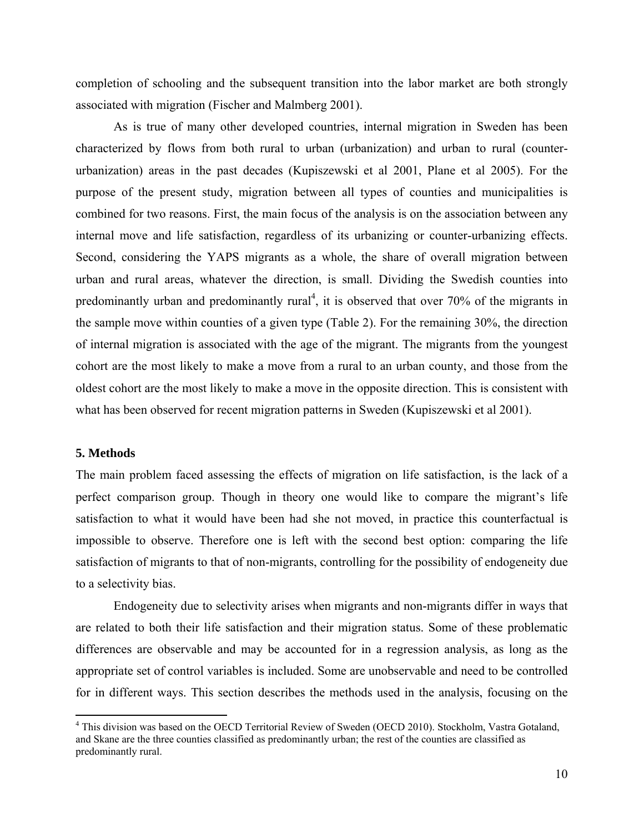completion of schooling and the subsequent transition into the labor market are both strongly associated with migration (Fischer and Malmberg 2001).

 As is true of many other developed countries, internal migration in Sweden has been characterized by flows from both rural to urban (urbanization) and urban to rural (counterurbanization) areas in the past decades (Kupiszewski et al 2001, Plane et al 2005). For the purpose of the present study, migration between all types of counties and municipalities is combined for two reasons. First, the main focus of the analysis is on the association between any internal move and life satisfaction, regardless of its urbanizing or counter-urbanizing effects. Second, considering the YAPS migrants as a whole, the share of overall migration between urban and rural areas, whatever the direction, is small. Dividing the Swedish counties into predominantly urban and predominantly rural<sup>4</sup>, it is observed that over 70% of the migrants in the sample move within counties of a given type (Table 2). For the remaining 30%, the direction of internal migration is associated with the age of the migrant. The migrants from the youngest cohort are the most likely to make a move from a rural to an urban county, and those from the oldest cohort are the most likely to make a move in the opposite direction. This is consistent with what has been observed for recent migration patterns in Sweden (Kupiszewski et al 2001).

#### **5. Methods**

The main problem faced assessing the effects of migration on life satisfaction, is the lack of a perfect comparison group. Though in theory one would like to compare the migrant's life satisfaction to what it would have been had she not moved, in practice this counterfactual is impossible to observe. Therefore one is left with the second best option: comparing the life satisfaction of migrants to that of non-migrants, controlling for the possibility of endogeneity due to a selectivity bias.

Endogeneity due to selectivity arises when migrants and non-migrants differ in ways that are related to both their life satisfaction and their migration status. Some of these problematic differences are observable and may be accounted for in a regression analysis, as long as the appropriate set of control variables is included. Some are unobservable and need to be controlled for in different ways. This section describes the methods used in the analysis, focusing on the

<sup>&</sup>lt;sup>4</sup> This division was based on the OECD Territorial Review of Sweden (OECD 2010). Stockholm, Vastra Gotaland, and Skane are the three counties classified as predominantly urban; the rest of the counties are classified as predominantly rural.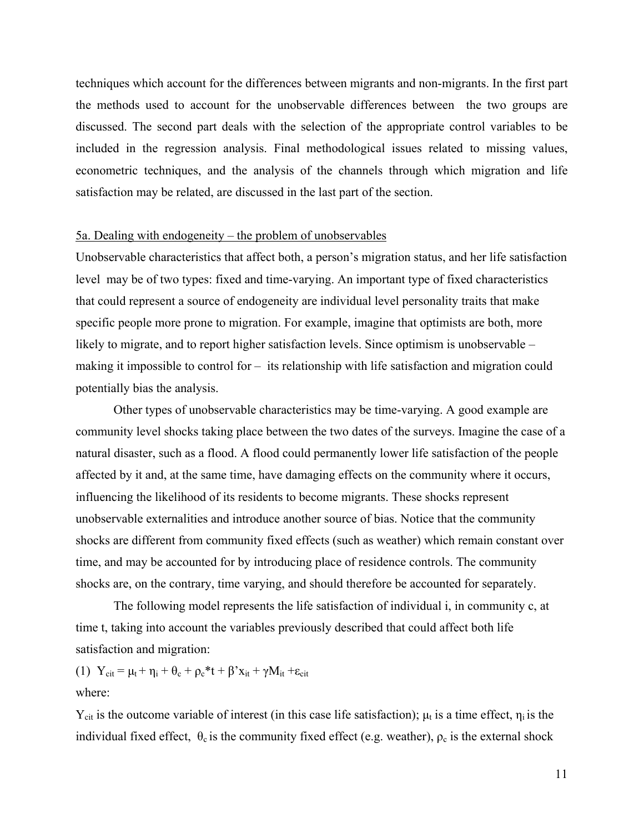techniques which account for the differences between migrants and non-migrants. In the first part the methods used to account for the unobservable differences between the two groups are discussed. The second part deals with the selection of the appropriate control variables to be included in the regression analysis. Final methodological issues related to missing values, econometric techniques, and the analysis of the channels through which migration and life satisfaction may be related, are discussed in the last part of the section.

#### 5a. Dealing with endogeneity – the problem of unobservables

Unobservable characteristics that affect both, a person's migration status, and her life satisfaction level may be of two types: fixed and time-varying. An important type of fixed characteristics that could represent a source of endogeneity are individual level personality traits that make specific people more prone to migration. For example, imagine that optimists are both, more likely to migrate, and to report higher satisfaction levels. Since optimism is unobservable – making it impossible to control for – its relationship with life satisfaction and migration could potentially bias the analysis.

 Other types of unobservable characteristics may be time-varying. A good example are community level shocks taking place between the two dates of the surveys. Imagine the case of a natural disaster, such as a flood. A flood could permanently lower life satisfaction of the people affected by it and, at the same time, have damaging effects on the community where it occurs, influencing the likelihood of its residents to become migrants. These shocks represent unobservable externalities and introduce another source of bias. Notice that the community shocks are different from community fixed effects (such as weather) which remain constant over time, and may be accounted for by introducing place of residence controls. The community shocks are, on the contrary, time varying, and should therefore be accounted for separately.

 The following model represents the life satisfaction of individual i, in community c, at time t, taking into account the variables previously described that could affect both life satisfaction and migration:

(1)  $Y_{\text{cit}} = \mu_t + \eta_i + \theta_c + \rho_c * t + \beta' x_{it} + \gamma M_{it} + \varepsilon_{\text{cit}}$ where:

Y<sub>cit</sub> is the outcome variable of interest (in this case life satisfaction);  $\mu_t$  is a time effect,  $\eta_i$  is the individual fixed effect,  $\theta_c$  is the community fixed effect (e.g. weather),  $\rho_c$  is the external shock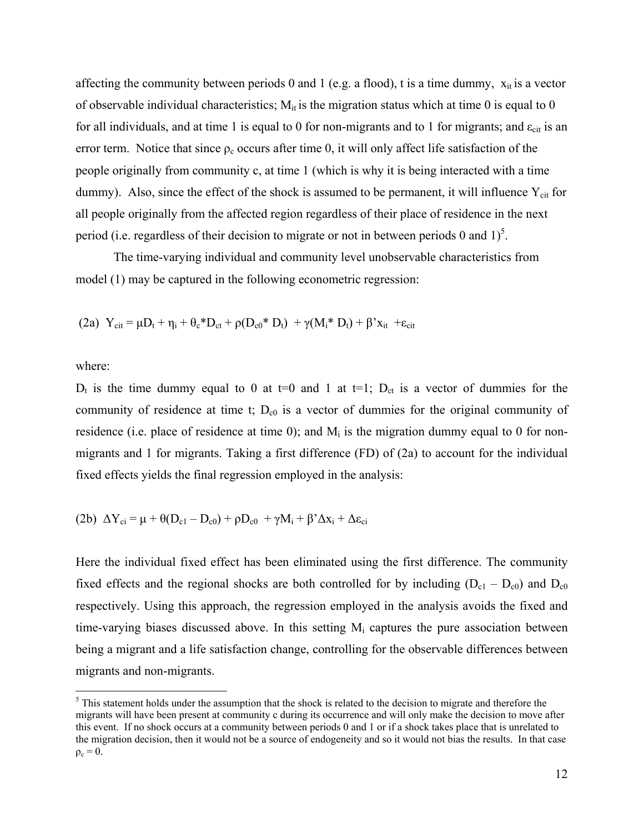affecting the community between periods 0 and 1 (e.g. a flood), t is a time dummy,  $x_{it}$  is a vector of observable individual characteristics;  $M_{it}$  is the migration status which at time 0 is equal to 0 for all individuals, and at time 1 is equal to 0 for non-migrants and to 1 for migrants; and  $\varepsilon_{\text{cit}}$  is an error term. Notice that since  $\rho_c$  occurs after time 0, it will only affect life satisfaction of the people originally from community c, at time 1 (which is why it is being interacted with a time dummy). Also, since the effect of the shock is assumed to be permanent, it will influence  $Y_{\text{cit}}$  for all people originally from the affected region regardless of their place of residence in the next period (i.e. regardless of their decision to migrate or not in between periods 0 and  $1$ )<sup>5</sup>.

 The time-varying individual and community level unobservable characteristics from model (1) may be captured in the following econometric regression:

(2a) 
$$
Y_{cit} = \mu D_t + \eta_i + \theta_c * D_{ct} + \rho (D_{c0} * D_t) + \gamma (M_i * D_t) + \beta' x_{it} + \epsilon_{cit}
$$

where:

 $D_t$  is the time dummy equal to 0 at t=0 and 1 at t=1;  $D_{ct}$  is a vector of dummies for the community of residence at time t;  $D_{c0}$  is a vector of dummies for the original community of residence (i.e. place of residence at time 0); and  $M_i$  is the migration dummy equal to 0 for nonmigrants and 1 for migrants. Taking a first difference (FD) of (2a) to account for the individual fixed effects yields the final regression employed in the analysis:

(2b) 
$$
\Delta Y_{ci} = \mu + \theta (D_{c1} - D_{c0}) + \rho D_{c0} + \gamma M_i + \beta' \Delta x_i + \Delta \epsilon_{ci}
$$

Here the individual fixed effect has been eliminated using the first difference. The community fixed effects and the regional shocks are both controlled for by including  $(D_{c1} - D_{c0})$  and  $D_{c0}$ respectively. Using this approach, the regression employed in the analysis avoids the fixed and time-varying biases discussed above. In this setting  $M_i$  captures the pure association between being a migrant and a life satisfaction change, controlling for the observable differences between migrants and non-migrants.

<sup>&</sup>lt;sup>5</sup> This statement holds under the assumption that the shock is related to the decision to migrate and therefore the migrants will have been present at community c during its occurrence and will only make the decision to move after this event. If no shock occurs at a community between periods 0 and 1 or if a shock takes place that is unrelated to the migration decision, then it would not be a source of endogeneity and so it would not bias the results. In that case  $\rho_c = 0$ .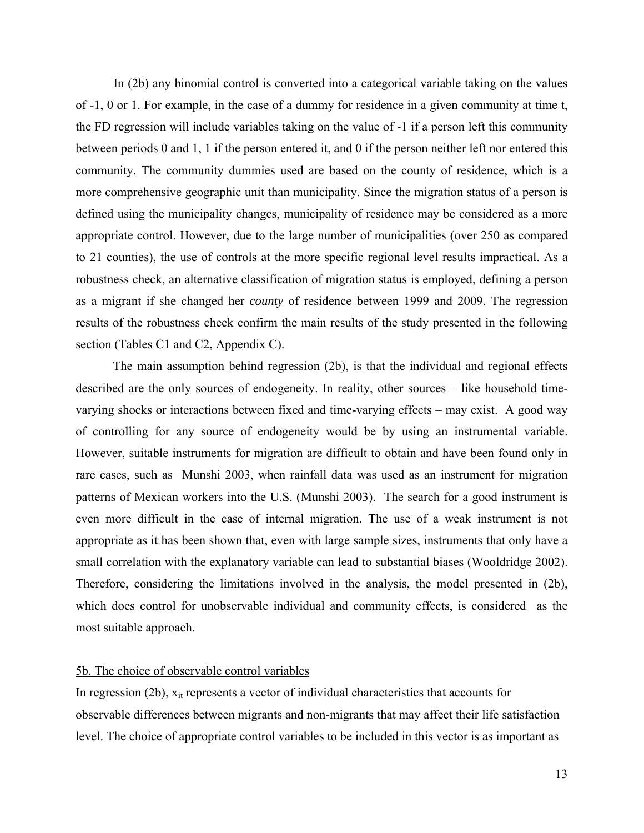In (2b) any binomial control is converted into a categorical variable taking on the values of -1, 0 or 1. For example, in the case of a dummy for residence in a given community at time t, the FD regression will include variables taking on the value of -1 if a person left this community between periods 0 and 1, 1 if the person entered it, and 0 if the person neither left nor entered this community. The community dummies used are based on the county of residence, which is a more comprehensive geographic unit than municipality. Since the migration status of a person is defined using the municipality changes, municipality of residence may be considered as a more appropriate control. However, due to the large number of municipalities (over 250 as compared to 21 counties), the use of controls at the more specific regional level results impractical. As a robustness check, an alternative classification of migration status is employed, defining a person as a migrant if she changed her *county* of residence between 1999 and 2009. The regression results of the robustness check confirm the main results of the study presented in the following section (Tables C1 and C2, Appendix C).

The main assumption behind regression (2b), is that the individual and regional effects described are the only sources of endogeneity. In reality, other sources – like household timevarying shocks or interactions between fixed and time-varying effects – may exist. A good way of controlling for any source of endogeneity would be by using an instrumental variable. However, suitable instruments for migration are difficult to obtain and have been found only in rare cases, such as Munshi 2003, when rainfall data was used as an instrument for migration patterns of Mexican workers into the U.S. (Munshi 2003). The search for a good instrument is even more difficult in the case of internal migration. The use of a weak instrument is not appropriate as it has been shown that, even with large sample sizes, instruments that only have a small correlation with the explanatory variable can lead to substantial biases (Wooldridge 2002). Therefore, considering the limitations involved in the analysis, the model presented in (2b), which does control for unobservable individual and community effects, is considered as the most suitable approach.

### 5b. The choice of observable control variables

In regression (2b),  $x_{it}$  represents a vector of individual characteristics that accounts for observable differences between migrants and non-migrants that may affect their life satisfaction level. The choice of appropriate control variables to be included in this vector is as important as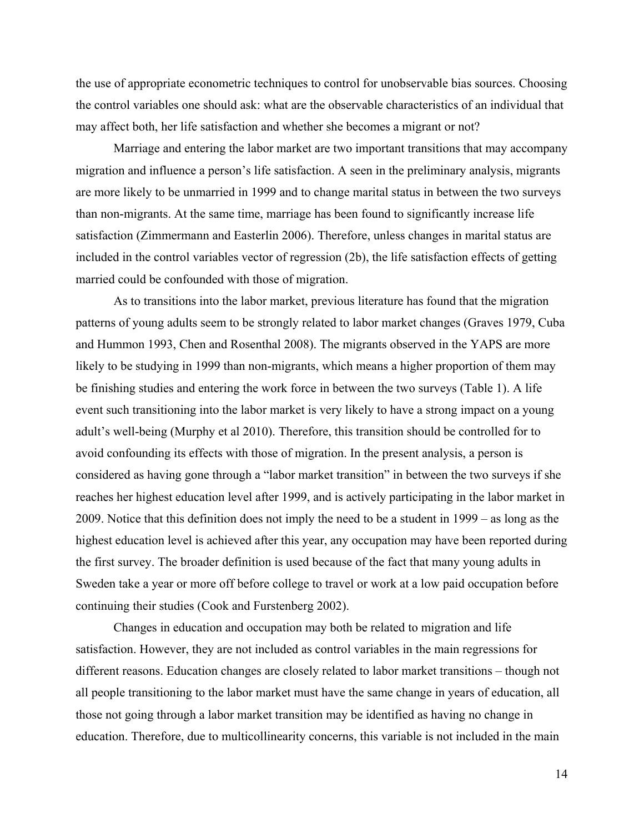the use of appropriate econometric techniques to control for unobservable bias sources. Choosing the control variables one should ask: what are the observable characteristics of an individual that may affect both, her life satisfaction and whether she becomes a migrant or not?

 Marriage and entering the labor market are two important transitions that may accompany migration and influence a person's life satisfaction. A seen in the preliminary analysis, migrants are more likely to be unmarried in 1999 and to change marital status in between the two surveys than non-migrants. At the same time, marriage has been found to significantly increase life satisfaction (Zimmermann and Easterlin 2006). Therefore, unless changes in marital status are included in the control variables vector of regression (2b), the life satisfaction effects of getting married could be confounded with those of migration.

As to transitions into the labor market, previous literature has found that the migration patterns of young adults seem to be strongly related to labor market changes (Graves 1979, Cuba and Hummon 1993, Chen and Rosenthal 2008). The migrants observed in the YAPS are more likely to be studying in 1999 than non-migrants, which means a higher proportion of them may be finishing studies and entering the work force in between the two surveys (Table 1). A life event such transitioning into the labor market is very likely to have a strong impact on a young adult's well-being (Murphy et al 2010). Therefore, this transition should be controlled for to avoid confounding its effects with those of migration. In the present analysis, a person is considered as having gone through a "labor market transition" in between the two surveys if she reaches her highest education level after 1999, and is actively participating in the labor market in 2009. Notice that this definition does not imply the need to be a student in 1999 – as long as the highest education level is achieved after this year, any occupation may have been reported during the first survey. The broader definition is used because of the fact that many young adults in Sweden take a year or more off before college to travel or work at a low paid occupation before continuing their studies (Cook and Furstenberg 2002).

Changes in education and occupation may both be related to migration and life satisfaction. However, they are not included as control variables in the main regressions for different reasons. Education changes are closely related to labor market transitions – though not all people transitioning to the labor market must have the same change in years of education, all those not going through a labor market transition may be identified as having no change in education. Therefore, due to multicollinearity concerns, this variable is not included in the main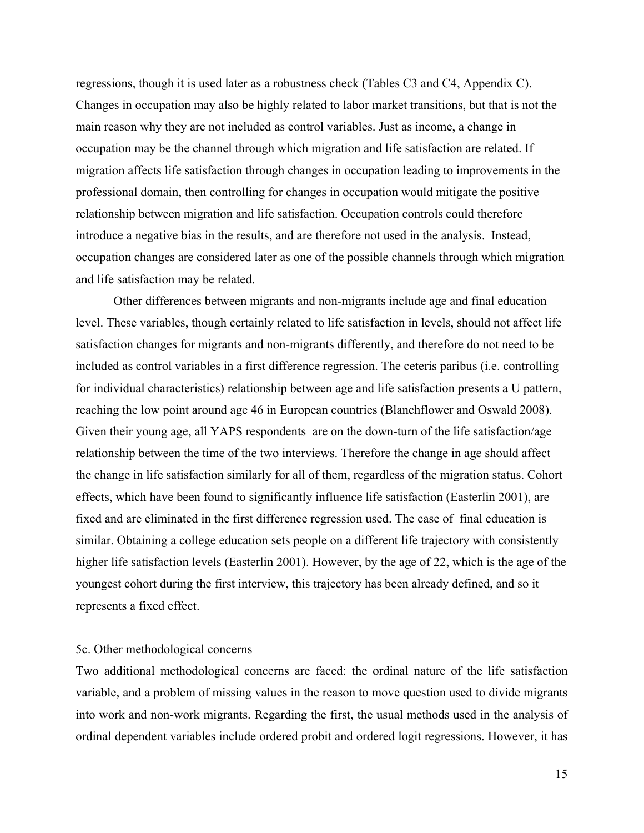regressions, though it is used later as a robustness check (Tables C3 and C4, Appendix C). Changes in occupation may also be highly related to labor market transitions, but that is not the main reason why they are not included as control variables. Just as income, a change in occupation may be the channel through which migration and life satisfaction are related. If migration affects life satisfaction through changes in occupation leading to improvements in the professional domain, then controlling for changes in occupation would mitigate the positive relationship between migration and life satisfaction. Occupation controls could therefore introduce a negative bias in the results, and are therefore not used in the analysis. Instead, occupation changes are considered later as one of the possible channels through which migration and life satisfaction may be related.

Other differences between migrants and non-migrants include age and final education level. These variables, though certainly related to life satisfaction in levels, should not affect life satisfaction changes for migrants and non-migrants differently, and therefore do not need to be included as control variables in a first difference regression. The ceteris paribus (i.e. controlling for individual characteristics) relationship between age and life satisfaction presents a U pattern, reaching the low point around age 46 in European countries (Blanchflower and Oswald 2008). Given their young age, all YAPS respondents are on the down-turn of the life satisfaction/age relationship between the time of the two interviews. Therefore the change in age should affect the change in life satisfaction similarly for all of them, regardless of the migration status. Cohort effects, which have been found to significantly influence life satisfaction (Easterlin 2001), are fixed and are eliminated in the first difference regression used. The case of final education is similar. Obtaining a college education sets people on a different life trajectory with consistently higher life satisfaction levels (Easterlin 2001). However, by the age of 22, which is the age of the youngest cohort during the first interview, this trajectory has been already defined, and so it represents a fixed effect.

#### 5c. Other methodological concerns

Two additional methodological concerns are faced: the ordinal nature of the life satisfaction variable, and a problem of missing values in the reason to move question used to divide migrants into work and non-work migrants. Regarding the first, the usual methods used in the analysis of ordinal dependent variables include ordered probit and ordered logit regressions. However, it has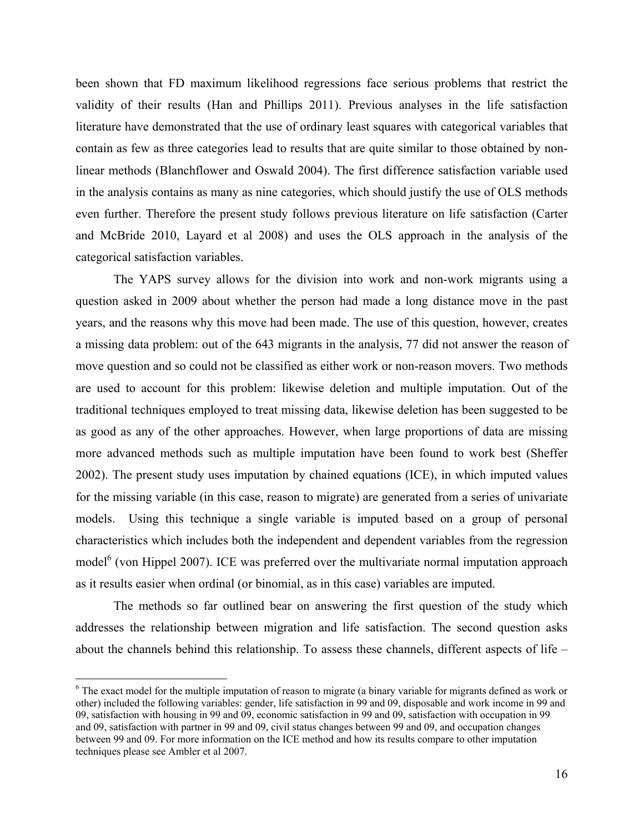been shown that FD maximum likelihood regressions face serious problems that restrict the validity of their results (Han and Phillips 2011). Previous analyses in the life satisfaction literature have demonstrated that the use of ordinary least squares with categorical variables that contain as few as three categories lead to results that are quite similar to those obtained by nonlinear methods (Blanchflower and Oswald 2004). The first difference satisfaction variable used in the analysis contains as many as nine categories, which should justify the use of OLS methods even further. Therefore the present study follows previous literature on life satisfaction (Carter and McBride 2010, Layard et al 2008) and uses the OLS approach in the analysis of the categorical satisfaction variables.

 The YAPS survey allows for the division into work and non-work migrants using a question asked in 2009 about whether the person had made a long distance move in the past years, and the reasons why this move had been made. The use of this question, however, creates a missing data problem: out of the 643 migrants in the analysis, 77 did not answer the reason of move question and so could not be classified as either work or non-reason movers. Two methods are used to account for this problem: likewise deletion and multiple imputation. Out of the traditional techniques employed to treat missing data, likewise deletion has been suggested to be as good as any of the other approaches. However, when large proportions of data are missing more advanced methods such as multiple imputation have been found to work best (Sheffer 2002). The present study uses imputation by chained equations (ICE), in which imputed values for the missing variable (in this case, reason to migrate) are generated from a series of univariate models. Using this technique a single variable is imputed based on a group of personal characteristics which includes both the independent and dependent variables from the regression model<sup>6</sup> (von Hippel 2007). ICE was preferred over the multivariate normal imputation approach as it results easier when ordinal (or binomial, as in this case) variables are imputed.

The methods so far outlined bear on answering the first question of the study which addresses the relationship between migration and life satisfaction. The second question asks about the channels behind this relationship. To assess these channels, different aspects of life –

<sup>&</sup>lt;sup>6</sup> The exact model for the multiple imputation of reason to migrate (a binary variable for migrants defined as work or other) included the following variables: gender, life satisfaction in 99 and 09, disposable and work income in 99 and 09, satisfaction with housing in 99 and 09, economic satisfaction in 99 and 09, satisfaction with occupation in 99 and 09, satisfaction with partner in 99 and 09, civil status changes between 99 and 09, and occupation changes between 99 and 09. For more information on the ICE method and how its results compare to other imputation techniques please see Ambler et al 2007.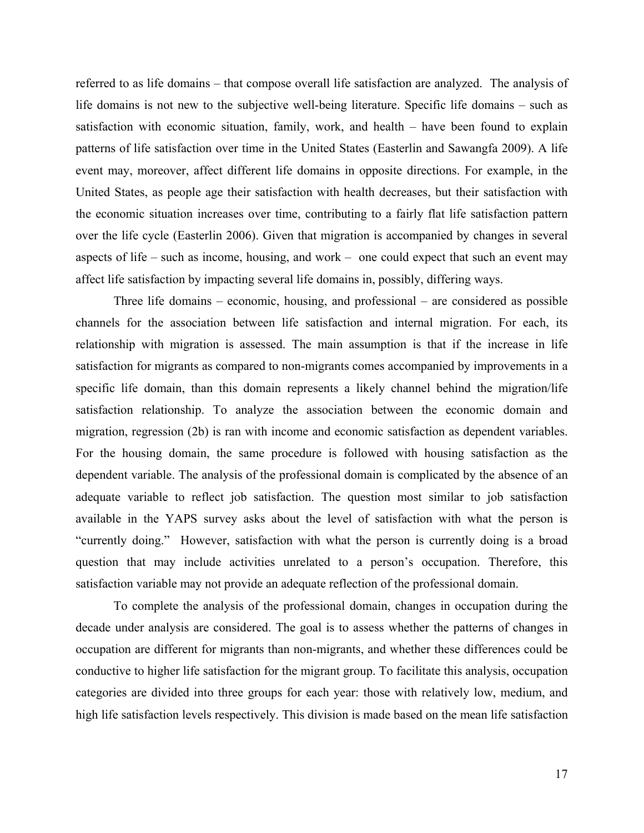referred to as life domains – that compose overall life satisfaction are analyzed. The analysis of life domains is not new to the subjective well-being literature. Specific life domains – such as satisfaction with economic situation, family, work, and health – have been found to explain patterns of life satisfaction over time in the United States (Easterlin and Sawangfa 2009). A life event may, moreover, affect different life domains in opposite directions. For example, in the United States, as people age their satisfaction with health decreases, but their satisfaction with the economic situation increases over time, contributing to a fairly flat life satisfaction pattern over the life cycle (Easterlin 2006). Given that migration is accompanied by changes in several aspects of life – such as income, housing, and work – one could expect that such an event may affect life satisfaction by impacting several life domains in, possibly, differing ways.

Three life domains – economic, housing, and professional – are considered as possible channels for the association between life satisfaction and internal migration. For each, its relationship with migration is assessed. The main assumption is that if the increase in life satisfaction for migrants as compared to non-migrants comes accompanied by improvements in a specific life domain, than this domain represents a likely channel behind the migration/life satisfaction relationship. To analyze the association between the economic domain and migration, regression (2b) is ran with income and economic satisfaction as dependent variables. For the housing domain, the same procedure is followed with housing satisfaction as the dependent variable. The analysis of the professional domain is complicated by the absence of an adequate variable to reflect job satisfaction. The question most similar to job satisfaction available in the YAPS survey asks about the level of satisfaction with what the person is "currently doing." However, satisfaction with what the person is currently doing is a broad question that may include activities unrelated to a person's occupation. Therefore, this satisfaction variable may not provide an adequate reflection of the professional domain.

To complete the analysis of the professional domain, changes in occupation during the decade under analysis are considered. The goal is to assess whether the patterns of changes in occupation are different for migrants than non-migrants, and whether these differences could be conductive to higher life satisfaction for the migrant group. To facilitate this analysis, occupation categories are divided into three groups for each year: those with relatively low, medium, and high life satisfaction levels respectively. This division is made based on the mean life satisfaction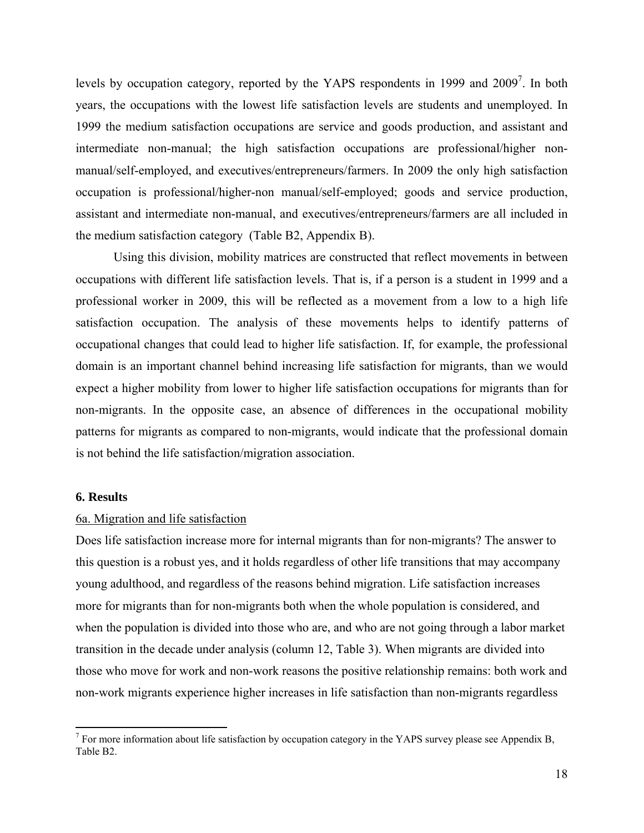levels by occupation category, reported by the YAPS respondents in 1999 and 2009<sup>7</sup>. In both years, the occupations with the lowest life satisfaction levels are students and unemployed. In 1999 the medium satisfaction occupations are service and goods production, and assistant and intermediate non-manual; the high satisfaction occupations are professional/higher nonmanual/self-employed, and executives/entrepreneurs/farmers. In 2009 the only high satisfaction occupation is professional/higher-non manual/self-employed; goods and service production, assistant and intermediate non-manual, and executives/entrepreneurs/farmers are all included in the medium satisfaction category (Table B2, Appendix B).

Using this division, mobility matrices are constructed that reflect movements in between occupations with different life satisfaction levels. That is, if a person is a student in 1999 and a professional worker in 2009, this will be reflected as a movement from a low to a high life satisfaction occupation. The analysis of these movements helps to identify patterns of occupational changes that could lead to higher life satisfaction. If, for example, the professional domain is an important channel behind increasing life satisfaction for migrants, than we would expect a higher mobility from lower to higher life satisfaction occupations for migrants than for non-migrants. In the opposite case, an absence of differences in the occupational mobility patterns for migrants as compared to non-migrants, would indicate that the professional domain is not behind the life satisfaction/migration association.

#### **6. Results**

#### 6a. Migration and life satisfaction

Does life satisfaction increase more for internal migrants than for non-migrants? The answer to this question is a robust yes, and it holds regardless of other life transitions that may accompany young adulthood, and regardless of the reasons behind migration. Life satisfaction increases more for migrants than for non-migrants both when the whole population is considered, and when the population is divided into those who are, and who are not going through a labor market transition in the decade under analysis (column 12, Table 3). When migrants are divided into those who move for work and non-work reasons the positive relationship remains: both work and non-work migrants experience higher increases in life satisfaction than non-migrants regardless

 $<sup>7</sup>$  For more information about life satisfaction by occupation category in the YAPS survey please see Appendix B,</sup> Table B2.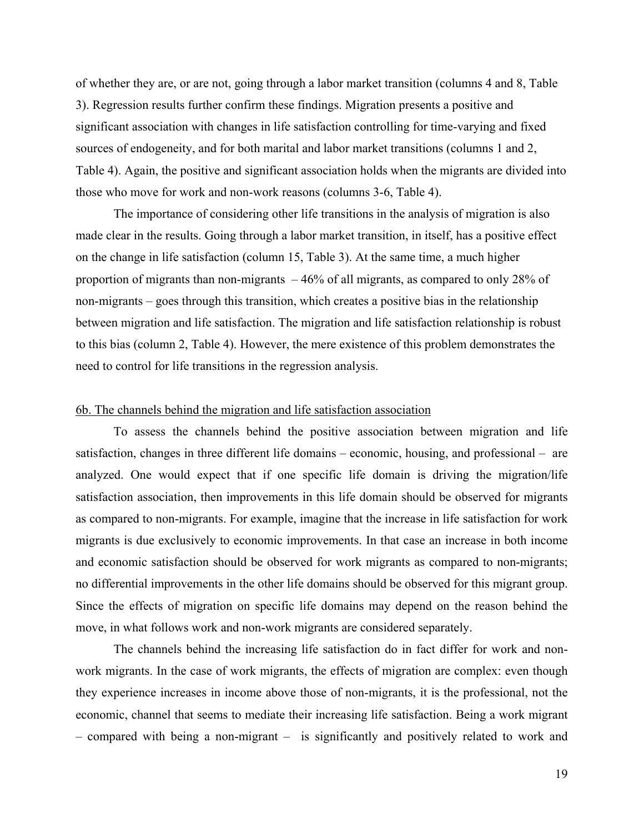of whether they are, or are not, going through a labor market transition (columns 4 and 8, Table 3). Regression results further confirm these findings. Migration presents a positive and significant association with changes in life satisfaction controlling for time-varying and fixed sources of endogeneity, and for both marital and labor market transitions (columns 1 and 2, Table 4). Again, the positive and significant association holds when the migrants are divided into those who move for work and non-work reasons (columns 3-6, Table 4).

 The importance of considering other life transitions in the analysis of migration is also made clear in the results. Going through a labor market transition, in itself, has a positive effect on the change in life satisfaction (column 15, Table 3). At the same time, a much higher proportion of migrants than non-migrants – 46% of all migrants, as compared to only 28% of non-migrants – goes through this transition, which creates a positive bias in the relationship between migration and life satisfaction. The migration and life satisfaction relationship is robust to this bias (column 2, Table 4). However, the mere existence of this problem demonstrates the need to control for life transitions in the regression analysis.

#### 6b. The channels behind the migration and life satisfaction association

 To assess the channels behind the positive association between migration and life satisfaction, changes in three different life domains – economic, housing, and professional – are analyzed. One would expect that if one specific life domain is driving the migration/life satisfaction association, then improvements in this life domain should be observed for migrants as compared to non-migrants. For example, imagine that the increase in life satisfaction for work migrants is due exclusively to economic improvements. In that case an increase in both income and economic satisfaction should be observed for work migrants as compared to non-migrants; no differential improvements in the other life domains should be observed for this migrant group. Since the effects of migration on specific life domains may depend on the reason behind the move, in what follows work and non-work migrants are considered separately.

The channels behind the increasing life satisfaction do in fact differ for work and nonwork migrants. In the case of work migrants, the effects of migration are complex: even though they experience increases in income above those of non-migrants, it is the professional, not the economic, channel that seems to mediate their increasing life satisfaction. Being a work migrant – compared with being a non-migrant – is significantly and positively related to work and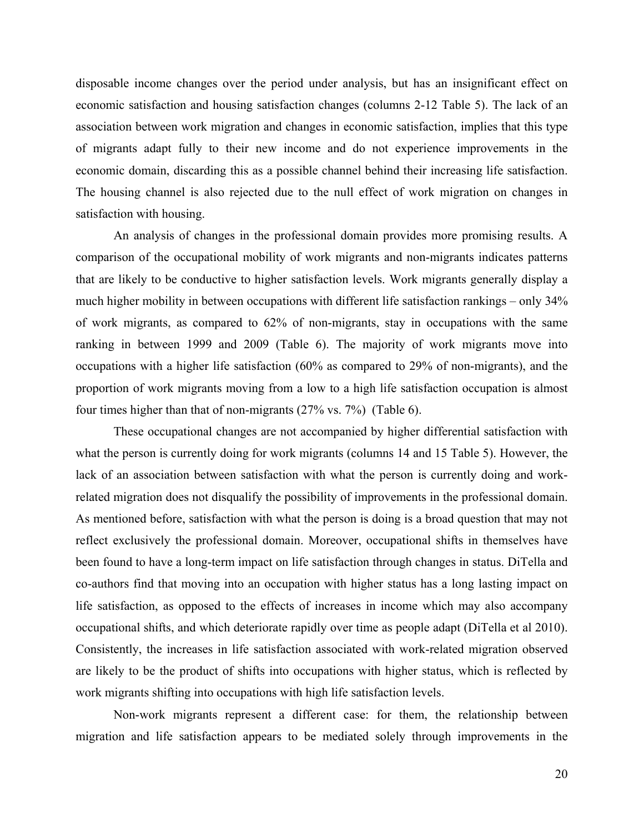disposable income changes over the period under analysis, but has an insignificant effect on economic satisfaction and housing satisfaction changes (columns 2-12 Table 5). The lack of an association between work migration and changes in economic satisfaction, implies that this type of migrants adapt fully to their new income and do not experience improvements in the economic domain, discarding this as a possible channel behind their increasing life satisfaction. The housing channel is also rejected due to the null effect of work migration on changes in satisfaction with housing.

 An analysis of changes in the professional domain provides more promising results. A comparison of the occupational mobility of work migrants and non-migrants indicates patterns that are likely to be conductive to higher satisfaction levels. Work migrants generally display a much higher mobility in between occupations with different life satisfaction rankings – only 34% of work migrants, as compared to 62% of non-migrants, stay in occupations with the same ranking in between 1999 and 2009 (Table 6). The majority of work migrants move into occupations with a higher life satisfaction (60% as compared to 29% of non-migrants), and the proportion of work migrants moving from a low to a high life satisfaction occupation is almost four times higher than that of non-migrants (27% vs. 7%) (Table 6).

These occupational changes are not accompanied by higher differential satisfaction with what the person is currently doing for work migrants (columns 14 and 15 Table 5). However, the lack of an association between satisfaction with what the person is currently doing and workrelated migration does not disqualify the possibility of improvements in the professional domain. As mentioned before, satisfaction with what the person is doing is a broad question that may not reflect exclusively the professional domain. Moreover, occupational shifts in themselves have been found to have a long-term impact on life satisfaction through changes in status. DiTella and co-authors find that moving into an occupation with higher status has a long lasting impact on life satisfaction, as opposed to the effects of increases in income which may also accompany occupational shifts, and which deteriorate rapidly over time as people adapt (DiTella et al 2010). Consistently, the increases in life satisfaction associated with work-related migration observed are likely to be the product of shifts into occupations with higher status, which is reflected by work migrants shifting into occupations with high life satisfaction levels.

Non-work migrants represent a different case: for them, the relationship between migration and life satisfaction appears to be mediated solely through improvements in the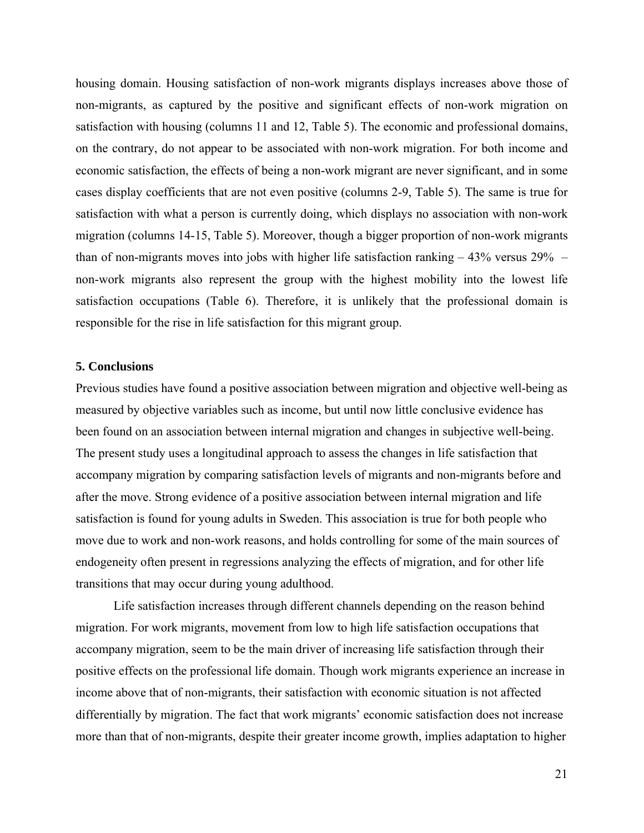housing domain. Housing satisfaction of non-work migrants displays increases above those of non-migrants, as captured by the positive and significant effects of non-work migration on satisfaction with housing (columns 11 and 12, Table 5). The economic and professional domains, on the contrary, do not appear to be associated with non-work migration. For both income and economic satisfaction, the effects of being a non-work migrant are never significant, and in some cases display coefficients that are not even positive (columns 2-9, Table 5). The same is true for satisfaction with what a person is currently doing, which displays no association with non-work migration (columns 14-15, Table 5). Moreover, though a bigger proportion of non-work migrants than of non-migrants moves into jobs with higher life satisfaction ranking – 43% versus 29% – non-work migrants also represent the group with the highest mobility into the lowest life satisfaction occupations (Table 6). Therefore, it is unlikely that the professional domain is responsible for the rise in life satisfaction for this migrant group.

### **5. Conclusions**

Previous studies have found a positive association between migration and objective well-being as measured by objective variables such as income, but until now little conclusive evidence has been found on an association between internal migration and changes in subjective well-being. The present study uses a longitudinal approach to assess the changes in life satisfaction that accompany migration by comparing satisfaction levels of migrants and non-migrants before and after the move. Strong evidence of a positive association between internal migration and life satisfaction is found for young adults in Sweden. This association is true for both people who move due to work and non-work reasons, and holds controlling for some of the main sources of endogeneity often present in regressions analyzing the effects of migration, and for other life transitions that may occur during young adulthood.

Life satisfaction increases through different channels depending on the reason behind migration. For work migrants, movement from low to high life satisfaction occupations that accompany migration, seem to be the main driver of increasing life satisfaction through their positive effects on the professional life domain. Though work migrants experience an increase in income above that of non-migrants, their satisfaction with economic situation is not affected differentially by migration. The fact that work migrants' economic satisfaction does not increase more than that of non-migrants, despite their greater income growth, implies adaptation to higher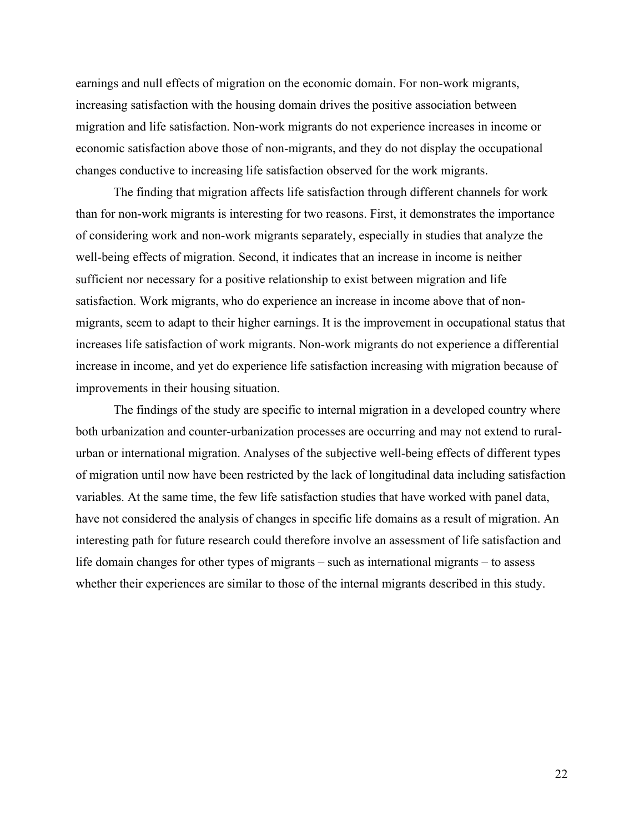earnings and null effects of migration on the economic domain. For non-work migrants, increasing satisfaction with the housing domain drives the positive association between migration and life satisfaction. Non-work migrants do not experience increases in income or economic satisfaction above those of non-migrants, and they do not display the occupational changes conductive to increasing life satisfaction observed for the work migrants.

The finding that migration affects life satisfaction through different channels for work than for non-work migrants is interesting for two reasons. First, it demonstrates the importance of considering work and non-work migrants separately, especially in studies that analyze the well-being effects of migration. Second, it indicates that an increase in income is neither sufficient nor necessary for a positive relationship to exist between migration and life satisfaction. Work migrants, who do experience an increase in income above that of nonmigrants, seem to adapt to their higher earnings. It is the improvement in occupational status that increases life satisfaction of work migrants. Non-work migrants do not experience a differential increase in income, and yet do experience life satisfaction increasing with migration because of improvements in their housing situation.

 The findings of the study are specific to internal migration in a developed country where both urbanization and counter-urbanization processes are occurring and may not extend to ruralurban or international migration. Analyses of the subjective well-being effects of different types of migration until now have been restricted by the lack of longitudinal data including satisfaction variables. At the same time, the few life satisfaction studies that have worked with panel data, have not considered the analysis of changes in specific life domains as a result of migration. An interesting path for future research could therefore involve an assessment of life satisfaction and life domain changes for other types of migrants – such as international migrants – to assess whether their experiences are similar to those of the internal migrants described in this study.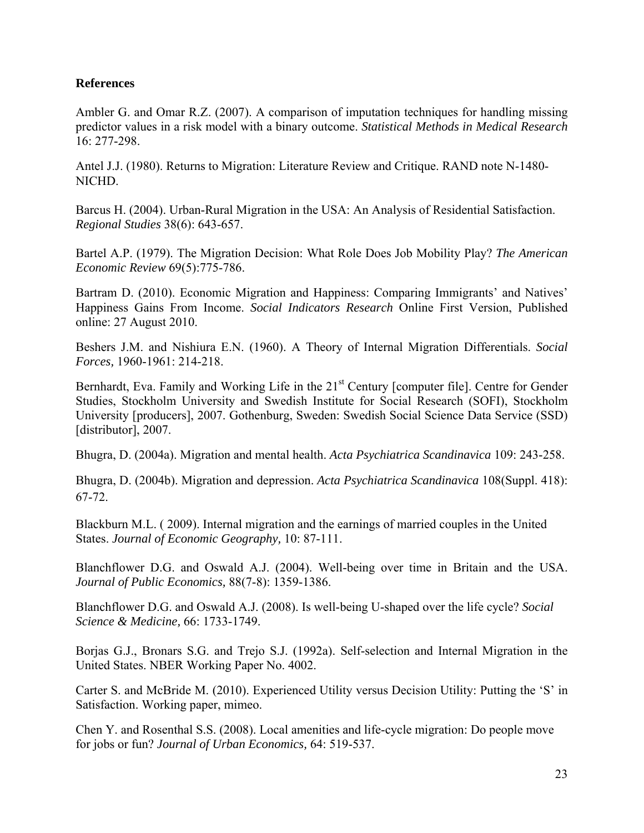## **References**

Ambler G. and Omar R.Z. (2007). A comparison of imputation techniques for handling missing predictor values in a risk model with a binary outcome. *Statistical Methods in Medical Research* 16: 277-298.

Antel J.J. (1980). Returns to Migration: Literature Review and Critique. RAND note N-1480- NICHD.

Barcus H. (2004). Urban-Rural Migration in the USA: An Analysis of Residential Satisfaction. *Regional Studies* 38(6): 643-657.

Bartel A.P. (1979). The Migration Decision: What Role Does Job Mobility Play? *The American Economic Review* 69(5):775-786.

Bartram D. (2010). Economic Migration and Happiness: Comparing Immigrants' and Natives' Happiness Gains From Income. *Social Indicators Research* Online First Version, Published online: 27 August 2010.

Beshers J.M. and Nishiura E.N. (1960). A Theory of Internal Migration Differentials. *Social Forces,* 1960-1961: 214-218.

Bernhardt, Eva. Family and Working Life in the 21<sup>st</sup> Century [computer file]. Centre for Gender Studies, Stockholm University and Swedish Institute for Social Research (SOFI), Stockholm University [producers], 2007. Gothenburg, Sweden: Swedish Social Science Data Service (SSD) [distributor], 2007.

Bhugra, D. (2004a). Migration and mental health. *Acta Psychiatrica Scandinavica* 109: 243-258.

Bhugra, D. (2004b). Migration and depression. *Acta Psychiatrica Scandinavica* 108(Suppl. 418): 67-72.

Blackburn M.L. ( 2009). Internal migration and the earnings of married couples in the United States. *Journal of Economic Geography,* 10: 87-111.

Blanchflower D.G. and Oswald A.J. (2004). Well-being over time in Britain and the USA. *Journal of Public Economics,* 88(7-8): 1359-1386.

Blanchflower D.G. and Oswald A.J. (2008). Is well-being U-shaped over the life cycle? *Social Science & Medicine,* 66: 1733-1749.

Borjas G.J., Bronars S.G. and Trejo S.J. (1992a). Self-selection and Internal Migration in the United States. NBER Working Paper No. 4002.

Carter S. and McBride M. (2010). Experienced Utility versus Decision Utility: Putting the 'S' in Satisfaction. Working paper, mimeo.

Chen Y. and Rosenthal S.S. (2008). Local amenities and life-cycle migration: Do people move for jobs or fun? *Journal of Urban Economics,* 64: 519-537.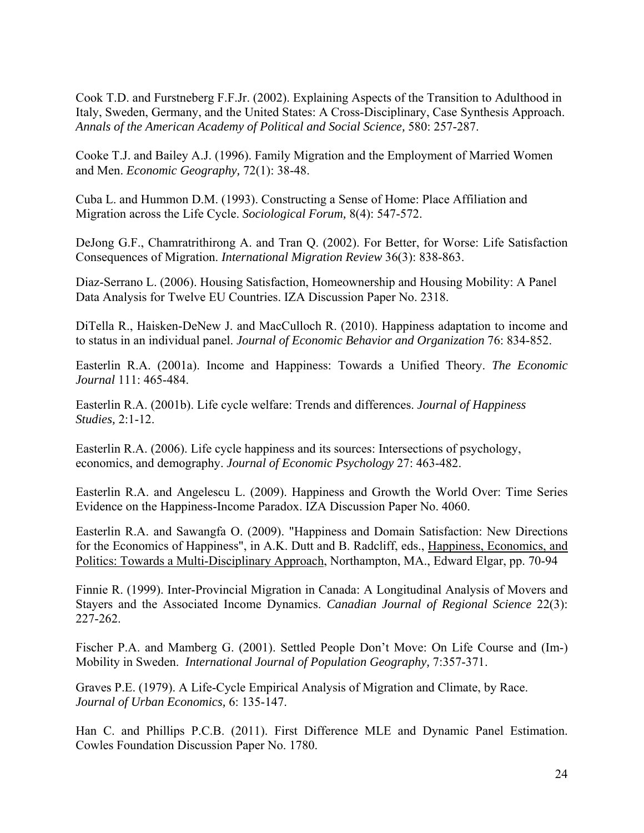Cook T.D. and Furstneberg F.F.Jr. (2002). Explaining Aspects of the Transition to Adulthood in Italy, Sweden, Germany, and the United States: A Cross-Disciplinary, Case Synthesis Approach. *Annals of the American Academy of Political and Social Science,* 580: 257-287.

Cooke T.J. and Bailey A.J. (1996). Family Migration and the Employment of Married Women and Men. *Economic Geography,* 72(1): 38-48.

Cuba L. and Hummon D.M. (1993). Constructing a Sense of Home: Place Affiliation and Migration across the Life Cycle. *Sociological Forum,* 8(4): 547-572.

DeJong G.F., Chamratrithirong A. and Tran Q. (2002). For Better, for Worse: Life Satisfaction Consequences of Migration. *International Migration Review* 36(3): 838-863.

Diaz-Serrano L. (2006). Housing Satisfaction, Homeownership and Housing Mobility: A Panel Data Analysis for Twelve EU Countries. IZA Discussion Paper No. 2318.

DiTella R., Haisken-DeNew J. and MacCulloch R. (2010). Happiness adaptation to income and to status in an individual panel. *Journal of Economic Behavior and Organization* 76: 834-852.

Easterlin R.A. (2001a). Income and Happiness: Towards a Unified Theory. *The Economic Journal* 111: 465-484.

Easterlin R.A. (2001b). Life cycle welfare: Trends and differences. *Journal of Happiness Studies,* 2:1-12.

Easterlin R.A. (2006). Life cycle happiness and its sources: Intersections of psychology, economics, and demography. *Journal of Economic Psychology* 27: 463-482.

Easterlin R.A. and Angelescu L. (2009). Happiness and Growth the World Over: Time Series Evidence on the Happiness-Income Paradox. IZA Discussion Paper No. 4060.

Easterlin R.A. and Sawangfa O. (2009). "Happiness and Domain Satisfaction: New Directions for the Economics of Happiness", in A.K. Dutt and B. Radcliff, eds., Happiness, Economics, and Politics: Towards a Multi-Disciplinary Approach, Northampton, MA., Edward Elgar, pp. 70-94

Finnie R. (1999). Inter-Provincial Migration in Canada: A Longitudinal Analysis of Movers and Stayers and the Associated Income Dynamics. *Canadian Journal of Regional Science* 22(3): 227-262.

Fischer P.A. and Mamberg G. (2001). Settled People Don't Move: On Life Course and (Im-) Mobility in Sweden. *International Journal of Population Geography,* 7:357-371.

Graves P.E. (1979). A Life-Cycle Empirical Analysis of Migration and Climate, by Race. *Journal of Urban Economics,* 6: 135-147.

Han C. and Phillips P.C.B. (2011). First Difference MLE and Dynamic Panel Estimation. Cowles Foundation Discussion Paper No. 1780.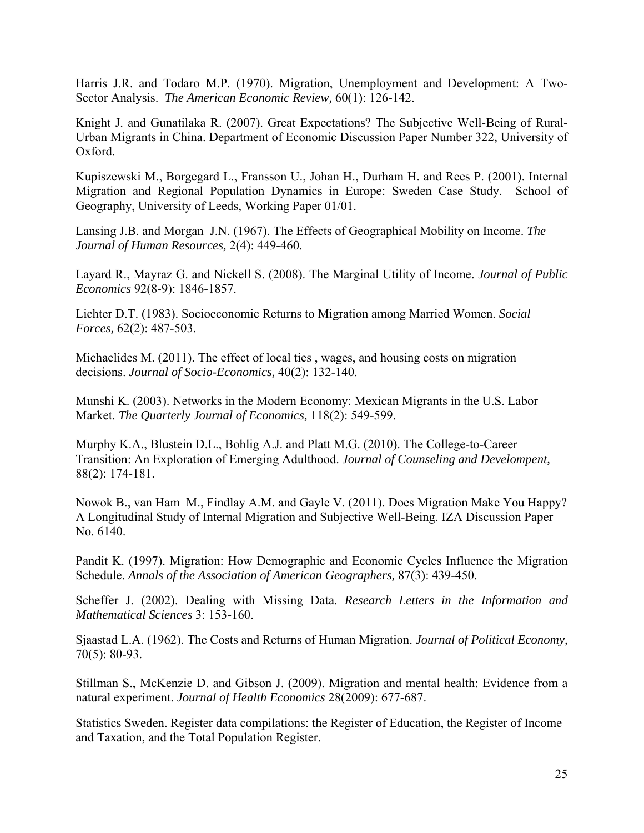Harris J.R. and Todaro M.P. (1970). Migration, Unemployment and Development: A Two-Sector Analysis. *The American Economic Review,* 60(1): 126-142.

Knight J. and Gunatilaka R. (2007). Great Expectations? The Subjective Well-Being of Rural-Urban Migrants in China. Department of Economic Discussion Paper Number 322, University of Oxford.

Kupiszewski M., Borgegard L., Fransson U., Johan H., Durham H. and Rees P. (2001). Internal Migration and Regional Population Dynamics in Europe: Sweden Case Study. School of Geography, University of Leeds, Working Paper 01/01.

Lansing J.B. and Morgan J.N. (1967). The Effects of Geographical Mobility on Income. *The Journal of Human Resources,* 2(4): 449-460.

Layard R., Mayraz G. and Nickell S. (2008). The Marginal Utility of Income. *Journal of Public Economics* 92(8-9): 1846-1857.

Lichter D.T. (1983). Socioeconomic Returns to Migration among Married Women. *Social Forces,* 62(2): 487-503.

Michaelides M. (2011). The effect of local ties , wages, and housing costs on migration decisions. *Journal of Socio-Economics,* 40(2): 132-140.

Munshi K. (2003). Networks in the Modern Economy: Mexican Migrants in the U.S. Labor Market. *The Quarterly Journal of Economics,* 118(2): 549-599.

Murphy K.A., Blustein D.L., Bohlig A.J. and Platt M.G. (2010). The College-to-Career Transition: An Exploration of Emerging Adulthood. *Journal of Counseling and Develompent,* 88(2): 174-181.

Nowok B., van Ham M., Findlay A.M. and Gayle V. (2011). Does Migration Make You Happy? A Longitudinal Study of Internal Migration and Subjective Well-Being. IZA Discussion Paper No. 6140.

Pandit K. (1997). Migration: How Demographic and Economic Cycles Influence the Migration Schedule. *Annals of the Association of American Geographers,* 87(3): 439-450.

Scheffer J. (2002). Dealing with Missing Data. *Research Letters in the Information and Mathematical Sciences* 3: 153-160.

Sjaastad L.A. (1962). The Costs and Returns of Human Migration. *Journal of Political Economy,*  70(5): 80-93.

Stillman S., McKenzie D. and Gibson J. (2009). Migration and mental health: Evidence from a natural experiment. *Journal of Health Economics* 28(2009): 677-687.

Statistics Sweden. Register data compilations: the Register of Education, the Register of Income and Taxation, and the Total Population Register.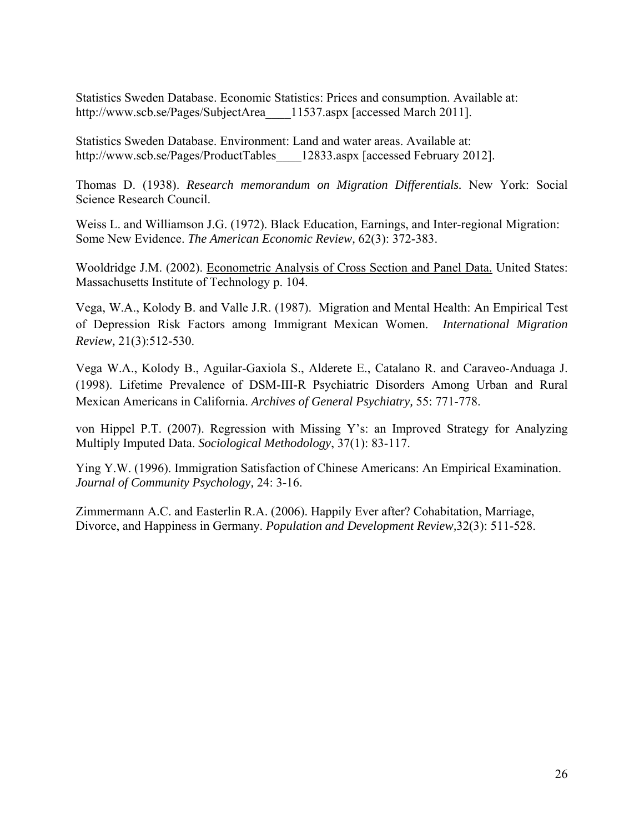Statistics Sweden Database. Economic Statistics: Prices and consumption. Available at: http://www.scb.se/Pages/SubjectArea 11537.aspx [accessed March 2011].

Statistics Sweden Database. Environment: Land and water areas. Available at: http://www.scb.se/Pages/ProductTables 12833.aspx [accessed February 2012].

Thomas D. (1938). *Research memorandum on Migration Differentials.* New York: Social Science Research Council.

Weiss L. and Williamson J.G. (1972). Black Education, Earnings, and Inter-regional Migration: Some New Evidence. *The American Economic Review,* 62(3): 372-383.

Wooldridge J.M. (2002). Econometric Analysis of Cross Section and Panel Data. United States: Massachusetts Institute of Technology p. 104.

Vega, W.A., Kolody B. and Valle J.R. (1987). Migration and Mental Health: An Empirical Test of Depression Risk Factors among Immigrant Mexican Women. *International Migration Review,* 21(3):512-530.

Vega W.A., Kolody B., Aguilar-Gaxiola S., Alderete E., Catalano R. and Caraveo-Anduaga J. (1998). Lifetime Prevalence of DSM-III-R Psychiatric Disorders Among Urban and Rural Mexican Americans in California. *Archives of General Psychiatry,* 55: 771-778.

von Hippel P.T. (2007). Regression with Missing Y's: an Improved Strategy for Analyzing Multiply Imputed Data. *Sociological Methodology*, 37(1): 83-117.

Ying Y.W. (1996). Immigration Satisfaction of Chinese Americans: An Empirical Examination. *Journal of Community Psychology,* 24: 3-16.

Zimmermann A.C. and Easterlin R.A. (2006). Happily Ever after? Cohabitation, Marriage, Divorce, and Happiness in Germany. *Population and Development Review,*32(3): 511-528.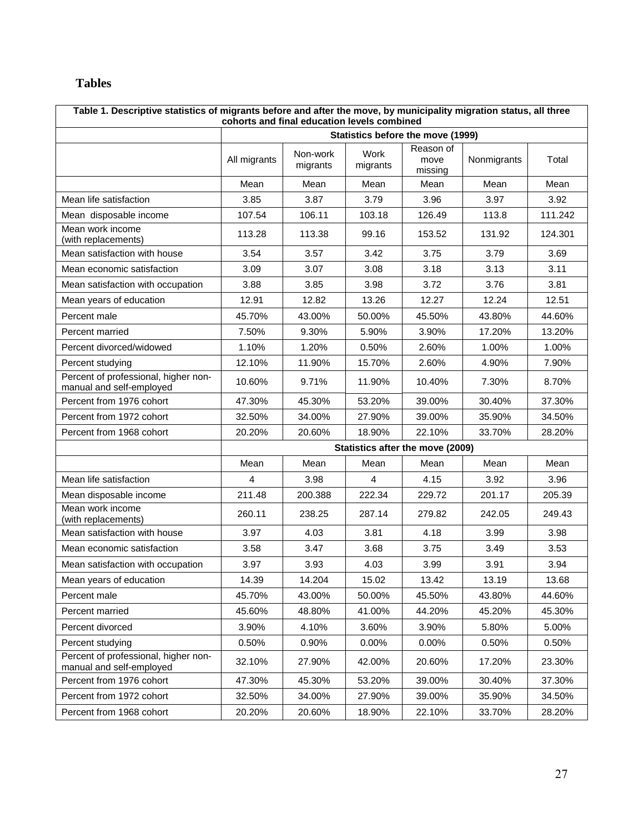## **Tables**

|                                                                  | Table 1. Descriptive statistics of migrants before and after the move, by municipality migration status, all three<br>cohorts and final education levels combined |                      |                  |                                   |             |         |  |  |  |  |  |  |
|------------------------------------------------------------------|-------------------------------------------------------------------------------------------------------------------------------------------------------------------|----------------------|------------------|-----------------------------------|-------------|---------|--|--|--|--|--|--|
|                                                                  |                                                                                                                                                                   |                      |                  | Statistics before the move (1999) |             |         |  |  |  |  |  |  |
|                                                                  | All migrants                                                                                                                                                      | Non-work<br>migrants | Work<br>migrants | Reason of<br>move<br>missing      | Nonmigrants | Total   |  |  |  |  |  |  |
|                                                                  | Mean                                                                                                                                                              | Mean                 | Mean             | Mean                              | Mean        | Mean    |  |  |  |  |  |  |
| Mean life satisfaction                                           | 3.85                                                                                                                                                              | 3.87                 | 3.79             | 3.96                              | 3.97        | 3.92    |  |  |  |  |  |  |
| Mean disposable income                                           | 107.54                                                                                                                                                            | 106.11               | 103.18           | 126.49                            | 113.8       | 111.242 |  |  |  |  |  |  |
| Mean work income<br>(with replacements)                          | 113.28                                                                                                                                                            | 113.38               | 99.16            | 153.52                            | 131.92      | 124.301 |  |  |  |  |  |  |
| Mean satisfaction with house                                     | 3.54                                                                                                                                                              | 3.57                 | 3.42             | 3.75                              | 3.79        | 3.69    |  |  |  |  |  |  |
| Mean economic satisfaction                                       | 3.09                                                                                                                                                              | 3.07                 | 3.08             | 3.18                              | 3.13        | 3.11    |  |  |  |  |  |  |
| Mean satisfaction with occupation                                | 3.88                                                                                                                                                              | 3.85                 | 3.98             | 3.72                              | 3.76        | 3.81    |  |  |  |  |  |  |
| Mean years of education                                          | 12.91                                                                                                                                                             | 12.82                | 13.26            | 12.27                             | 12.24       | 12.51   |  |  |  |  |  |  |
| Percent male                                                     | 45.70%                                                                                                                                                            | 43.00%               | 50.00%           | 45.50%                            | 43.80%      | 44.60%  |  |  |  |  |  |  |
| Percent married                                                  | 7.50%                                                                                                                                                             | 9.30%                | 5.90%            | 3.90%                             | 17.20%      | 13.20%  |  |  |  |  |  |  |
| Percent divorced/widowed                                         | 1.10%                                                                                                                                                             | 1.20%                | 0.50%            | 2.60%                             | 1.00%       | 1.00%   |  |  |  |  |  |  |
| Percent studying                                                 | 12.10%                                                                                                                                                            | 11.90%               | 15.70%           | 2.60%                             | 4.90%       | 7.90%   |  |  |  |  |  |  |
| Percent of professional, higher non-<br>manual and self-employed | 10.60%                                                                                                                                                            | 9.71%                | 11.90%           | 10.40%                            | 7.30%       | 8.70%   |  |  |  |  |  |  |
| Percent from 1976 cohort                                         | 47.30%                                                                                                                                                            | 45.30%               | 53.20%           | 39.00%                            | 30.40%      | 37.30%  |  |  |  |  |  |  |
| Percent from 1972 cohort                                         | 32.50%                                                                                                                                                            | 34.00%               | 27.90%           | 39.00%                            | 35.90%      | 34.50%  |  |  |  |  |  |  |
| Percent from 1968 cohort                                         | 20.20%                                                                                                                                                            | 20.60%               | 18.90%           | 22.10%                            | 33.70%      | 28.20%  |  |  |  |  |  |  |
|                                                                  |                                                                                                                                                                   |                      |                  | Statistics after the move (2009)  |             |         |  |  |  |  |  |  |
|                                                                  | Mean                                                                                                                                                              | Mean                 | Mean             | Mean                              | Mean        | Mean    |  |  |  |  |  |  |
| Mean life satisfaction                                           | 4                                                                                                                                                                 | 3.98                 | 4                | 4.15                              | 3.92        | 3.96    |  |  |  |  |  |  |
| Mean disposable income                                           | 211.48                                                                                                                                                            | 200.388              | 222.34           | 229.72                            | 201.17      | 205.39  |  |  |  |  |  |  |
| Mean work income<br>(with replacements)                          | 260.11                                                                                                                                                            | 238.25               | 287.14           | 279.82                            | 242.05      | 249.43  |  |  |  |  |  |  |
| Mean satisfaction with house                                     | 3.97                                                                                                                                                              | 4.03                 | 3.81             | 4.18                              | 3.99        | 3.98    |  |  |  |  |  |  |
| Mean economic satisfaction                                       | 3.58                                                                                                                                                              | 3.47                 | 3.68             | 3.75                              | 3.49        | 3.53    |  |  |  |  |  |  |
| Mean satisfaction with occupation                                | 3.97                                                                                                                                                              | 3.93                 | 4.03             | 3.99                              | 3.91        | 3.94    |  |  |  |  |  |  |
| Mean years of education                                          | 14.39                                                                                                                                                             | 14.204               | 15.02            | 13.42                             | 13.19       | 13.68   |  |  |  |  |  |  |
| Percent male                                                     | 45.70%                                                                                                                                                            | 43.00%               | 50.00%           | 45.50%                            | 43.80%      | 44.60%  |  |  |  |  |  |  |
| Percent married                                                  | 45.60%                                                                                                                                                            | 48.80%               | 41.00%           | 44.20%                            | 45.20%      | 45.30%  |  |  |  |  |  |  |
| Percent divorced                                                 | 3.90%                                                                                                                                                             | 4.10%                | 3.60%            | 3.90%                             | 5.80%       | 5.00%   |  |  |  |  |  |  |
| Percent studying                                                 | 0.50%                                                                                                                                                             | 0.90%                | 0.00%            | 0.00%                             | 0.50%       | 0.50%   |  |  |  |  |  |  |
| Percent of professional, higher non-<br>manual and self-employed | 32.10%                                                                                                                                                            | 27.90%               | 42.00%           | 20.60%                            | 17.20%      | 23.30%  |  |  |  |  |  |  |
| Percent from 1976 cohort                                         | 47.30%                                                                                                                                                            | 45.30%               | 53.20%           | 39.00%                            | 30.40%      | 37.30%  |  |  |  |  |  |  |
| Percent from 1972 cohort                                         | 32.50%                                                                                                                                                            | 34.00%               | 27.90%           | 39.00%                            | 35.90%      | 34.50%  |  |  |  |  |  |  |
| Percent from 1968 cohort                                         | 20.20%                                                                                                                                                            | 20.60%               | 18.90%           | 22.10%                            | 33.70%      | 28.20%  |  |  |  |  |  |  |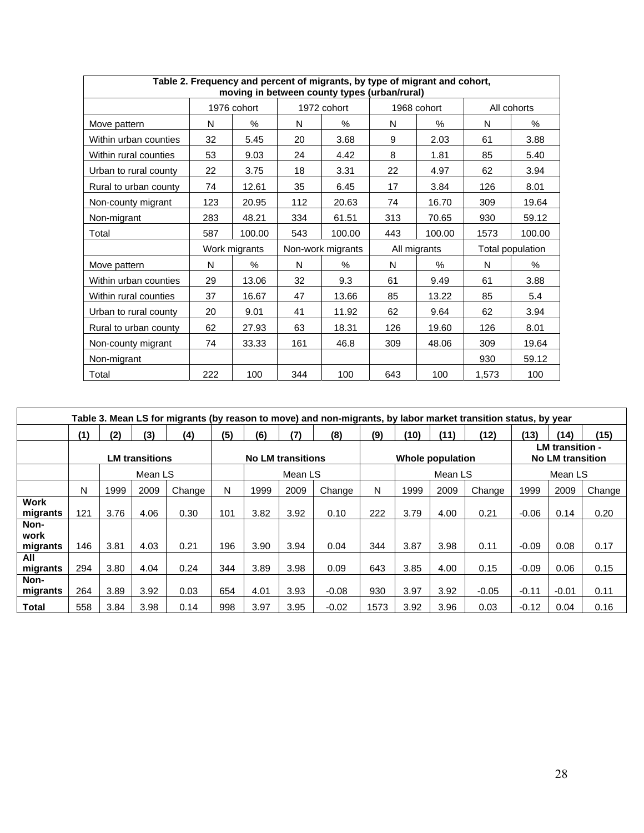|                       |     |               |     | Table 2. Frequency and percent of migrants, by type of migrant and cohort,<br>moving in between county types (urban/rural) |     |              |       |                  |
|-----------------------|-----|---------------|-----|----------------------------------------------------------------------------------------------------------------------------|-----|--------------|-------|------------------|
|                       |     | 1976 cohort   |     | 1972 cohort                                                                                                                |     | 1968 cohort  |       | All cohorts      |
| Move pattern          | N   | $\%$          | N   | %                                                                                                                          | N   | %            | N     | %                |
| Within urban counties | 32  | 5.45          | 20  | 3.68                                                                                                                       | 9   | 2.03         | 61    | 3.88             |
| Within rural counties | 53  | 9.03          | 24  | 4.42                                                                                                                       | 8   | 1.81         | 85    | 5.40             |
| Urban to rural county | 22  | 3.75          | 18  | 3.31                                                                                                                       | 22  | 4.97         | 62    | 3.94             |
| Rural to urban county | 74  | 12.61         | 35  | 6.45                                                                                                                       | 17  | 3.84         | 126   | 8.01             |
| Non-county migrant    | 123 | 20.95         | 112 | 20.63                                                                                                                      | 74  | 16.70        | 309   | 19.64            |
| Non-migrant           | 283 | 48.21         | 334 | 61.51                                                                                                                      | 313 | 70.65        | 930   | 59.12            |
| Total                 | 587 | 100.00        | 543 | 100.00                                                                                                                     | 443 | 100.00       | 1573  | 100.00           |
|                       |     | Work migrants |     | Non-work migrants                                                                                                          |     | All migrants |       | Total population |
| Move pattern          | N   | $\%$          | N   | $\%$                                                                                                                       | N   | $\%$         | N     | $\%$             |
| Within urban counties | 29  | 13.06         | 32  | 9.3                                                                                                                        | 61  | 9.49         | 61    | 3.88             |
| Within rural counties | 37  | 16.67         | 47  | 13.66                                                                                                                      | 85  | 13.22        | 85    | 5.4              |
| Urban to rural county | 20  | 9.01          | 41  | 11.92                                                                                                                      | 62  | 9.64         | 62    | 3.94             |
| Rural to urban county | 62  | 27.93         | 63  | 18.31                                                                                                                      | 126 | 19.60        | 126   | 8.01             |
| Non-county migrant    | 74  | 33.33         | 161 | 46.8                                                                                                                       | 309 | 48.06        | 309   | 19.64            |
| Non-migrant           |     |               |     |                                                                                                                            |     |              | 930   | 59.12            |
| Total                 | 222 | 100           | 344 | 100                                                                                                                        | 643 | 100          | 1,573 | 100              |

|                         | Table 3. Mean LS for migrants (by reason to move) and non-migrants, by labor market transition status, by year |      |                       |        |     |         |                          |         |      |      |                  |         |         |                                                   |        |
|-------------------------|----------------------------------------------------------------------------------------------------------------|------|-----------------------|--------|-----|---------|--------------------------|---------|------|------|------------------|---------|---------|---------------------------------------------------|--------|
|                         | (1)                                                                                                            | (2)  | (3)                   | (4)    | (5) | (6)     | (7)                      | (8)     | (9)  | (10) | (11)             | (12)    | (13)    | (14)                                              | (15)   |
|                         |                                                                                                                |      | <b>LM</b> transitions |        |     |         | <b>No LM transitions</b> |         |      |      | Whole population |         |         | <b>LM</b> transition -<br><b>No LM transition</b> |        |
|                         |                                                                                                                |      | Mean LS               |        |     | Mean LS |                          |         |      |      | Mean LS          |         |         | Mean LS                                           |        |
|                         | N                                                                                                              | 1999 | 2009                  | Change | N   | 1999    | 2009                     | Change  | N    | 1999 | 2009             | Change  | 1999    | 2009                                              | Change |
| <b>Work</b><br>migrants | 121                                                                                                            | 3.76 | 4.06                  | 0.30   | 101 | 3.82    | 3.92                     | 0.10    | 222  | 3.79 | 4.00             | 0.21    | $-0.06$ | 0.14                                              | 0.20   |
| Non-<br>work            |                                                                                                                |      |                       |        |     |         |                          |         |      |      |                  |         |         |                                                   |        |
| migrants                | 146                                                                                                            | 3.81 | 4.03                  | 0.21   | 196 | 3.90    | 3.94                     | 0.04    | 344  | 3.87 | 3.98             | 0.11    | $-0.09$ | 0.08                                              | 0.17   |
| All<br>migrants         | 294                                                                                                            | 3.80 | 4.04                  | 0.24   | 344 | 3.89    | 3.98                     | 0.09    | 643  | 3.85 | 4.00             | 0.15    | $-0.09$ | 0.06                                              | 0.15   |
| Non-<br>migrants        | 264                                                                                                            | 3.89 | 3.92                  | 0.03   | 654 | 4.01    | 3.93                     | $-0.08$ | 930  | 3.97 | 3.92             | $-0.05$ | $-0.11$ | $-0.01$                                           | 0.11   |
| Total                   | 558                                                                                                            | 3.84 | 3.98                  | 0.14   | 998 | 3.97    | 3.95                     | $-0.02$ | 1573 | 3.92 | 3.96             | 0.03    | $-0.12$ | 0.04                                              | 0.16   |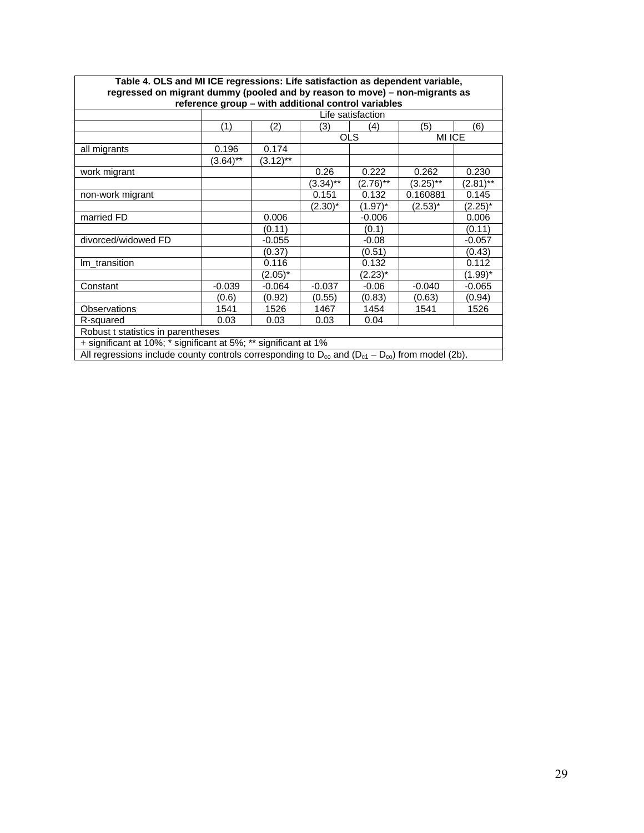| Table 4. OLS and MI ICE regressions: Life satisfaction as dependent variable,                                          |                                                     |             |          |                   |          |            |  |  |  |  |  |  |  |
|------------------------------------------------------------------------------------------------------------------------|-----------------------------------------------------|-------------|----------|-------------------|----------|------------|--|--|--|--|--|--|--|
| regressed on migrant dummy (pooled and by reason to move) – non-migrants as                                            |                                                     |             |          |                   |          |            |  |  |  |  |  |  |  |
|                                                                                                                        | reference group - with additional control variables |             |          |                   |          |            |  |  |  |  |  |  |  |
|                                                                                                                        |                                                     |             |          | Life satisfaction |          |            |  |  |  |  |  |  |  |
|                                                                                                                        | (1)                                                 | (2)         | (3)      | (4)               | (5)      | (6)        |  |  |  |  |  |  |  |
|                                                                                                                        |                                                     |             |          | <b>OLS</b>        | MI ICE   |            |  |  |  |  |  |  |  |
| all migrants                                                                                                           | 0.196                                               | 0.174       |          |                   |          |            |  |  |  |  |  |  |  |
|                                                                                                                        | $(3.64)$ **                                         | $(3.12)$ ** |          |                   |          |            |  |  |  |  |  |  |  |
| 0.26<br>0.222<br>0.262<br>0.230<br>work migrant                                                                        |                                                     |             |          |                   |          |            |  |  |  |  |  |  |  |
| $(2.76)$ **<br>$(3.25)$ **<br>$(2.81)$ **<br>$(3.34)$ **                                                               |                                                     |             |          |                   |          |            |  |  |  |  |  |  |  |
| 0.151<br>0.132<br>0.160881<br>0.145<br>non-work migrant                                                                |                                                     |             |          |                   |          |            |  |  |  |  |  |  |  |
| $(1.97)^*$<br>$(2.25)^*$<br>$(2.30)^*$<br>$(2.53)^*$                                                                   |                                                     |             |          |                   |          |            |  |  |  |  |  |  |  |
| married FD                                                                                                             |                                                     | 0.006       |          | $-0.006$          |          | 0.006      |  |  |  |  |  |  |  |
|                                                                                                                        |                                                     | (0.11)      |          | (0.1)             |          | (0.11)     |  |  |  |  |  |  |  |
| divorced/widowed FD                                                                                                    |                                                     | $-0.055$    |          | $-0.08$           |          | -0.057     |  |  |  |  |  |  |  |
|                                                                                                                        |                                                     | (0.37)      |          | (0.51)            |          | (0.43)     |  |  |  |  |  |  |  |
| Im_transition                                                                                                          |                                                     | 0.116       |          | 0.132             |          | 0.112      |  |  |  |  |  |  |  |
|                                                                                                                        |                                                     | $(2.05)^*$  |          | $(2.23)^*$        |          | $(1.99)^*$ |  |  |  |  |  |  |  |
| Constant                                                                                                               | $-0.039$                                            | $-0.064$    | $-0.037$ | $-0.06$           | $-0.040$ | $-0.065$   |  |  |  |  |  |  |  |
|                                                                                                                        | (0.6)                                               | (0.92)      | (0.55)   | (0.83)            | (0.63)   | (0.94)     |  |  |  |  |  |  |  |
| Observations                                                                                                           | 1541                                                | 1526        | 1467     | 1454              | 1541     | 1526       |  |  |  |  |  |  |  |
| R-squared                                                                                                              | 0.03                                                | 0.03        | 0.03     | 0.04              |          |            |  |  |  |  |  |  |  |
| Robust t statistics in parentheses                                                                                     |                                                     |             |          |                   |          |            |  |  |  |  |  |  |  |
| + significant at 10%; * significant at 5%; ** significant at 1%                                                        |                                                     |             |          |                   |          |            |  |  |  |  |  |  |  |
| All regressions include county controls corresponding to $D_{\rm co}$ and $(D_{\rm c1} - D_{\rm co})$ from model (2b). |                                                     |             |          |                   |          |            |  |  |  |  |  |  |  |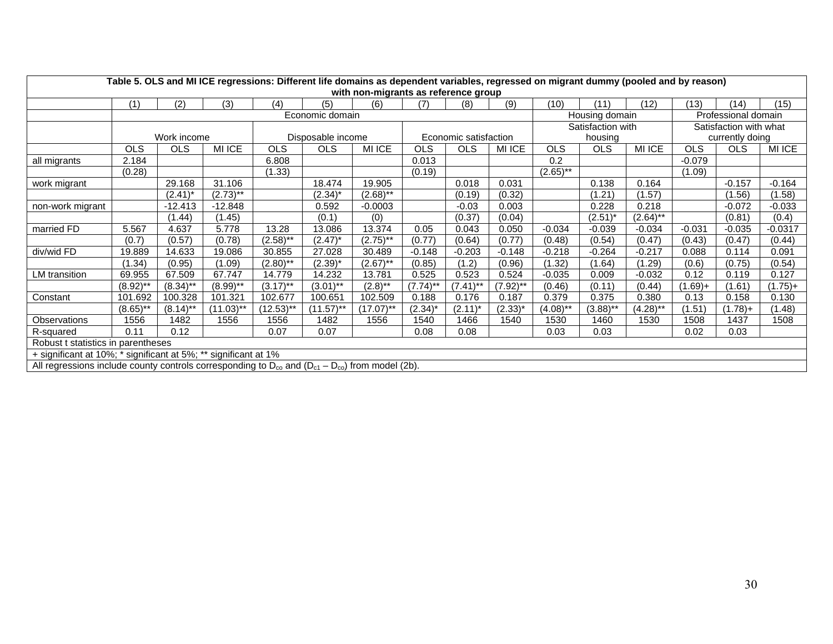|                                                                                                                    | Table 5. OLS and MI ICE regressions: Different life domains as dependent variables, regressed on migrant dummy (pooled and by reason)<br>with non-migrants as reference group |             |              |             |                   |              |             |                       |              |             |                   |               |            |                        |           |
|--------------------------------------------------------------------------------------------------------------------|-------------------------------------------------------------------------------------------------------------------------------------------------------------------------------|-------------|--------------|-------------|-------------------|--------------|-------------|-----------------------|--------------|-------------|-------------------|---------------|------------|------------------------|-----------|
|                                                                                                                    | (1)                                                                                                                                                                           | (2)         | (3)          | (4)         | (5)               | (6)          | (7)         | (8)                   | (9)          | (10)        | (11)              | (12)          | (13)       | (14)                   | (15)      |
|                                                                                                                    |                                                                                                                                                                               |             |              |             | Economic domain   |              |             |                       |              |             | Housing domain    |               |            | Professional domain    |           |
|                                                                                                                    |                                                                                                                                                                               |             |              |             |                   |              |             |                       |              |             | Satisfaction with |               |            | Satisfaction with what |           |
|                                                                                                                    |                                                                                                                                                                               | Work income |              |             | Disposable income |              |             | Economic satisfaction |              |             | housing           |               |            | currently doing        |           |
|                                                                                                                    | <b>OLS</b>                                                                                                                                                                    | <b>OLS</b>  | MI ICE       | <b>OLS</b>  | <b>OLS</b>        | MI ICE       | <b>OLS</b>  | <b>OLS</b>            | MI ICE       | <b>OLS</b>  | <b>OLS</b>        | <b>MI ICE</b> | <b>OLS</b> | <b>OLS</b>             | MI ICE    |
| all migrants                                                                                                       | 2.184                                                                                                                                                                         |             |              | 6.808       |                   |              | 0.013       |                       |              | 0.2         |                   |               | $-0.079$   |                        |           |
|                                                                                                                    | (0.28)                                                                                                                                                                        |             |              | (1.33)      |                   |              | (0.19)      |                       |              | $(2.65)$ ** |                   |               | (1.09)     |                        |           |
| work migrant                                                                                                       |                                                                                                                                                                               | 29.168      | 31.106       |             | 18.474            | 19.905       |             | 0.018                 | 0.031        |             | 0.138             | 0.164         |            | $-0.157$               | $-0.164$  |
|                                                                                                                    |                                                                                                                                                                               | $(2.41)^*$  | $(2.73)$ **  |             | $(2.34)^*$        | $(2.68)$ **  |             | (0.19)                | (0.32)       |             | (1.21)            | (1.57)        |            | (1.56)                 | (1.58)    |
| non-work migrant                                                                                                   |                                                                                                                                                                               | $-12.413$   | $-12.848$    |             | 0.592             | $-0.0003$    |             | $-0.03$               | 0.003        |             | 0.228             | 0.218         |            | $-0.072$               | $-0.033$  |
|                                                                                                                    |                                                                                                                                                                               | (1.44)      | (1.45)       |             | (0.1)             | (0)          |             | (0.37)                | (0.04)       |             | $(2.51)^*$        | $(2.64)$ **   |            | (0.81)                 | (0.4)     |
| married FD                                                                                                         | 5.567                                                                                                                                                                         | 4.637       | 5.778        | 13.28       | 13.086            | 13.374       | 0.05        | 0.043                 | 0.050        | $-0.034$    | $-0.039$          | $-0.034$      | $-0.031$   | $-0.035$               | $-0.0317$ |
|                                                                                                                    | (0.7)                                                                                                                                                                         | (0.57)      | (0.78)       | $(2.58)$ ** | $(2.47)^*$        | $(2.75)$ **  | (0.77)      | (0.64)                | (0.77)       | (0.48)      | (0.54)            | (0.47)        | (0.43)     | (0.47)                 | (0.44)    |
| div/wid FD                                                                                                         | 19.889                                                                                                                                                                        | 14.633      | 19.086       | 30.855      | 27.028            | 30.489       | $-0.148$    | $-0.203$              | $-0.148$     | $-0.218$    | $-0.264$          | $-0.217$      | 0.088      | 0.114                  | 0.091     |
|                                                                                                                    | (1.34)                                                                                                                                                                        | (0.95)      | (1.09)       | $(2.80)$ ** | $(2.39)^*$        | $(2.67)$ **  | (0.85)      | (1.2)                 | (0.96)       | (1.32)      | (1.64)            | (1.29)        | (0.6)      | (0.75)                 | (0.54)    |
| LM transition                                                                                                      | 69.955                                                                                                                                                                        | 67.509      | 67.747       | 14.779      | 14.232            | 13.781       | 0.525       | 0.523                 | 0.524        | $-0.035$    | 0.009             | $-0.032$      | 0.12       | 0.119                  | 0.127     |
|                                                                                                                    | $(8.92)$ **                                                                                                                                                                   | $(8.34)$ ** | $(8.99)$ **  | $(3.17)$ ** | $(3.01)$ **       | $(2.8)$ **   | $(7.74)$ ** | $(7.41)$ **           | $(7.92)$ **  | (0.46)      | (0.11)            | (0.44)        | $(1.69) +$ | (1.61)                 | $(1.75)+$ |
| Constant                                                                                                           | 101.692                                                                                                                                                                       | 100.328     | 101.321      | 102.677     | 100.651           | 102.509      | 0.188       | 0.176                 | 0.187        | 0.379       | 0.375             | 0.380         | 0.13       | 0.158                  | 0.130     |
|                                                                                                                    | $(8.65)$ **                                                                                                                                                                   | $(8.14)$ ** | $(11.03)$ ** | (12.53)**   | $(11.57)$ **      | $(17.07)$ ** | $(2.34)^*$  | $(2.11)^*$            | $(2.33)^{*}$ | $(4.08)$ ** | $(3.88)$ **       | (4.28)**      | (1.51)     | $(1.78)+$              | (1.48)    |
| Observations                                                                                                       | 1556                                                                                                                                                                          | 1482        | 1556         | 1556        | 1482              | 1556         | 1540        | 1466                  | 1540         | 1530        | 1460              | 1530          | 1508       | 1437                   | 1508      |
| R-squared                                                                                                          | 0.11                                                                                                                                                                          | 0.12        |              | 0.07        | 0.07              |              | 0.08        | 0.08                  |              | 0.03        | 0.03              |               | 0.02       | 0.03                   |           |
| Robust t statistics in parentheses                                                                                 |                                                                                                                                                                               |             |              |             |                   |              |             |                       |              |             |                   |               |            |                        |           |
| + significant at 10%; * significant at 5%; ** significant at 1%                                                    |                                                                                                                                                                               |             |              |             |                   |              |             |                       |              |             |                   |               |            |                        |           |
| All regressions include county controls corresponding to $D_{\infty}$ and $(D_{c1} - D_{\infty})$ from model (2b). |                                                                                                                                                                               |             |              |             |                   |              |             |                       |              |             |                   |               |            |                        |           |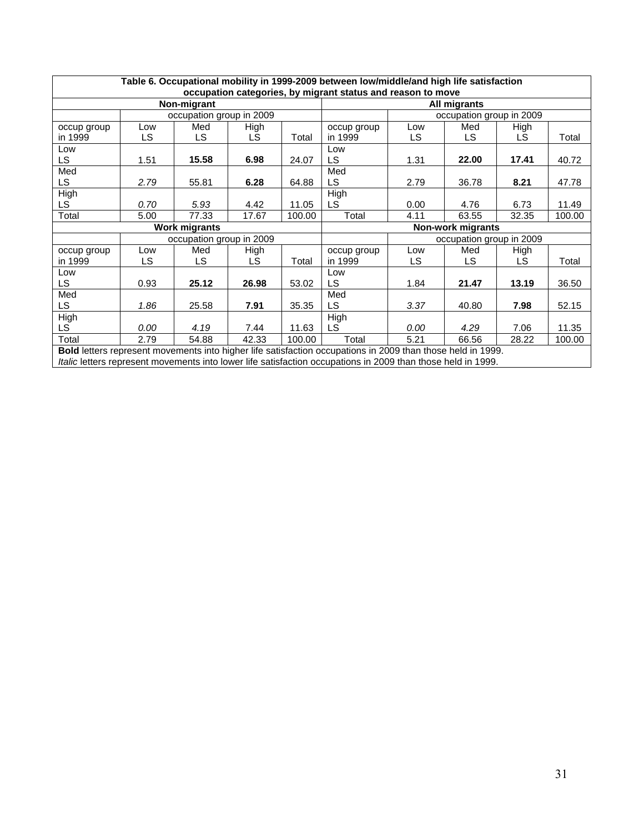|                                                                                        |      |                          |       |        | Table 6. Occupational mobility in 1999-2009 between low/middle/and high life satisfaction                   |      |                          |       |        |
|----------------------------------------------------------------------------------------|------|--------------------------|-------|--------|-------------------------------------------------------------------------------------------------------------|------|--------------------------|-------|--------|
|                                                                                        |      |                          |       |        | occupation categories, by migrant status and reason to move                                                 |      |                          |       |        |
|                                                                                        |      | Non-migrant              |       |        |                                                                                                             |      | All migrants             |       |        |
|                                                                                        |      | occupation group in 2009 |       |        |                                                                                                             |      | occupation group in 2009 |       |        |
| occup group                                                                            | Low  | Med                      | High  |        | occup group                                                                                                 | Low  | Med                      | High  |        |
| in 1999                                                                                | LS   | LS                       | LS    | Total  | in 1999                                                                                                     | LS   | LS.                      | LS.   | Total  |
| Low                                                                                    |      |                          |       |        | Low                                                                                                         |      |                          |       |        |
| LS.                                                                                    | 1.51 | 15.58                    | 6.98  | 24.07  | LS.                                                                                                         | 1.31 | 22.00                    | 17.41 | 40.72  |
| Med                                                                                    |      |                          |       |        | Med                                                                                                         |      |                          |       |        |
| LS.                                                                                    | 2.79 | 55.81                    | 6.28  | 64.88  | LS.                                                                                                         | 2.79 | 36.78                    | 8.21  | 47.78  |
| High                                                                                   |      |                          |       |        | High                                                                                                        |      |                          |       |        |
| LS.                                                                                    | 0.70 | 5.93                     | 4.42  | 11.05  | LS.                                                                                                         | 0.00 | 4.76                     | 6.73  | 11.49  |
| Total                                                                                  | 5.00 | 77.33                    | 17.67 | 100.00 | Total                                                                                                       | 4.11 | 63.55                    | 32.35 | 100.00 |
|                                                                                        |      | <b>Work migrants</b>     |       |        |                                                                                                             |      | Non-work migrants        |       |        |
|                                                                                        |      | occupation group in 2009 |       |        |                                                                                                             |      | occupation group in 2009 |       |        |
| occup group                                                                            | Low  | Med                      | High  |        | occup group                                                                                                 | Low  | Med                      | High  |        |
| in 1999                                                                                | LS.  | LS.                      | LS.   | Total  | in 1999                                                                                                     | LS.  | <b>LS</b>                | LS.   | Total  |
| Low                                                                                    |      |                          |       |        | Low                                                                                                         |      |                          |       |        |
| LS.                                                                                    | 0.93 | 25.12                    | 26.98 | 53.02  | LS.                                                                                                         | 1.84 | 21.47                    | 13.19 | 36.50  |
| Med                                                                                    |      |                          |       |        | Med                                                                                                         |      |                          |       |        |
| LS.                                                                                    | 1.86 | 25.58                    | 7.91  | 35.35  | <b>LS</b>                                                                                                   | 3.37 | 40.80                    | 7.98  | 52.15  |
| High                                                                                   |      |                          |       |        | High                                                                                                        |      |                          |       |        |
| LS.                                                                                    | 0.00 | 4.19                     | 7.44  | 11.63  | LS.                                                                                                         | 0.00 | 4.29                     | 7.06  | 11.35  |
| Total<br>2.79<br>Total<br>5.21<br>54.88<br>42.33<br>100.00<br>66.56<br>28.22<br>100.00 |      |                          |       |        |                                                                                                             |      |                          |       |        |
|                                                                                        |      |                          |       |        | Bold letters represent movements into higher life satisfaction occupations in 2009 than those held in 1999. |      |                          |       |        |

*Italic* letters represent movements into lower life satisfaction occupations in 2009 than those held in 1999.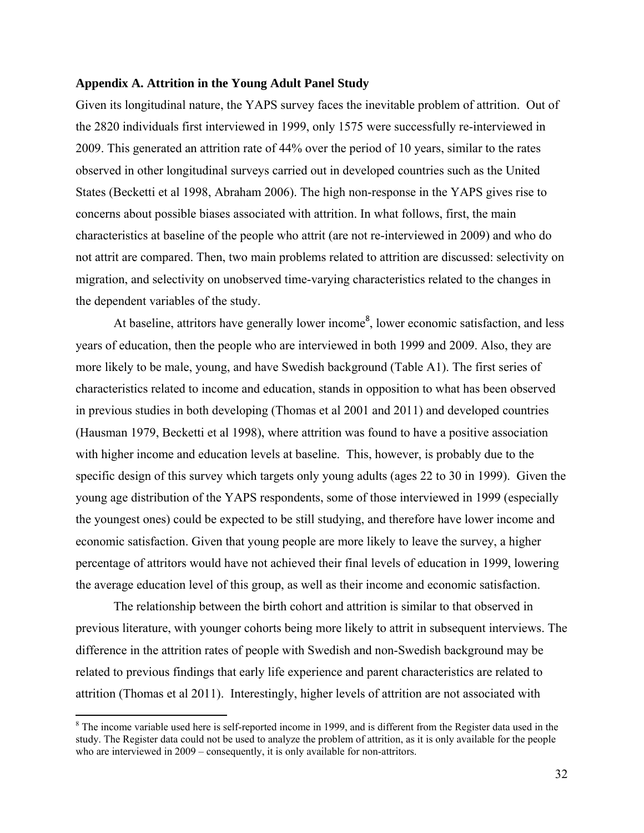#### **Appendix A. Attrition in the Young Adult Panel Study**

Given its longitudinal nature, the YAPS survey faces the inevitable problem of attrition. Out of the 2820 individuals first interviewed in 1999, only 1575 were successfully re-interviewed in 2009. This generated an attrition rate of 44% over the period of 10 years, similar to the rates observed in other longitudinal surveys carried out in developed countries such as the United States (Becketti et al 1998, Abraham 2006). The high non-response in the YAPS gives rise to concerns about possible biases associated with attrition. In what follows, first, the main characteristics at baseline of the people who attrit (are not re-interviewed in 2009) and who do not attrit are compared. Then, two main problems related to attrition are discussed: selectivity on migration, and selectivity on unobserved time-varying characteristics related to the changes in the dependent variables of the study.

At baseline, attritors have generally lower income<sup>8</sup>, lower economic satisfaction, and less years of education, then the people who are interviewed in both 1999 and 2009. Also, they are more likely to be male, young, and have Swedish background (Table A1). The first series of characteristics related to income and education, stands in opposition to what has been observed in previous studies in both developing (Thomas et al 2001 and 2011) and developed countries (Hausman 1979, Becketti et al 1998), where attrition was found to have a positive association with higher income and education levels at baseline. This, however, is probably due to the specific design of this survey which targets only young adults (ages 22 to 30 in 1999). Given the young age distribution of the YAPS respondents, some of those interviewed in 1999 (especially the youngest ones) could be expected to be still studying, and therefore have lower income and economic satisfaction. Given that young people are more likely to leave the survey, a higher percentage of attritors would have not achieved their final levels of education in 1999, lowering the average education level of this group, as well as their income and economic satisfaction.

 The relationship between the birth cohort and attrition is similar to that observed in previous literature, with younger cohorts being more likely to attrit in subsequent interviews. The difference in the attrition rates of people with Swedish and non-Swedish background may be related to previous findings that early life experience and parent characteristics are related to attrition (Thomas et al 2011). Interestingly, higher levels of attrition are not associated with

 $8$  The income variable used here is self-reported income in 1999, and is different from the Register data used in the study. The Register data could not be used to analyze the problem of attrition, as it is only available for the people who are interviewed in 2009 – consequently, it is only available for non-attritors.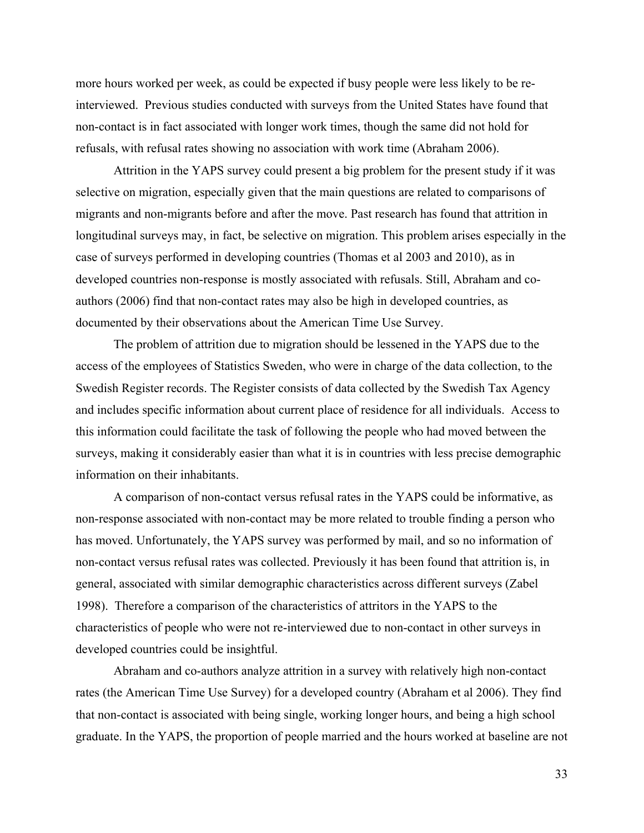more hours worked per week, as could be expected if busy people were less likely to be reinterviewed. Previous studies conducted with surveys from the United States have found that non-contact is in fact associated with longer work times, though the same did not hold for refusals, with refusal rates showing no association with work time (Abraham 2006).

 Attrition in the YAPS survey could present a big problem for the present study if it was selective on migration, especially given that the main questions are related to comparisons of migrants and non-migrants before and after the move. Past research has found that attrition in longitudinal surveys may, in fact, be selective on migration. This problem arises especially in the case of surveys performed in developing countries (Thomas et al 2003 and 2010), as in developed countries non-response is mostly associated with refusals. Still, Abraham and coauthors (2006) find that non-contact rates may also be high in developed countries, as documented by their observations about the American Time Use Survey.

 The problem of attrition due to migration should be lessened in the YAPS due to the access of the employees of Statistics Sweden, who were in charge of the data collection, to the Swedish Register records. The Register consists of data collected by the Swedish Tax Agency and includes specific information about current place of residence for all individuals. Access to this information could facilitate the task of following the people who had moved between the surveys, making it considerably easier than what it is in countries with less precise demographic information on their inhabitants.

 A comparison of non-contact versus refusal rates in the YAPS could be informative, as non-response associated with non-contact may be more related to trouble finding a person who has moved. Unfortunately, the YAPS survey was performed by mail, and so no information of non-contact versus refusal rates was collected. Previously it has been found that attrition is, in general, associated with similar demographic characteristics across different surveys (Zabel 1998). Therefore a comparison of the characteristics of attritors in the YAPS to the characteristics of people who were not re-interviewed due to non-contact in other surveys in developed countries could be insightful.

Abraham and co-authors analyze attrition in a survey with relatively high non-contact rates (the American Time Use Survey) for a developed country (Abraham et al 2006). They find that non-contact is associated with being single, working longer hours, and being a high school graduate. In the YAPS, the proportion of people married and the hours worked at baseline are not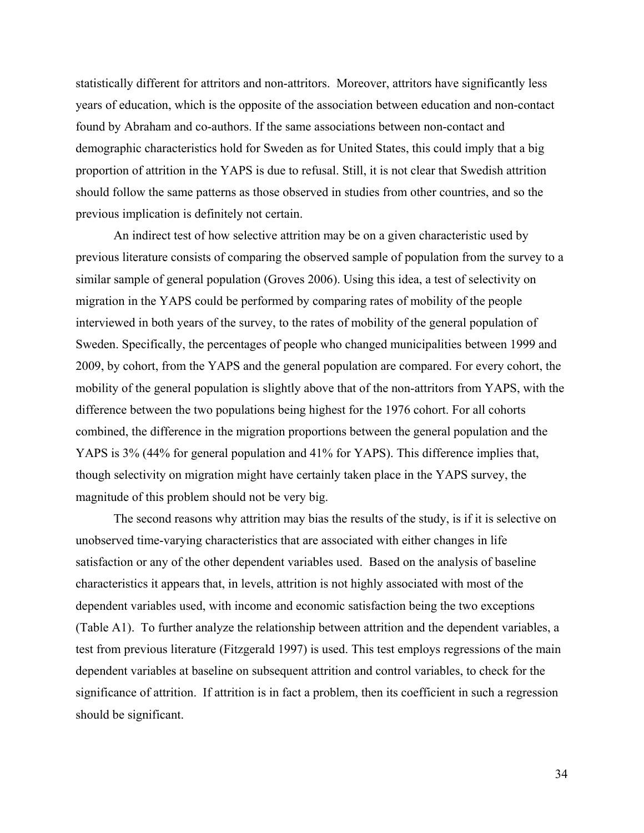statistically different for attritors and non-attritors. Moreover, attritors have significantly less years of education, which is the opposite of the association between education and non-contact found by Abraham and co-authors. If the same associations between non-contact and demographic characteristics hold for Sweden as for United States, this could imply that a big proportion of attrition in the YAPS is due to refusal. Still, it is not clear that Swedish attrition should follow the same patterns as those observed in studies from other countries, and so the previous implication is definitely not certain.

 An indirect test of how selective attrition may be on a given characteristic used by previous literature consists of comparing the observed sample of population from the survey to a similar sample of general population (Groves 2006). Using this idea, a test of selectivity on migration in the YAPS could be performed by comparing rates of mobility of the people interviewed in both years of the survey, to the rates of mobility of the general population of Sweden. Specifically, the percentages of people who changed municipalities between 1999 and 2009, by cohort, from the YAPS and the general population are compared. For every cohort, the mobility of the general population is slightly above that of the non-attritors from YAPS, with the difference between the two populations being highest for the 1976 cohort. For all cohorts combined, the difference in the migration proportions between the general population and the YAPS is 3% (44% for general population and 41% for YAPS). This difference implies that, though selectivity on migration might have certainly taken place in the YAPS survey, the magnitude of this problem should not be very big.

 The second reasons why attrition may bias the results of the study, is if it is selective on unobserved time-varying characteristics that are associated with either changes in life satisfaction or any of the other dependent variables used. Based on the analysis of baseline characteristics it appears that, in levels, attrition is not highly associated with most of the dependent variables used, with income and economic satisfaction being the two exceptions (Table A1). To further analyze the relationship between attrition and the dependent variables, a test from previous literature (Fitzgerald 1997) is used. This test employs regressions of the main dependent variables at baseline on subsequent attrition and control variables, to check for the significance of attrition. If attrition is in fact a problem, then its coefficient in such a regression should be significant.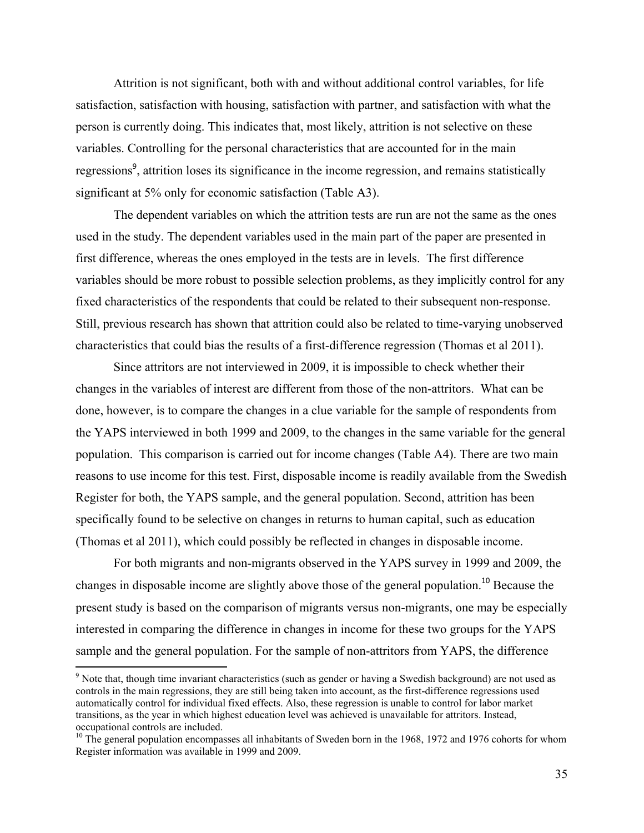Attrition is not significant, both with and without additional control variables, for life satisfaction, satisfaction with housing, satisfaction with partner, and satisfaction with what the person is currently doing. This indicates that, most likely, attrition is not selective on these variables. Controlling for the personal characteristics that are accounted for in the main regressions<sup>9</sup>, attrition loses its significance in the income regression, and remains statistically significant at 5% only for economic satisfaction (Table A3).

 The dependent variables on which the attrition tests are run are not the same as the ones used in the study. The dependent variables used in the main part of the paper are presented in first difference, whereas the ones employed in the tests are in levels. The first difference variables should be more robust to possible selection problems, as they implicitly control for any fixed characteristics of the respondents that could be related to their subsequent non-response. Still, previous research has shown that attrition could also be related to time-varying unobserved characteristics that could bias the results of a first-difference regression (Thomas et al 2011).

Since attritors are not interviewed in 2009, it is impossible to check whether their changes in the variables of interest are different from those of the non-attritors. What can be done, however, is to compare the changes in a clue variable for the sample of respondents from the YAPS interviewed in both 1999 and 2009, to the changes in the same variable for the general population. This comparison is carried out for income changes (Table A4). There are two main reasons to use income for this test. First, disposable income is readily available from the Swedish Register for both, the YAPS sample, and the general population. Second, attrition has been specifically found to be selective on changes in returns to human capital, such as education (Thomas et al 2011), which could possibly be reflected in changes in disposable income.

For both migrants and non-migrants observed in the YAPS survey in 1999 and 2009, the changes in disposable income are slightly above those of the general population.<sup>10</sup> Because the present study is based on the comparison of migrants versus non-migrants, one may be especially interested in comparing the difference in changes in income for these two groups for the YAPS sample and the general population. For the sample of non-attritors from YAPS, the difference

 $9$  Note that, though time invariant characteristics (such as gender or having a Swedish background) are not used as controls in the main regressions, they are still being taken into account, as the first-difference regressions used automatically control for individual fixed effects. Also, these regression is unable to control for labor market transitions, as the year in which highest education level was achieved is unavailable for attritors. Instead, occupational controls are included.

<sup>&</sup>lt;sup>10</sup> The general population encompasses all inhabitants of Sweden born in the 1968, 1972 and 1976 cohorts for whom Register information was available in 1999 and 2009.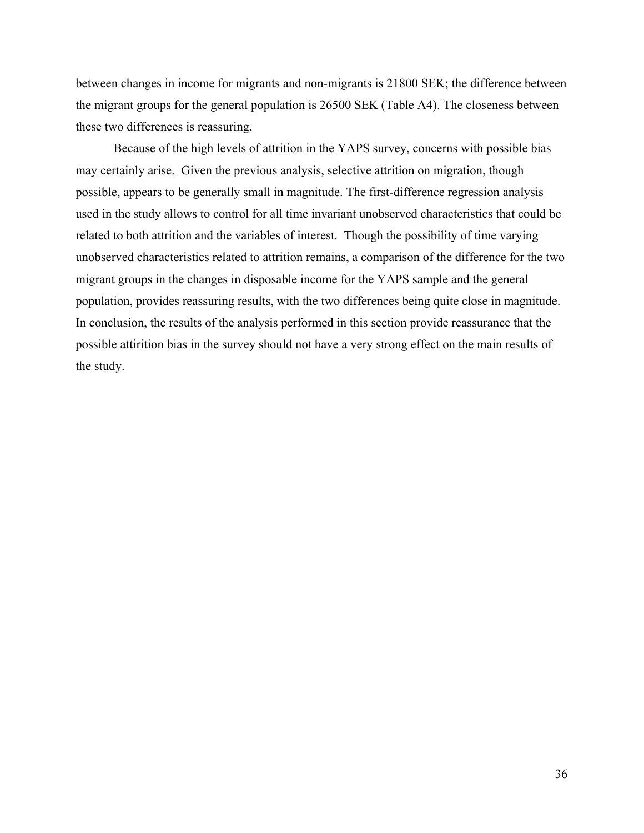between changes in income for migrants and non-migrants is 21800 SEK; the difference between the migrant groups for the general population is 26500 SEK (Table A4). The closeness between these two differences is reassuring.

Because of the high levels of attrition in the YAPS survey, concerns with possible bias may certainly arise. Given the previous analysis, selective attrition on migration, though possible, appears to be generally small in magnitude. The first-difference regression analysis used in the study allows to control for all time invariant unobserved characteristics that could be related to both attrition and the variables of interest. Though the possibility of time varying unobserved characteristics related to attrition remains, a comparison of the difference for the two migrant groups in the changes in disposable income for the YAPS sample and the general population, provides reassuring results, with the two differences being quite close in magnitude. In conclusion, the results of the analysis performed in this section provide reassurance that the possible attirition bias in the survey should not have a very strong effect on the main results of the study.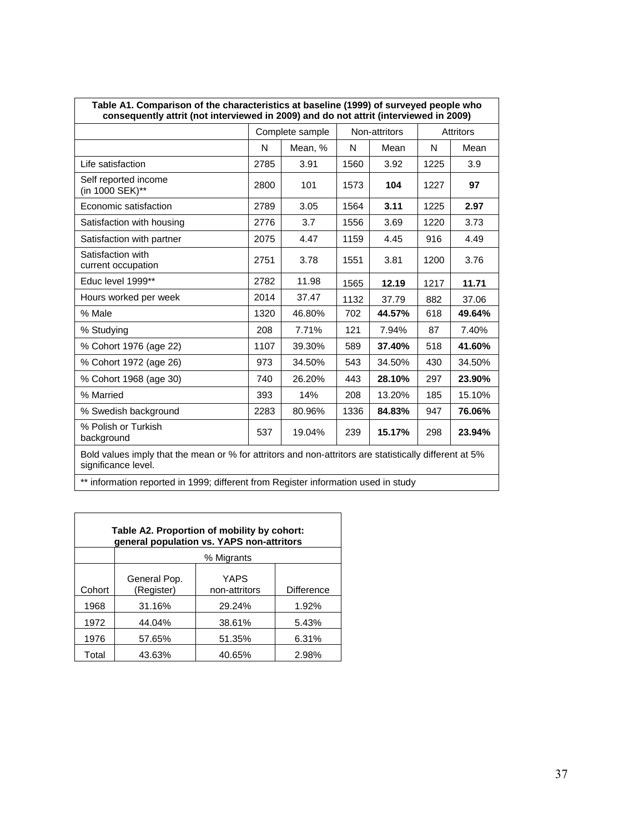| Table A1. Comparison of the characteristics at baseline (1999) of surveyed people who<br>consequently attrit (not interviewed in 2009) and do not attrit (interviewed in 2009) |      |                 |      |               |      |                  |  |  |  |  |  |
|--------------------------------------------------------------------------------------------------------------------------------------------------------------------------------|------|-----------------|------|---------------|------|------------------|--|--|--|--|--|
|                                                                                                                                                                                |      | Complete sample |      | Non-attritors |      | <b>Attritors</b> |  |  |  |  |  |
|                                                                                                                                                                                | N    | Mean, %         | N    | Mean          | N    | Mean             |  |  |  |  |  |
| Life satisfaction                                                                                                                                                              | 2785 | 3.91            | 1560 | 3.92          | 1225 | 3.9              |  |  |  |  |  |
| Self reported income<br>(in 1000 SEK)**                                                                                                                                        | 2800 | 101             | 1573 | 104           | 1227 | 97               |  |  |  |  |  |
| Economic satisfaction                                                                                                                                                          | 2789 | 3.05            | 1564 | 3.11          | 1225 | 2.97             |  |  |  |  |  |
| Satisfaction with housing                                                                                                                                                      | 2776 | 3.7             | 1556 | 3.69          | 1220 | 3.73             |  |  |  |  |  |
| Satisfaction with partner                                                                                                                                                      | 2075 | 4.47            | 1159 | 4.45          | 916  | 4.49             |  |  |  |  |  |
| Satisfaction with<br>current occupation                                                                                                                                        | 2751 | 3.78            | 1551 | 3.81          | 1200 | 3.76             |  |  |  |  |  |
| Educ level 1999**                                                                                                                                                              | 2782 | 11.98           | 1565 | 12.19         | 1217 | 11.71            |  |  |  |  |  |
| Hours worked per week                                                                                                                                                          | 2014 | 37.47           | 1132 | 37.79         | 882  | 37.06            |  |  |  |  |  |
| % Male                                                                                                                                                                         | 1320 | 46.80%          | 702  | 44.57%        | 618  | 49.64%           |  |  |  |  |  |
| % Studying                                                                                                                                                                     | 208  | 7.71%           | 121  | 7.94%         | 87   | 7.40%            |  |  |  |  |  |
| % Cohort 1976 (age 22)                                                                                                                                                         | 1107 | 39.30%          | 589  | 37.40%        | 518  | 41.60%           |  |  |  |  |  |
| % Cohort 1972 (age 26)                                                                                                                                                         | 973  | 34.50%          | 543  | 34.50%        | 430  | 34.50%           |  |  |  |  |  |
| % Cohort 1968 (age 30)                                                                                                                                                         | 740  | 26.20%          | 443  | 28.10%        | 297  | 23.90%           |  |  |  |  |  |
| % Married                                                                                                                                                                      | 393  | 14%             | 208  | 13.20%        | 185  | 15.10%           |  |  |  |  |  |
| % Swedish background                                                                                                                                                           | 2283 | 80.96%          | 1336 | 84.83%        | 947  | 76.06%           |  |  |  |  |  |
| % Polish or Turkish<br>background                                                                                                                                              | 537  | 19.04%          | 239  | 15.17%        | 298  | 23.94%           |  |  |  |  |  |
| Bold values imply that the mean or % for attritors and non-attritors are statistically different at 5%<br>significance level.                                                  |      |                 |      |               |      |                  |  |  |  |  |  |
| ** information reported in 1999; different from Register information used in study                                                                                             |      |                 |      |               |      |                  |  |  |  |  |  |

|        | Table A2. Proportion of mobility by cohort:<br>general population vs. YAPS non-attritors |                       |            |  |  |  |  |  |  |  |  |  |
|--------|------------------------------------------------------------------------------------------|-----------------------|------------|--|--|--|--|--|--|--|--|--|
|        |                                                                                          | % Migrants            |            |  |  |  |  |  |  |  |  |  |
| Cohort | General Pop.<br>(Register)                                                               | YAPS<br>non-attritors | Difference |  |  |  |  |  |  |  |  |  |
| 1968   | 31.16%                                                                                   | 29.24%                | 1.92%      |  |  |  |  |  |  |  |  |  |
| 1972   | 44.04%                                                                                   | 38.61%                | 5.43%      |  |  |  |  |  |  |  |  |  |
| 1976   | 57.65%                                                                                   | 51.35%                | 6.31%      |  |  |  |  |  |  |  |  |  |
| Total  | 43.63%                                                                                   | 40.65%                | 2.98%      |  |  |  |  |  |  |  |  |  |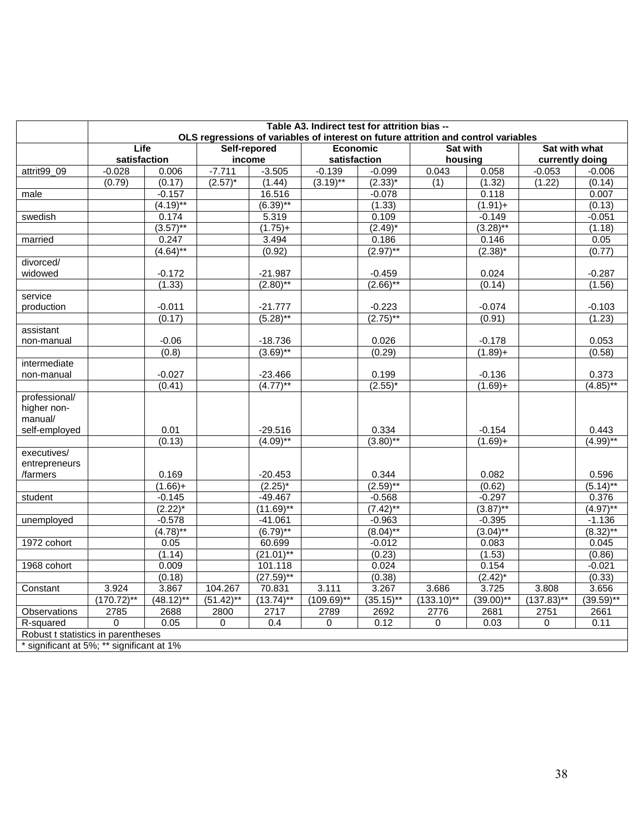| OLS regressions of variables of interest on future attrition and control variables<br>Self-repored<br>Life<br>Economic<br>Sat with what<br><b>Sat with</b><br>satisfaction<br>income<br>satisfaction<br>housing<br>currently doing<br>$-7.711$<br>$-0.028$<br>$-3.505$<br>$-0.139$<br>$-0.099$<br>0.043<br>0.058<br>attrit99_09<br>0.006<br>$-0.053$<br>$-0.006$<br>(0.79)<br>(0.17)<br>$(2.57)^*$<br>(1.44)<br>$(3.19)$ **<br>$(2.33)^{*}$<br>(1.22)<br>(1)<br>(1.32)<br>(0.14)<br>0.007<br>$-0.157$<br>16.516<br>$-0.078$<br>0.118<br>male<br>$(4.19)$ **<br>$(6.39)$ **<br>(1.33)<br>$(1.91) +$<br>(0.13)<br>0.174<br>5.319<br>0.109<br>$-0.149$<br>$-0.051$<br>swedish<br>$(3.57)$ **<br>$(3.28)$ **<br>$(1.75)+$<br>$(2.49)^*$<br>(1.18)<br>married<br>0.247<br>3.494<br>0.186<br>0.05<br>0.146<br>$(2.97)$ **<br>$(4.64)$ **<br>(0.92)<br>$(2.38)^{*}$<br>(0.77)<br>divorced/<br>widowed<br>$-0.172$<br>$-21.987$<br>$-0.459$<br>0.024<br>$-0.287$<br>$(2.66)$ **<br>(1.33)<br>$(2.80)$ **<br>(0.14)<br>(1.56)<br>service<br>$-0.011$<br>$-21.777$<br>$-0.223$<br>$-0.074$<br>$-0.103$<br>production<br>$(5.28)$ **<br>$(2.75)$ **<br>(0.17)<br>(0.91)<br>(1.23)<br>assistant<br>$-0.06$<br>0.026<br>$-0.178$<br>0.053<br>$-18.736$<br>non-manual<br>$(3.69)$ **<br>(0.8)<br>(0.29)<br>$(1.89) +$<br>(0.58)<br>intermediate<br>$-0.027$<br>0.199<br>$-0.136$<br>0.373<br>non-manual<br>$-23.466$<br>$(4.77)$ **<br>$(4.85)$ **<br>$(2.55)^*$<br>(0.41)<br>$(1.69) +$<br>professional/<br>higher non-<br>manual/<br>0.01<br>$-29.516$<br>0.334<br>$-0.154$<br>0.443<br>self-employed<br>$(3.80)$ **<br>(0.13)<br>$(4.09)$ **<br>$(4.99)$ **<br>$(1.69) +$<br>executives/<br>entrepreneurs<br>0.169<br>$-20.453$<br>0.344<br>0.082<br>0.596<br>/farmers<br>$(2.59)$ **<br>$(2.25)^*$<br>$(5.14)$ **<br>$(1.66)+$<br>(0.62)<br>student<br>$-0.145$<br>$-49.467$<br>$-0.568$<br>$-0.297$<br>0.376<br>$(2.22)^{*}$<br>$(7.42)$ **<br>$(4.97)$ **<br>$(11.69)$ **<br>$(3.87)$ **<br>$-0.578$<br>$-41.061$<br>$-0.963$<br>$-0.395$<br>$-1.136$<br>unemployed<br>$(6.79)$ **<br>$(4.78)$ **<br>$(8.04)$ **<br>$(8.32)$ **<br>$(3.04)$ **<br>1972 cohort<br>0.05<br>60.699<br>$-0.012$<br>0.083<br>0.045<br>(1.14)<br>$(21.01)$ **<br>(0.23)<br>(1.53)<br>(0.86)<br>1968 cohort<br>0.009<br>101.118<br>0.024<br>0.154<br>$-0.021$<br>$(27.59)$ **<br>(0.33)<br>(0.18)<br>(0.38)<br>$(2.42)^*$<br>3.867<br>3.656<br>Constant<br>3.924<br>104.267<br>70.831<br>3.111<br>3.267<br>3.686<br>3.725<br>3.808<br>$(170.72)$ **<br>$(51.42)$ **<br>$(39.59)$ **<br>$(48.12)$ **<br>$(13.74)$ **<br>$(109.69)$ **<br>$(35.15)$ **<br>$(133.10)$ **<br>$(39.00)$ **<br>$(137.83)$ **<br>2751<br>Observations<br>2785<br>2688<br>2800<br>2717<br>2789<br>2692<br>2776<br>2681<br>2661<br>0.05<br>0.12<br>0.03<br>R-squared<br>0<br>0<br>0.4<br>$\mathbf 0$<br>$\mathbf 0$<br>$\Omega$<br>0.11<br>Robust t statistics in parentheses<br>* significant at 5%; ** significant at 1% |  |  | Table A3. Indirect test for attrition bias -- |  |  |  |
|--------------------------------------------------------------------------------------------------------------------------------------------------------------------------------------------------------------------------------------------------------------------------------------------------------------------------------------------------------------------------------------------------------------------------------------------------------------------------------------------------------------------------------------------------------------------------------------------------------------------------------------------------------------------------------------------------------------------------------------------------------------------------------------------------------------------------------------------------------------------------------------------------------------------------------------------------------------------------------------------------------------------------------------------------------------------------------------------------------------------------------------------------------------------------------------------------------------------------------------------------------------------------------------------------------------------------------------------------------------------------------------------------------------------------------------------------------------------------------------------------------------------------------------------------------------------------------------------------------------------------------------------------------------------------------------------------------------------------------------------------------------------------------------------------------------------------------------------------------------------------------------------------------------------------------------------------------------------------------------------------------------------------------------------------------------------------------------------------------------------------------------------------------------------------------------------------------------------------------------------------------------------------------------------------------------------------------------------------------------------------------------------------------------------------------------------------------------------------------------------------------------------------------------------------------------------------------------------------------------------------------------------------------------------------------------------------------------------------------------------------------------------------------------------------------------------------------------------------------------------------------------------------------------------------------------------------------------------|--|--|-----------------------------------------------|--|--|--|
|                                                                                                                                                                                                                                                                                                                                                                                                                                                                                                                                                                                                                                                                                                                                                                                                                                                                                                                                                                                                                                                                                                                                                                                                                                                                                                                                                                                                                                                                                                                                                                                                                                                                                                                                                                                                                                                                                                                                                                                                                                                                                                                                                                                                                                                                                                                                                                                                                                                                                                                                                                                                                                                                                                                                                                                                                                                                                                                                                                    |  |  |                                               |  |  |  |
|                                                                                                                                                                                                                                                                                                                                                                                                                                                                                                                                                                                                                                                                                                                                                                                                                                                                                                                                                                                                                                                                                                                                                                                                                                                                                                                                                                                                                                                                                                                                                                                                                                                                                                                                                                                                                                                                                                                                                                                                                                                                                                                                                                                                                                                                                                                                                                                                                                                                                                                                                                                                                                                                                                                                                                                                                                                                                                                                                                    |  |  |                                               |  |  |  |
|                                                                                                                                                                                                                                                                                                                                                                                                                                                                                                                                                                                                                                                                                                                                                                                                                                                                                                                                                                                                                                                                                                                                                                                                                                                                                                                                                                                                                                                                                                                                                                                                                                                                                                                                                                                                                                                                                                                                                                                                                                                                                                                                                                                                                                                                                                                                                                                                                                                                                                                                                                                                                                                                                                                                                                                                                                                                                                                                                                    |  |  |                                               |  |  |  |
|                                                                                                                                                                                                                                                                                                                                                                                                                                                                                                                                                                                                                                                                                                                                                                                                                                                                                                                                                                                                                                                                                                                                                                                                                                                                                                                                                                                                                                                                                                                                                                                                                                                                                                                                                                                                                                                                                                                                                                                                                                                                                                                                                                                                                                                                                                                                                                                                                                                                                                                                                                                                                                                                                                                                                                                                                                                                                                                                                                    |  |  |                                               |  |  |  |
|                                                                                                                                                                                                                                                                                                                                                                                                                                                                                                                                                                                                                                                                                                                                                                                                                                                                                                                                                                                                                                                                                                                                                                                                                                                                                                                                                                                                                                                                                                                                                                                                                                                                                                                                                                                                                                                                                                                                                                                                                                                                                                                                                                                                                                                                                                                                                                                                                                                                                                                                                                                                                                                                                                                                                                                                                                                                                                                                                                    |  |  |                                               |  |  |  |
|                                                                                                                                                                                                                                                                                                                                                                                                                                                                                                                                                                                                                                                                                                                                                                                                                                                                                                                                                                                                                                                                                                                                                                                                                                                                                                                                                                                                                                                                                                                                                                                                                                                                                                                                                                                                                                                                                                                                                                                                                                                                                                                                                                                                                                                                                                                                                                                                                                                                                                                                                                                                                                                                                                                                                                                                                                                                                                                                                                    |  |  |                                               |  |  |  |
|                                                                                                                                                                                                                                                                                                                                                                                                                                                                                                                                                                                                                                                                                                                                                                                                                                                                                                                                                                                                                                                                                                                                                                                                                                                                                                                                                                                                                                                                                                                                                                                                                                                                                                                                                                                                                                                                                                                                                                                                                                                                                                                                                                                                                                                                                                                                                                                                                                                                                                                                                                                                                                                                                                                                                                                                                                                                                                                                                                    |  |  |                                               |  |  |  |
|                                                                                                                                                                                                                                                                                                                                                                                                                                                                                                                                                                                                                                                                                                                                                                                                                                                                                                                                                                                                                                                                                                                                                                                                                                                                                                                                                                                                                                                                                                                                                                                                                                                                                                                                                                                                                                                                                                                                                                                                                                                                                                                                                                                                                                                                                                                                                                                                                                                                                                                                                                                                                                                                                                                                                                                                                                                                                                                                                                    |  |  |                                               |  |  |  |
|                                                                                                                                                                                                                                                                                                                                                                                                                                                                                                                                                                                                                                                                                                                                                                                                                                                                                                                                                                                                                                                                                                                                                                                                                                                                                                                                                                                                                                                                                                                                                                                                                                                                                                                                                                                                                                                                                                                                                                                                                                                                                                                                                                                                                                                                                                                                                                                                                                                                                                                                                                                                                                                                                                                                                                                                                                                                                                                                                                    |  |  |                                               |  |  |  |
|                                                                                                                                                                                                                                                                                                                                                                                                                                                                                                                                                                                                                                                                                                                                                                                                                                                                                                                                                                                                                                                                                                                                                                                                                                                                                                                                                                                                                                                                                                                                                                                                                                                                                                                                                                                                                                                                                                                                                                                                                                                                                                                                                                                                                                                                                                                                                                                                                                                                                                                                                                                                                                                                                                                                                                                                                                                                                                                                                                    |  |  |                                               |  |  |  |
|                                                                                                                                                                                                                                                                                                                                                                                                                                                                                                                                                                                                                                                                                                                                                                                                                                                                                                                                                                                                                                                                                                                                                                                                                                                                                                                                                                                                                                                                                                                                                                                                                                                                                                                                                                                                                                                                                                                                                                                                                                                                                                                                                                                                                                                                                                                                                                                                                                                                                                                                                                                                                                                                                                                                                                                                                                                                                                                                                                    |  |  |                                               |  |  |  |
|                                                                                                                                                                                                                                                                                                                                                                                                                                                                                                                                                                                                                                                                                                                                                                                                                                                                                                                                                                                                                                                                                                                                                                                                                                                                                                                                                                                                                                                                                                                                                                                                                                                                                                                                                                                                                                                                                                                                                                                                                                                                                                                                                                                                                                                                                                                                                                                                                                                                                                                                                                                                                                                                                                                                                                                                                                                                                                                                                                    |  |  |                                               |  |  |  |
|                                                                                                                                                                                                                                                                                                                                                                                                                                                                                                                                                                                                                                                                                                                                                                                                                                                                                                                                                                                                                                                                                                                                                                                                                                                                                                                                                                                                                                                                                                                                                                                                                                                                                                                                                                                                                                                                                                                                                                                                                                                                                                                                                                                                                                                                                                                                                                                                                                                                                                                                                                                                                                                                                                                                                                                                                                                                                                                                                                    |  |  |                                               |  |  |  |
|                                                                                                                                                                                                                                                                                                                                                                                                                                                                                                                                                                                                                                                                                                                                                                                                                                                                                                                                                                                                                                                                                                                                                                                                                                                                                                                                                                                                                                                                                                                                                                                                                                                                                                                                                                                                                                                                                                                                                                                                                                                                                                                                                                                                                                                                                                                                                                                                                                                                                                                                                                                                                                                                                                                                                                                                                                                                                                                                                                    |  |  |                                               |  |  |  |
|                                                                                                                                                                                                                                                                                                                                                                                                                                                                                                                                                                                                                                                                                                                                                                                                                                                                                                                                                                                                                                                                                                                                                                                                                                                                                                                                                                                                                                                                                                                                                                                                                                                                                                                                                                                                                                                                                                                                                                                                                                                                                                                                                                                                                                                                                                                                                                                                                                                                                                                                                                                                                                                                                                                                                                                                                                                                                                                                                                    |  |  |                                               |  |  |  |
|                                                                                                                                                                                                                                                                                                                                                                                                                                                                                                                                                                                                                                                                                                                                                                                                                                                                                                                                                                                                                                                                                                                                                                                                                                                                                                                                                                                                                                                                                                                                                                                                                                                                                                                                                                                                                                                                                                                                                                                                                                                                                                                                                                                                                                                                                                                                                                                                                                                                                                                                                                                                                                                                                                                                                                                                                                                                                                                                                                    |  |  |                                               |  |  |  |
|                                                                                                                                                                                                                                                                                                                                                                                                                                                                                                                                                                                                                                                                                                                                                                                                                                                                                                                                                                                                                                                                                                                                                                                                                                                                                                                                                                                                                                                                                                                                                                                                                                                                                                                                                                                                                                                                                                                                                                                                                                                                                                                                                                                                                                                                                                                                                                                                                                                                                                                                                                                                                                                                                                                                                                                                                                                                                                                                                                    |  |  |                                               |  |  |  |
|                                                                                                                                                                                                                                                                                                                                                                                                                                                                                                                                                                                                                                                                                                                                                                                                                                                                                                                                                                                                                                                                                                                                                                                                                                                                                                                                                                                                                                                                                                                                                                                                                                                                                                                                                                                                                                                                                                                                                                                                                                                                                                                                                                                                                                                                                                                                                                                                                                                                                                                                                                                                                                                                                                                                                                                                                                                                                                                                                                    |  |  |                                               |  |  |  |
|                                                                                                                                                                                                                                                                                                                                                                                                                                                                                                                                                                                                                                                                                                                                                                                                                                                                                                                                                                                                                                                                                                                                                                                                                                                                                                                                                                                                                                                                                                                                                                                                                                                                                                                                                                                                                                                                                                                                                                                                                                                                                                                                                                                                                                                                                                                                                                                                                                                                                                                                                                                                                                                                                                                                                                                                                                                                                                                                                                    |  |  |                                               |  |  |  |
|                                                                                                                                                                                                                                                                                                                                                                                                                                                                                                                                                                                                                                                                                                                                                                                                                                                                                                                                                                                                                                                                                                                                                                                                                                                                                                                                                                                                                                                                                                                                                                                                                                                                                                                                                                                                                                                                                                                                                                                                                                                                                                                                                                                                                                                                                                                                                                                                                                                                                                                                                                                                                                                                                                                                                                                                                                                                                                                                                                    |  |  |                                               |  |  |  |
|                                                                                                                                                                                                                                                                                                                                                                                                                                                                                                                                                                                                                                                                                                                                                                                                                                                                                                                                                                                                                                                                                                                                                                                                                                                                                                                                                                                                                                                                                                                                                                                                                                                                                                                                                                                                                                                                                                                                                                                                                                                                                                                                                                                                                                                                                                                                                                                                                                                                                                                                                                                                                                                                                                                                                                                                                                                                                                                                                                    |  |  |                                               |  |  |  |
|                                                                                                                                                                                                                                                                                                                                                                                                                                                                                                                                                                                                                                                                                                                                                                                                                                                                                                                                                                                                                                                                                                                                                                                                                                                                                                                                                                                                                                                                                                                                                                                                                                                                                                                                                                                                                                                                                                                                                                                                                                                                                                                                                                                                                                                                                                                                                                                                                                                                                                                                                                                                                                                                                                                                                                                                                                                                                                                                                                    |  |  |                                               |  |  |  |
|                                                                                                                                                                                                                                                                                                                                                                                                                                                                                                                                                                                                                                                                                                                                                                                                                                                                                                                                                                                                                                                                                                                                                                                                                                                                                                                                                                                                                                                                                                                                                                                                                                                                                                                                                                                                                                                                                                                                                                                                                                                                                                                                                                                                                                                                                                                                                                                                                                                                                                                                                                                                                                                                                                                                                                                                                                                                                                                                                                    |  |  |                                               |  |  |  |
|                                                                                                                                                                                                                                                                                                                                                                                                                                                                                                                                                                                                                                                                                                                                                                                                                                                                                                                                                                                                                                                                                                                                                                                                                                                                                                                                                                                                                                                                                                                                                                                                                                                                                                                                                                                                                                                                                                                                                                                                                                                                                                                                                                                                                                                                                                                                                                                                                                                                                                                                                                                                                                                                                                                                                                                                                                                                                                                                                                    |  |  |                                               |  |  |  |
|                                                                                                                                                                                                                                                                                                                                                                                                                                                                                                                                                                                                                                                                                                                                                                                                                                                                                                                                                                                                                                                                                                                                                                                                                                                                                                                                                                                                                                                                                                                                                                                                                                                                                                                                                                                                                                                                                                                                                                                                                                                                                                                                                                                                                                                                                                                                                                                                                                                                                                                                                                                                                                                                                                                                                                                                                                                                                                                                                                    |  |  |                                               |  |  |  |
|                                                                                                                                                                                                                                                                                                                                                                                                                                                                                                                                                                                                                                                                                                                                                                                                                                                                                                                                                                                                                                                                                                                                                                                                                                                                                                                                                                                                                                                                                                                                                                                                                                                                                                                                                                                                                                                                                                                                                                                                                                                                                                                                                                                                                                                                                                                                                                                                                                                                                                                                                                                                                                                                                                                                                                                                                                                                                                                                                                    |  |  |                                               |  |  |  |
|                                                                                                                                                                                                                                                                                                                                                                                                                                                                                                                                                                                                                                                                                                                                                                                                                                                                                                                                                                                                                                                                                                                                                                                                                                                                                                                                                                                                                                                                                                                                                                                                                                                                                                                                                                                                                                                                                                                                                                                                                                                                                                                                                                                                                                                                                                                                                                                                                                                                                                                                                                                                                                                                                                                                                                                                                                                                                                                                                                    |  |  |                                               |  |  |  |
|                                                                                                                                                                                                                                                                                                                                                                                                                                                                                                                                                                                                                                                                                                                                                                                                                                                                                                                                                                                                                                                                                                                                                                                                                                                                                                                                                                                                                                                                                                                                                                                                                                                                                                                                                                                                                                                                                                                                                                                                                                                                                                                                                                                                                                                                                                                                                                                                                                                                                                                                                                                                                                                                                                                                                                                                                                                                                                                                                                    |  |  |                                               |  |  |  |
|                                                                                                                                                                                                                                                                                                                                                                                                                                                                                                                                                                                                                                                                                                                                                                                                                                                                                                                                                                                                                                                                                                                                                                                                                                                                                                                                                                                                                                                                                                                                                                                                                                                                                                                                                                                                                                                                                                                                                                                                                                                                                                                                                                                                                                                                                                                                                                                                                                                                                                                                                                                                                                                                                                                                                                                                                                                                                                                                                                    |  |  |                                               |  |  |  |
|                                                                                                                                                                                                                                                                                                                                                                                                                                                                                                                                                                                                                                                                                                                                                                                                                                                                                                                                                                                                                                                                                                                                                                                                                                                                                                                                                                                                                                                                                                                                                                                                                                                                                                                                                                                                                                                                                                                                                                                                                                                                                                                                                                                                                                                                                                                                                                                                                                                                                                                                                                                                                                                                                                                                                                                                                                                                                                                                                                    |  |  |                                               |  |  |  |
|                                                                                                                                                                                                                                                                                                                                                                                                                                                                                                                                                                                                                                                                                                                                                                                                                                                                                                                                                                                                                                                                                                                                                                                                                                                                                                                                                                                                                                                                                                                                                                                                                                                                                                                                                                                                                                                                                                                                                                                                                                                                                                                                                                                                                                                                                                                                                                                                                                                                                                                                                                                                                                                                                                                                                                                                                                                                                                                                                                    |  |  |                                               |  |  |  |
|                                                                                                                                                                                                                                                                                                                                                                                                                                                                                                                                                                                                                                                                                                                                                                                                                                                                                                                                                                                                                                                                                                                                                                                                                                                                                                                                                                                                                                                                                                                                                                                                                                                                                                                                                                                                                                                                                                                                                                                                                                                                                                                                                                                                                                                                                                                                                                                                                                                                                                                                                                                                                                                                                                                                                                                                                                                                                                                                                                    |  |  |                                               |  |  |  |
|                                                                                                                                                                                                                                                                                                                                                                                                                                                                                                                                                                                                                                                                                                                                                                                                                                                                                                                                                                                                                                                                                                                                                                                                                                                                                                                                                                                                                                                                                                                                                                                                                                                                                                                                                                                                                                                                                                                                                                                                                                                                                                                                                                                                                                                                                                                                                                                                                                                                                                                                                                                                                                                                                                                                                                                                                                                                                                                                                                    |  |  |                                               |  |  |  |
|                                                                                                                                                                                                                                                                                                                                                                                                                                                                                                                                                                                                                                                                                                                                                                                                                                                                                                                                                                                                                                                                                                                                                                                                                                                                                                                                                                                                                                                                                                                                                                                                                                                                                                                                                                                                                                                                                                                                                                                                                                                                                                                                                                                                                                                                                                                                                                                                                                                                                                                                                                                                                                                                                                                                                                                                                                                                                                                                                                    |  |  |                                               |  |  |  |
|                                                                                                                                                                                                                                                                                                                                                                                                                                                                                                                                                                                                                                                                                                                                                                                                                                                                                                                                                                                                                                                                                                                                                                                                                                                                                                                                                                                                                                                                                                                                                                                                                                                                                                                                                                                                                                                                                                                                                                                                                                                                                                                                                                                                                                                                                                                                                                                                                                                                                                                                                                                                                                                                                                                                                                                                                                                                                                                                                                    |  |  |                                               |  |  |  |
|                                                                                                                                                                                                                                                                                                                                                                                                                                                                                                                                                                                                                                                                                                                                                                                                                                                                                                                                                                                                                                                                                                                                                                                                                                                                                                                                                                                                                                                                                                                                                                                                                                                                                                                                                                                                                                                                                                                                                                                                                                                                                                                                                                                                                                                                                                                                                                                                                                                                                                                                                                                                                                                                                                                                                                                                                                                                                                                                                                    |  |  |                                               |  |  |  |
|                                                                                                                                                                                                                                                                                                                                                                                                                                                                                                                                                                                                                                                                                                                                                                                                                                                                                                                                                                                                                                                                                                                                                                                                                                                                                                                                                                                                                                                                                                                                                                                                                                                                                                                                                                                                                                                                                                                                                                                                                                                                                                                                                                                                                                                                                                                                                                                                                                                                                                                                                                                                                                                                                                                                                                                                                                                                                                                                                                    |  |  |                                               |  |  |  |
|                                                                                                                                                                                                                                                                                                                                                                                                                                                                                                                                                                                                                                                                                                                                                                                                                                                                                                                                                                                                                                                                                                                                                                                                                                                                                                                                                                                                                                                                                                                                                                                                                                                                                                                                                                                                                                                                                                                                                                                                                                                                                                                                                                                                                                                                                                                                                                                                                                                                                                                                                                                                                                                                                                                                                                                                                                                                                                                                                                    |  |  |                                               |  |  |  |
|                                                                                                                                                                                                                                                                                                                                                                                                                                                                                                                                                                                                                                                                                                                                                                                                                                                                                                                                                                                                                                                                                                                                                                                                                                                                                                                                                                                                                                                                                                                                                                                                                                                                                                                                                                                                                                                                                                                                                                                                                                                                                                                                                                                                                                                                                                                                                                                                                                                                                                                                                                                                                                                                                                                                                                                                                                                                                                                                                                    |  |  |                                               |  |  |  |
|                                                                                                                                                                                                                                                                                                                                                                                                                                                                                                                                                                                                                                                                                                                                                                                                                                                                                                                                                                                                                                                                                                                                                                                                                                                                                                                                                                                                                                                                                                                                                                                                                                                                                                                                                                                                                                                                                                                                                                                                                                                                                                                                                                                                                                                                                                                                                                                                                                                                                                                                                                                                                                                                                                                                                                                                                                                                                                                                                                    |  |  |                                               |  |  |  |
|                                                                                                                                                                                                                                                                                                                                                                                                                                                                                                                                                                                                                                                                                                                                                                                                                                                                                                                                                                                                                                                                                                                                                                                                                                                                                                                                                                                                                                                                                                                                                                                                                                                                                                                                                                                                                                                                                                                                                                                                                                                                                                                                                                                                                                                                                                                                                                                                                                                                                                                                                                                                                                                                                                                                                                                                                                                                                                                                                                    |  |  |                                               |  |  |  |
|                                                                                                                                                                                                                                                                                                                                                                                                                                                                                                                                                                                                                                                                                                                                                                                                                                                                                                                                                                                                                                                                                                                                                                                                                                                                                                                                                                                                                                                                                                                                                                                                                                                                                                                                                                                                                                                                                                                                                                                                                                                                                                                                                                                                                                                                                                                                                                                                                                                                                                                                                                                                                                                                                                                                                                                                                                                                                                                                                                    |  |  |                                               |  |  |  |
|                                                                                                                                                                                                                                                                                                                                                                                                                                                                                                                                                                                                                                                                                                                                                                                                                                                                                                                                                                                                                                                                                                                                                                                                                                                                                                                                                                                                                                                                                                                                                                                                                                                                                                                                                                                                                                                                                                                                                                                                                                                                                                                                                                                                                                                                                                                                                                                                                                                                                                                                                                                                                                                                                                                                                                                                                                                                                                                                                                    |  |  |                                               |  |  |  |
|                                                                                                                                                                                                                                                                                                                                                                                                                                                                                                                                                                                                                                                                                                                                                                                                                                                                                                                                                                                                                                                                                                                                                                                                                                                                                                                                                                                                                                                                                                                                                                                                                                                                                                                                                                                                                                                                                                                                                                                                                                                                                                                                                                                                                                                                                                                                                                                                                                                                                                                                                                                                                                                                                                                                                                                                                                                                                                                                                                    |  |  |                                               |  |  |  |
|                                                                                                                                                                                                                                                                                                                                                                                                                                                                                                                                                                                                                                                                                                                                                                                                                                                                                                                                                                                                                                                                                                                                                                                                                                                                                                                                                                                                                                                                                                                                                                                                                                                                                                                                                                                                                                                                                                                                                                                                                                                                                                                                                                                                                                                                                                                                                                                                                                                                                                                                                                                                                                                                                                                                                                                                                                                                                                                                                                    |  |  |                                               |  |  |  |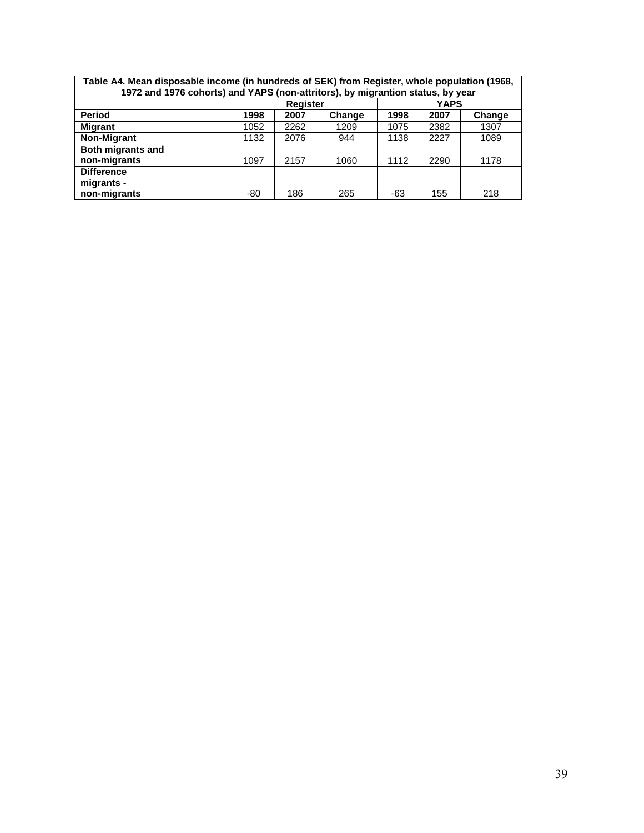|                                                            |      | <b>Register</b> |      |      | <b>YAPS</b> |      |  |  |  |  |
|------------------------------------------------------------|------|-----------------|------|------|-------------|------|--|--|--|--|
| Period<br>1998<br>2007<br>1998<br>2007<br>Change<br>Change |      |                 |      |      |             |      |  |  |  |  |
| <b>Migrant</b>                                             | 1052 | 2262            | 1209 | 1075 | 2382        | 1307 |  |  |  |  |
| Non-Migrant                                                | 1132 | 2076            | 944  | 1138 | 2227        | 1089 |  |  |  |  |
| Both migrants and<br>non-migrants                          | 1097 | 2157            | 1060 | 1112 | 2290        | 1178 |  |  |  |  |
| <b>Difference</b><br>migrants -                            |      |                 |      |      |             |      |  |  |  |  |
| non-migrants                                               | -80  | 186             | 265  | -63  | 155         | 218  |  |  |  |  |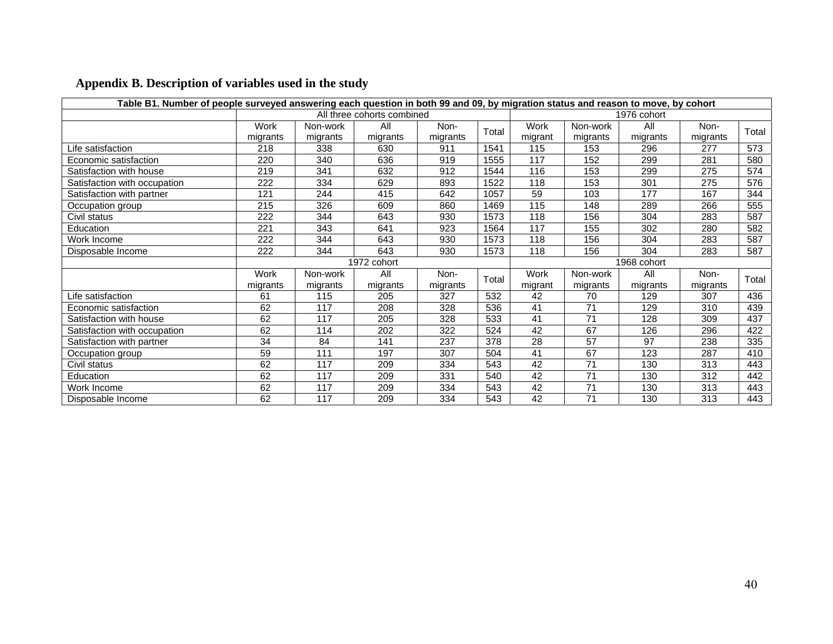| Table B1. Number of people surveyed answering each question in both 99 and 09, by migration status and reason to move, by cohort |             |          |                            |          |       |             |                 |             |          |       |
|----------------------------------------------------------------------------------------------------------------------------------|-------------|----------|----------------------------|----------|-------|-------------|-----------------|-------------|----------|-------|
|                                                                                                                                  |             |          | All three cohorts combined |          |       |             |                 | 1976 cohort |          |       |
|                                                                                                                                  | Work        | Non-work | All                        | Non-     | Total | <b>Work</b> | Non-work        | All         | Non-     | Total |
|                                                                                                                                  | migrants    | migrants | migrants                   | migrants |       | migrant     | migrants        | migrants    | migrants |       |
| Life satisfaction                                                                                                                | 218         | 338      | 630                        | 911      | 1541  | 115         | 153             | 296         | 277      | 573   |
| Economic satisfaction                                                                                                            | 220         | 340      | 636                        | 919      | 1555  | 117         | 152             | 299         | 281      | 580   |
| Satisfaction with house                                                                                                          | 219         | 341      | 632                        | 912      | 1544  | 116         | 153             | 299         | 275      | 574   |
| Satisfaction with occupation                                                                                                     | 222         | 334      | 629                        | 893      | 1522  | 118         | 153             | 301         | 275      | 576   |
| Satisfaction with partner                                                                                                        | 121         | 244      | 415                        | 642      | 1057  | 59          | 103             | 177         | 167      | 344   |
| Occupation group                                                                                                                 | 215         | 326      | 609                        | 860      | 1469  | 115         | 148             | 289         | 266      | 555   |
| Civil status                                                                                                                     | 222         | 344      | 643                        | 930      | 1573  | 118         | 156             | 304         | 283      | 587   |
| Education                                                                                                                        | 221         | 343      | 641                        | 923      | 1564  | 117         | 155             | 302         | 280      | 582   |
| Work Income                                                                                                                      | 222         | 344      | 643                        | 930      | 1573  | 118         | 156             | 304         | 283      | 587   |
| Disposable Income                                                                                                                | 222         | 344      | 643                        | 930      | 1573  | 118         | 156             | 304         | 283      | 587   |
|                                                                                                                                  |             |          | 1972 cohort                |          |       |             |                 | 1968 cohort |          |       |
|                                                                                                                                  | <b>Work</b> | Non-work | All                        | Non-     | Total | Work        | Non-work        | All         | Non-     | Total |
|                                                                                                                                  | migrants    | migrants | migrants                   | migrants |       | migrant     | migrants        | migrants    | migrants |       |
| Life satisfaction                                                                                                                | 61          | 115      | 205                        | 327      | 532   | 42          | 70              | 129         | 307      | 436   |
| Economic satisfaction                                                                                                            | 62          | 117      | 208                        | 328      | 536   | 41          | 71              | 129         | 310      | 439   |
| Satisfaction with house                                                                                                          | 62          | 117      | 205                        | 328      | 533   | 41          | $\overline{71}$ | 128         | 309      | 437   |
| Satisfaction with occupation                                                                                                     | 62          | 114      | 202                        | 322      | 524   | 42          | 67              | 126         | 296      | 422   |
| Satisfaction with partner                                                                                                        | 34          | 84       | 141                        | 237      | 378   | 28          | 57              | 97          | 238      | 335   |
| Occupation group                                                                                                                 | 59          | 111      | 197                        | 307      | 504   | 41          | 67              | 123         | 287      | 410   |
| Civil status                                                                                                                     | 62          | 117      | 209                        | 334      | 543   | 42          | 71              | 130         | 313      | 443   |
| Education                                                                                                                        | 62          | 117      | 209                        | 331      | 540   | 42          | 71              | 130         | 312      | 442   |
| Work Income                                                                                                                      | 62          | 117      | 209                        | 334      | 543   | 42          | 71              | 130         | 313      | 443   |
| Disposable Income                                                                                                                | 62          | 117      | 209                        | 334      | 543   | 42          | 71              | 130         | 313      | 443   |

# **Appendix B. Description of variables used in the study**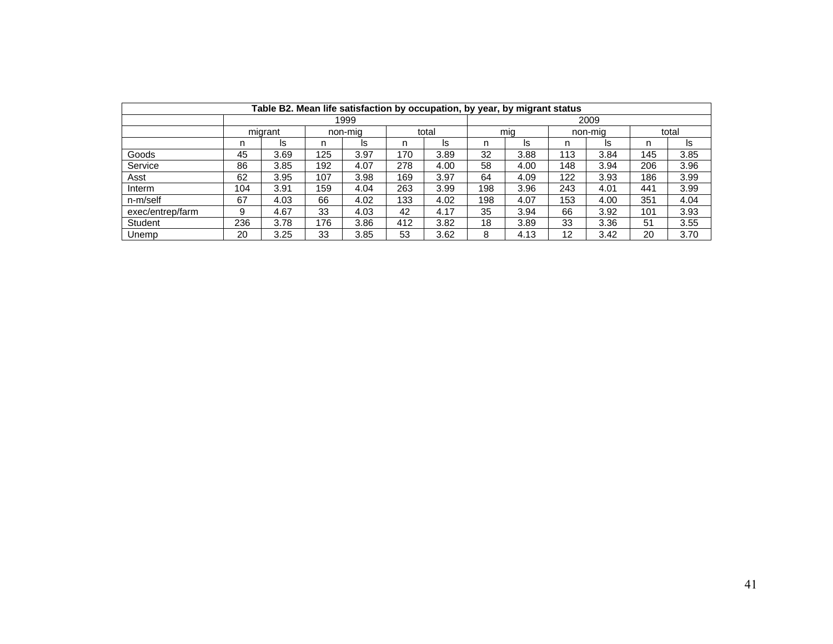|                  |     |              |     | Table B2. Mean life satisfaction by occupation, by year, by migrant status |     |       |     |      |     |         |       |      |
|------------------|-----|--------------|-----|----------------------------------------------------------------------------|-----|-------|-----|------|-----|---------|-------|------|
|                  |     | 2009<br>1999 |     |                                                                            |     |       |     |      |     |         |       |      |
|                  |     | migrant      |     | non-mig                                                                    |     | total |     | mia  |     | non-mia | total |      |
|                  | n   | Is           | n   | Is                                                                         | n   | ls    | n   | ls   | n   | Is      | n     | ls   |
| Goods            | 45  | 3.69         | 125 | 3.97                                                                       | 170 | 3.89  | 32  | 3.88 | 113 | 3.84    | 145   | 3.85 |
| Service          | 86  | 3.85         | 192 | 4.07                                                                       | 278 | 4.00  | 58  | 4.00 | 148 | 3.94    | 206   | 3.96 |
| Asst             | 62  | 3.95         | 107 | 3.98                                                                       | 169 | 3.97  | 64  | 4.09 | 122 | 3.93    | 186   | 3.99 |
| Interm           | 104 | 3.91         | 159 | 4.04                                                                       | 263 | 3.99  | 198 | 3.96 | 243 | 4.01    | 441   | 3.99 |
| n-m/self         | 67  | 4.03         | 66  | 4.02                                                                       | 133 | 4.02  | 198 | 4.07 | 153 | 4.00    | 351   | 4.04 |
| exec/entrep/farm | 9   | 4.67         | 33  | 4.03                                                                       | 42  | 4.17  | 35  | 3.94 | 66  | 3.92    | 101   | 3.93 |
| <b>Student</b>   | 236 | 3.78         | 176 | 3.86                                                                       | 412 | 3.82  | 18  | 3.89 | 33  | 3.36    | 51    | 3.55 |
| Unemp            | 20  | 3.25         | 33  | 3.85                                                                       | 53  | 3.62  | 8   | 4.13 | 12  | 3.42    | 20    | 3.70 |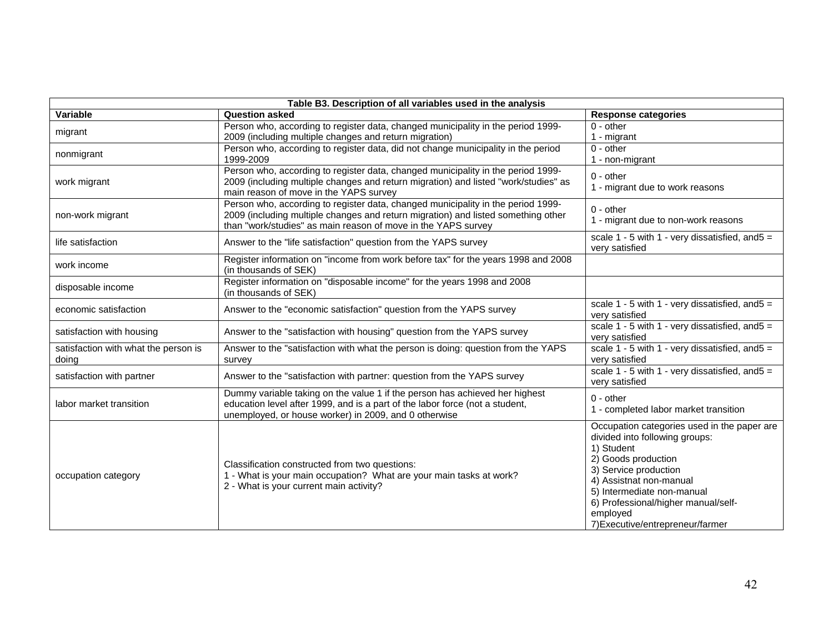| Table B3. Description of all variables used in the analysis |                                                                                                                                                                                                                                        |                                                                                                                                                                                                                                                                                             |  |  |  |  |  |  |  |
|-------------------------------------------------------------|----------------------------------------------------------------------------------------------------------------------------------------------------------------------------------------------------------------------------------------|---------------------------------------------------------------------------------------------------------------------------------------------------------------------------------------------------------------------------------------------------------------------------------------------|--|--|--|--|--|--|--|
| Variable                                                    | <b>Question asked</b>                                                                                                                                                                                                                  | <b>Response categories</b>                                                                                                                                                                                                                                                                  |  |  |  |  |  |  |  |
| migrant                                                     | Person who, according to register data, changed municipality in the period 1999-<br>2009 (including multiple changes and return migration)                                                                                             | $0 - other$<br>1 - migrant                                                                                                                                                                                                                                                                  |  |  |  |  |  |  |  |
| nonmigrant                                                  | Person who, according to register data, did not change municipality in the period<br>1999-2009                                                                                                                                         | $0 - other$<br>1 - non-migrant                                                                                                                                                                                                                                                              |  |  |  |  |  |  |  |
| work migrant                                                | Person who, according to register data, changed municipality in the period 1999-<br>2009 (including multiple changes and return migration) and listed "work/studies" as<br>main reason of move in the YAPS survey                      | $0 - other$<br>1 - migrant due to work reasons                                                                                                                                                                                                                                              |  |  |  |  |  |  |  |
| non-work migrant                                            | Person who, according to register data, changed municipality in the period 1999-<br>2009 (including multiple changes and return migration) and listed something other<br>than "work/studies" as main reason of move in the YAPS survey | $0 - other$<br>1 - migrant due to non-work reasons                                                                                                                                                                                                                                          |  |  |  |  |  |  |  |
| life satisfaction                                           | Answer to the "life satisfaction" question from the YAPS survey                                                                                                                                                                        | scale $1 - 5$ with $1 - \text{very dissatisfied, and} 5 =$<br>very satisfied                                                                                                                                                                                                                |  |  |  |  |  |  |  |
| work income                                                 | Register information on "income from work before tax" for the years 1998 and 2008<br>(in thousands of SEK)                                                                                                                             |                                                                                                                                                                                                                                                                                             |  |  |  |  |  |  |  |
| disposable income                                           | Register information on "disposable income" for the years 1998 and 2008<br>(in thousands of SEK)                                                                                                                                       |                                                                                                                                                                                                                                                                                             |  |  |  |  |  |  |  |
| economic satisfaction                                       | Answer to the "economic satisfaction" question from the YAPS survey                                                                                                                                                                    | scale $1 - 5$ with $1 - \text{very dissatisfied, and} 5 =$<br>very satisfied                                                                                                                                                                                                                |  |  |  |  |  |  |  |
| satisfaction with housing                                   | Answer to the "satisfaction with housing" question from the YAPS survey                                                                                                                                                                | scale $1 - 5$ with $1 - \text{very dissatisfied, and} 5 =$<br>very satisfied                                                                                                                                                                                                                |  |  |  |  |  |  |  |
| satisfaction with what the person is<br>doing               | Answer to the "satisfaction with what the person is doing: question from the YAPS<br>survey                                                                                                                                            | scale $1 - 5$ with $1 - \text{very dissatisfied, and} 5 =$<br>very satisfied                                                                                                                                                                                                                |  |  |  |  |  |  |  |
| satisfaction with partner                                   | Answer to the "satisfaction with partner: question from the YAPS survey                                                                                                                                                                | scale $1 - 5$ with $1 -$ very dissatisfied, and $5 =$<br>very satisfied                                                                                                                                                                                                                     |  |  |  |  |  |  |  |
| labor market transition                                     | Dummy variable taking on the value 1 if the person has achieved her highest<br>education level after 1999, and is a part of the labor force (not a student,<br>unemployed, or house worker) in 2009, and 0 otherwise                   | $0 - other$<br>1 - completed labor market transition                                                                                                                                                                                                                                        |  |  |  |  |  |  |  |
| occupation category                                         | Classification constructed from two questions:<br>1 - What is your main occupation? What are your main tasks at work?<br>2 - What is your current main activity?                                                                       | Occupation categories used in the paper are<br>divided into following groups:<br>1) Student<br>2) Goods production<br>3) Service production<br>4) Assistnat non-manual<br>5) Intermediate non-manual<br>6) Professional/higher manual/self-<br>employed<br>7) Executive/entrepreneur/farmer |  |  |  |  |  |  |  |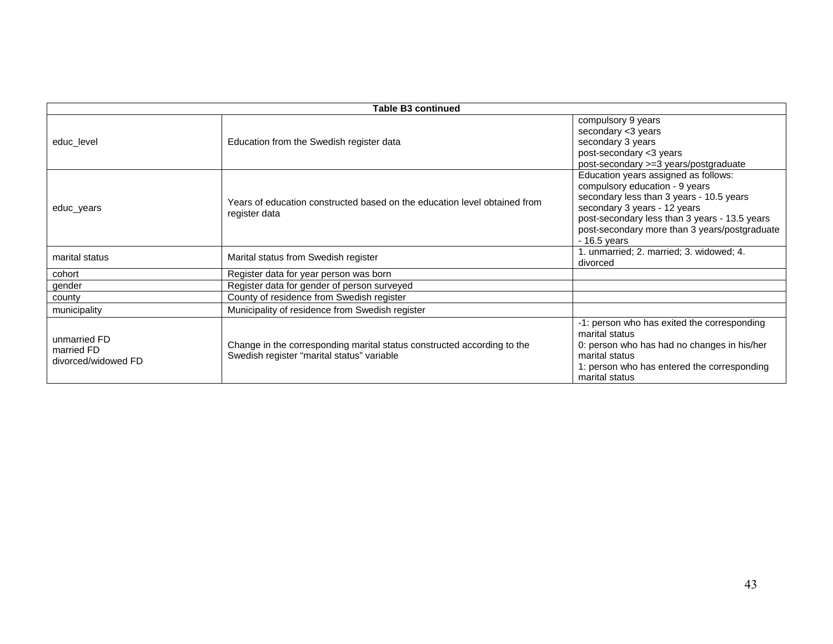|                                                   | <b>Table B3 continued</b>                                                                                             |                                                                                                                                                                                                                                                                       |  |  |  |  |  |  |  |  |
|---------------------------------------------------|-----------------------------------------------------------------------------------------------------------------------|-----------------------------------------------------------------------------------------------------------------------------------------------------------------------------------------------------------------------------------------------------------------------|--|--|--|--|--|--|--|--|
| educ_level                                        | Education from the Swedish register data                                                                              | compulsory 9 years<br>secondary <3 years<br>secondary 3 years<br>post-secondary <3 years<br>post-secondary >=3 years/postgraduate                                                                                                                                     |  |  |  |  |  |  |  |  |
| educ_years                                        | Years of education constructed based on the education level obtained from<br>register data                            | Education years assigned as follows:<br>compulsory education - 9 years<br>secondary less than 3 years - 10.5 years<br>secondary 3 years - 12 years<br>post-secondary less than 3 years - 13.5 years<br>post-secondary more than 3 years/postgraduate<br>$-16.5$ years |  |  |  |  |  |  |  |  |
| marital status                                    | Marital status from Swedish register                                                                                  | 1. unmarried; 2. married; 3. widowed; 4.<br>divorced                                                                                                                                                                                                                  |  |  |  |  |  |  |  |  |
| cohort                                            | Register data for year person was born                                                                                |                                                                                                                                                                                                                                                                       |  |  |  |  |  |  |  |  |
| gender                                            | Register data for gender of person surveyed                                                                           |                                                                                                                                                                                                                                                                       |  |  |  |  |  |  |  |  |
| county                                            | County of residence from Swedish register                                                                             |                                                                                                                                                                                                                                                                       |  |  |  |  |  |  |  |  |
| municipality                                      | Municipality of residence from Swedish register                                                                       |                                                                                                                                                                                                                                                                       |  |  |  |  |  |  |  |  |
| unmarried FD<br>married FD<br>divorced/widowed FD | Change in the corresponding marital status constructed according to the<br>Swedish register "marital status" variable | -1: person who has exited the corresponding<br>marital status<br>0: person who has had no changes in his/her<br>marital status<br>1: person who has entered the corresponding<br>marital status                                                                       |  |  |  |  |  |  |  |  |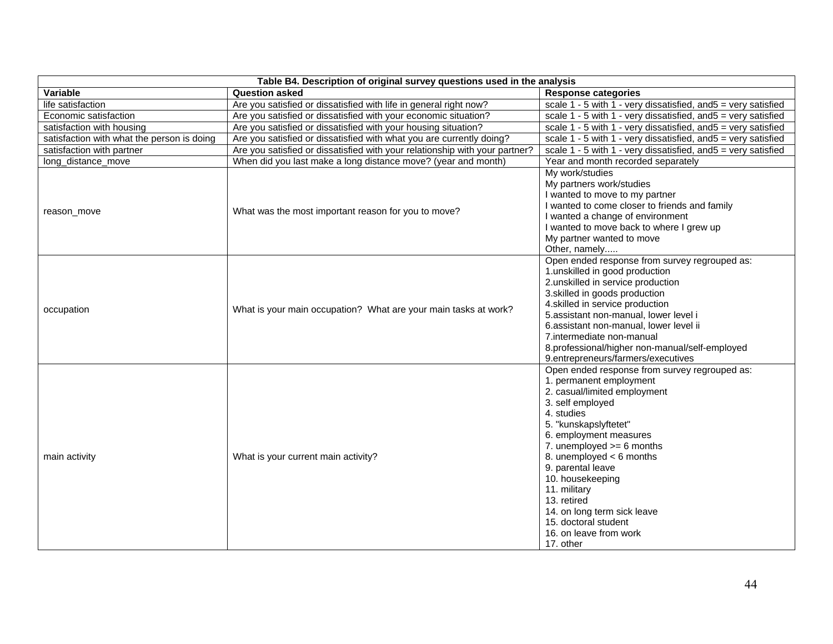| Table B4. Description of original survey questions used in the analysis |                                                                             |                                                                                      |  |  |  |  |  |  |  |
|-------------------------------------------------------------------------|-----------------------------------------------------------------------------|--------------------------------------------------------------------------------------|--|--|--|--|--|--|--|
| Variable                                                                | <b>Question asked</b>                                                       | <b>Response categories</b>                                                           |  |  |  |  |  |  |  |
| life satisfaction                                                       | Are you satisfied or dissatisfied with life in general right now?           | scale $1 - 5$ with $1 -$ very dissatisfied, and $5 =$ very satisfied                 |  |  |  |  |  |  |  |
| Economic satisfaction                                                   | Are you satisfied or dissatisfied with your economic situation?             | scale $1 - 5$ with $1 - \text{very dissatisfied}$ , and $5 = \text{very satisfied}$  |  |  |  |  |  |  |  |
| satisfaction with housing                                               | Are you satisfied or dissatisfied with your housing situation?              | scale $1 - 5$ with $1 -$ very dissatisfied, and $5 =$ very satisfied                 |  |  |  |  |  |  |  |
| satisfaction with what the person is doing                              | Are you satisfied or dissatisfied with what you are currently doing?        | scale $1 - 5$ with $1 - \text{very dissatisfied}$ , and $5 = \text{very satisfied}$  |  |  |  |  |  |  |  |
| satisfaction with partner                                               | Are you satisfied or dissatisfied with your relationship with your partner? | scale 1 - 5 with 1 - very dissatisfied, and 5 = very satisfied                       |  |  |  |  |  |  |  |
| long_distance_move                                                      | When did you last make a long distance move? (year and month)               | Year and month recorded separately                                                   |  |  |  |  |  |  |  |
|                                                                         |                                                                             | My work/studies                                                                      |  |  |  |  |  |  |  |
|                                                                         |                                                                             | My partners work/studies                                                             |  |  |  |  |  |  |  |
|                                                                         |                                                                             | I wanted to move to my partner                                                       |  |  |  |  |  |  |  |
| reason move                                                             | What was the most important reason for you to move?                         | I wanted to come closer to friends and family                                        |  |  |  |  |  |  |  |
|                                                                         |                                                                             | I wanted a change of environment                                                     |  |  |  |  |  |  |  |
|                                                                         |                                                                             | I wanted to move back to where I grew up                                             |  |  |  |  |  |  |  |
|                                                                         |                                                                             | My partner wanted to move                                                            |  |  |  |  |  |  |  |
|                                                                         |                                                                             | Other, namely                                                                        |  |  |  |  |  |  |  |
|                                                                         |                                                                             | Open ended response from survey regrouped as:                                        |  |  |  |  |  |  |  |
|                                                                         |                                                                             | 1.unskilled in good production                                                       |  |  |  |  |  |  |  |
|                                                                         |                                                                             | 2.unskilled in service production                                                    |  |  |  |  |  |  |  |
|                                                                         |                                                                             | 3. skilled in goods production                                                       |  |  |  |  |  |  |  |
| occupation                                                              | What is your main occupation? What are your main tasks at work?             | 4.skilled in service production                                                      |  |  |  |  |  |  |  |
|                                                                         |                                                                             | 5.assistant non-manual, lower level i                                                |  |  |  |  |  |  |  |
|                                                                         |                                                                             | 6.assistant non-manual, lower level ii                                               |  |  |  |  |  |  |  |
|                                                                         |                                                                             | 7.intermediate non-manual                                                            |  |  |  |  |  |  |  |
|                                                                         |                                                                             | 8.professional/higher non-manual/self-employed<br>9.entrepreneurs/farmers/executives |  |  |  |  |  |  |  |
|                                                                         |                                                                             | Open ended response from survey regrouped as:                                        |  |  |  |  |  |  |  |
|                                                                         |                                                                             | 1. permanent employment                                                              |  |  |  |  |  |  |  |
|                                                                         |                                                                             | 2. casual/limited employment                                                         |  |  |  |  |  |  |  |
|                                                                         |                                                                             | 3. self employed                                                                     |  |  |  |  |  |  |  |
|                                                                         |                                                                             | 4. studies                                                                           |  |  |  |  |  |  |  |
|                                                                         |                                                                             | 5. "kunskapslyftetet"                                                                |  |  |  |  |  |  |  |
|                                                                         |                                                                             | 6. employment measures                                                               |  |  |  |  |  |  |  |
|                                                                         |                                                                             | 7. unemployed $>= 6$ months                                                          |  |  |  |  |  |  |  |
| main activity                                                           | What is your current main activity?                                         | 8. unemployed $<$ 6 months                                                           |  |  |  |  |  |  |  |
|                                                                         |                                                                             | 9. parental leave                                                                    |  |  |  |  |  |  |  |
|                                                                         |                                                                             | 10. housekeeping                                                                     |  |  |  |  |  |  |  |
|                                                                         |                                                                             | 11. military                                                                         |  |  |  |  |  |  |  |
|                                                                         |                                                                             | 13. retired                                                                          |  |  |  |  |  |  |  |
|                                                                         |                                                                             | 14. on long term sick leave                                                          |  |  |  |  |  |  |  |
|                                                                         |                                                                             | 15. doctoral student                                                                 |  |  |  |  |  |  |  |
|                                                                         |                                                                             | 16, on leave from work                                                               |  |  |  |  |  |  |  |
|                                                                         |                                                                             | 17. other                                                                            |  |  |  |  |  |  |  |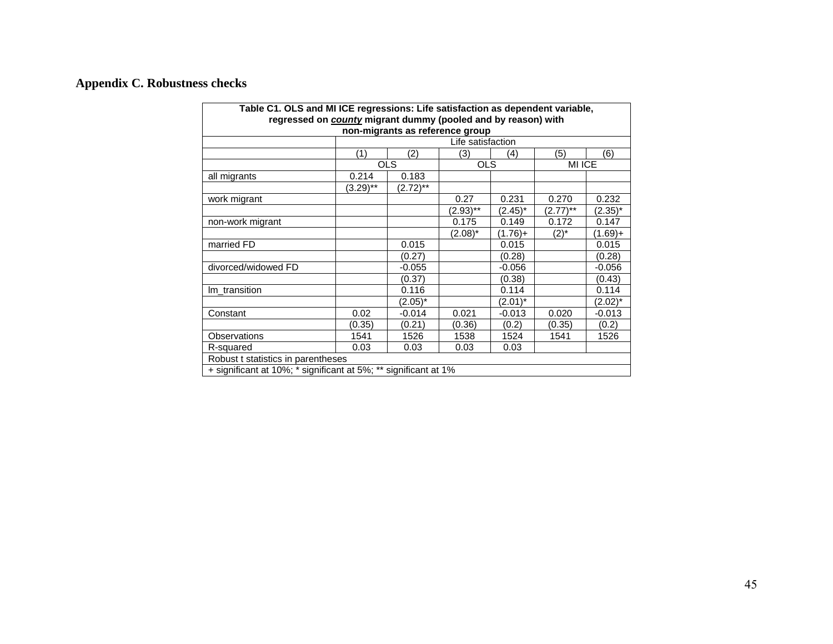# **Appendix C. Robustness checks**

| Table C1. OLS and MI ICE regressions: Life satisfaction as dependent variable, |                                 |                                           |             |            |             |            |  |  |  |  |  |  |
|--------------------------------------------------------------------------------|---------------------------------|-------------------------------------------|-------------|------------|-------------|------------|--|--|--|--|--|--|
| regressed on <b>county</b> migrant dummy (pooled and by reason) with           |                                 |                                           |             |            |             |            |  |  |  |  |  |  |
| non-migrants as reference group                                                |                                 |                                           |             |            |             |            |  |  |  |  |  |  |
|                                                                                | Life satisfaction<br>(6)        |                                           |             |            |             |            |  |  |  |  |  |  |
|                                                                                | (2)<br>(5)<br>(1)<br>(3)<br>(4) |                                           |             |            |             |            |  |  |  |  |  |  |
|                                                                                |                                 | <b>OLS</b><br><b>MI ICE</b><br><b>OLS</b> |             |            |             |            |  |  |  |  |  |  |
| all migrants                                                                   | 0.214                           | 0.183                                     |             |            |             |            |  |  |  |  |  |  |
|                                                                                | $(3.29)$ **                     | $(2.72)$ **                               |             |            |             |            |  |  |  |  |  |  |
| work migrant                                                                   |                                 |                                           | 0.27        | 0.231      | 0.270       | 0.232      |  |  |  |  |  |  |
|                                                                                |                                 |                                           | $(2.93)$ ** | $(2.45)^*$ | $(2.77)$ ** | $(2.35)^*$ |  |  |  |  |  |  |
| non-work migrant                                                               |                                 |                                           | 0.175       | 0.149      | 0.172       | 0.147      |  |  |  |  |  |  |
|                                                                                |                                 |                                           | $(2.08)^*$  | $(1.76)+$  | $(2)^{*}$   | (1.69)+    |  |  |  |  |  |  |
| married FD                                                                     |                                 | 0.015                                     |             | 0.015      |             | 0.015      |  |  |  |  |  |  |
|                                                                                |                                 | (0.27)                                    |             | (0.28)     |             | (0.28)     |  |  |  |  |  |  |
| divorced/widowed FD                                                            |                                 | $-0.055$                                  |             | $-0.056$   |             | $-0.056$   |  |  |  |  |  |  |
|                                                                                |                                 | (0.37)                                    |             | (0.38)     |             | (0.43)     |  |  |  |  |  |  |
| Im transition                                                                  |                                 | 0.116                                     |             | 0.114      |             | 0.114      |  |  |  |  |  |  |
|                                                                                |                                 | $(2.05)^*$                                |             | $(2.01)^*$ |             | $(2.02)^*$ |  |  |  |  |  |  |
| Constant                                                                       | 0.02                            | $-0.014$                                  | 0.021       | -0.013     | 0.020       | $-0.013$   |  |  |  |  |  |  |
|                                                                                | (0.35)                          | (0.21)                                    | (0.36)      | (0.2)      | (0.35)      | (0.2)      |  |  |  |  |  |  |
| Observations                                                                   | 1541                            | 1526                                      | 1538        | 1524       | 1541        | 1526       |  |  |  |  |  |  |
| R-squared                                                                      | 0.03                            | 0.03                                      | 0.03        | 0.03       |             |            |  |  |  |  |  |  |
| Robust t statistics in parentheses                                             |                                 |                                           |             |            |             |            |  |  |  |  |  |  |
| + significant at 10%; * significant at 5%; ** significant at 1%                |                                 |                                           |             |            |             |            |  |  |  |  |  |  |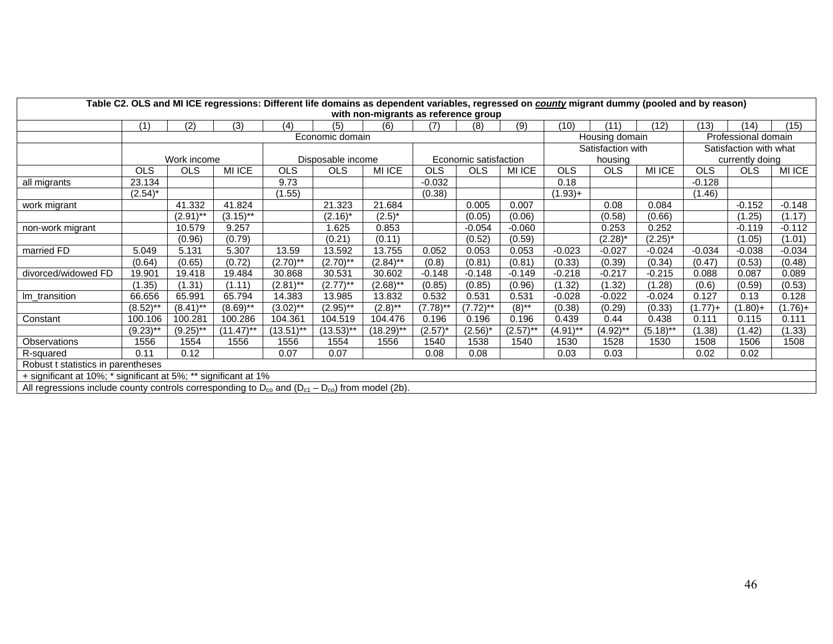| Table C2. OLS and MI ICE regressions: Different life domains as dependent variables, regressed on county migrant dummy (pooled and by reason)<br>with non-migrants as reference group |                 |             |              |                   |              |              |                       |                   |                     |             |                |             |                        |            |               |
|---------------------------------------------------------------------------------------------------------------------------------------------------------------------------------------|-----------------|-------------|--------------|-------------------|--------------|--------------|-----------------------|-------------------|---------------------|-------------|----------------|-------------|------------------------|------------|---------------|
|                                                                                                                                                                                       | (1)             | (2)         | (3)          | (4)               | (5)          | (6)          | (7)                   | (8)               | (9)                 | (10)        | (11)           | (12)        | (13)                   | (14)       | (15)          |
|                                                                                                                                                                                       | Economic domain |             |              |                   |              |              |                       |                   |                     |             | Housing domain |             | Professional domain    |            |               |
|                                                                                                                                                                                       |                 |             |              |                   |              |              |                       | Satisfaction with |                     |             |                |             | Satisfaction with what |            |               |
|                                                                                                                                                                                       |                 | Work income |              | Disposable income |              |              | Economic satisfaction |                   |                     | housing     |                |             | currently doing        |            |               |
|                                                                                                                                                                                       | <b>OLS</b>      | <b>OLS</b>  | MI ICE       | <b>OLS</b>        | <b>OLS</b>   | MI ICE       | <b>OLS</b>            | <b>OLS</b>        | MI ICE              | <b>OLS</b>  | OLS            | MI ICE      | <b>OLS</b>             | <b>OLS</b> | <b>MI ICE</b> |
| all migrants                                                                                                                                                                          | 23.134          |             |              | 9.73              |              |              | $-0.032$              |                   |                     | 0.18        |                |             | $-0.128$               |            |               |
|                                                                                                                                                                                       | $(2.54)^*$      |             |              | (1.55)            |              |              | (0.38)                |                   |                     | $(1.93) +$  |                |             | (1.46)                 |            |               |
| work migrant                                                                                                                                                                          |                 | 41.332      | 41.824       |                   | 21.323       | 21.684       |                       | 0.005             | 0.007               |             | 0.08           | 0.084       |                        | $-0.152$   | $-0.148$      |
|                                                                                                                                                                                       |                 | $(2.91)$ ** | $(3.15)$ **  |                   | $(2.16)^*$   | $(2.5)^*$    |                       | (0.05)            | (0.06)              |             | (0.58)         | (0.66)      |                        | (1.25)     | (1.17)        |
| non-work migrant                                                                                                                                                                      |                 | 10.579      | 9.257        |                   | 1.625        | 0.853        |                       | $-0.054$          | $-0.060$            |             | 0.253          | 0.252       |                        | $-0.119$   | $-0.112$      |
|                                                                                                                                                                                       |                 | (0.96)      | (0.79)       |                   | (0.21)       | (0.11)       |                       | (0.52)            | (0.59)              |             | $(2.28)^*$     | $(2.25)^*$  |                        | (1.05)     | (1.01)        |
| married FD                                                                                                                                                                            | 5.049           | 5.131       | 5.307        | 13.59             | 13.592       | 13.755       | 0.052                 | 0.053             | 0.053               | $-0.023$    | $-0.027$       | $-0.024$    | $-0.034$               | $-0.038$   | $-0.034$      |
|                                                                                                                                                                                       | (0.64)          | (0.65)      | (0.72)       | $(2.70)$ **       | $(2.70)$ **  | $(2.84)$ **  | (0.8)                 | (0.81)            | (0.81)              | (0.33)      | (0.39)         | (0.34)      | (0.47)                 | (0.53)     | (0.48)        |
| divorced/widowed FD                                                                                                                                                                   | 19.901          | 19.418      | 19.484       | 30.868            | 30.531       | 30.602       | $-0.148$              | $-0.148$          | $-0.149$            | $-0.218$    | $-0.217$       | $-0.215$    | 0.088                  | 0.087      | 0.089         |
|                                                                                                                                                                                       | (1.35)          | (1.31)      | (1.11)       | $(2.81)$ **       | $(2.77)$ **  | $(2.68)$ **  | (0.85)                | (0.85)            | (0.96)              | (1.32)      | (1.32)         | (1.28)      | (0.6)                  | (0.59)     | (0.53)        |
| Im transition                                                                                                                                                                         | 66.656          | 65.991      | 65.794       | 14.383            | 13.985       | 13.832       | 0.532                 | 0.531             | 0.531               | $-0.028$    | $-0.022$       | $-0.024$    | 0.127                  | 0.13       | 0.128         |
|                                                                                                                                                                                       | $(8.52)$ **     | $(8.41)$ ** | $(8.69)$ **  | $(3.02)$ **       | $(2.95)$ **  | $(2.8)$ **   | $(7.78)$ **           | $(7.72)$ **       | $(8)$ <sup>**</sup> | (0.38)      | (0.29)         | (0.33)      | $(1.77) +$             | $(1.80)+$  | $(1.76)+$     |
| Constant                                                                                                                                                                              | 100.106         | 100.281     | 100.286      | 104.361           | 104.519      | 104.476      | 0.196                 | 0.196             | 0.196               | 0.439       | 0.44           | 0.438       | 0.111                  | 0.115      | 0.111         |
|                                                                                                                                                                                       | $(9.23)$ **     | $(9.25)$ ** | $(11.47)$ ** | $(13.51)$ **      | $(13.53)$ ** | $(18.29)$ ** | $(2.57)^*$            | $(2.56)^*$        | $(2.57)$ **         | $(4.91)$ ** | $(4.92)$ **    | $(5.18)$ ** | (1.38)                 | (1.42)     | (1.33)        |
| Observations                                                                                                                                                                          | 1556            | 1554        | 1556         | 1556              | 1554         | 1556         | 1540                  | 1538              | 1540                | 1530        | 1528           | 1530        | 1508                   | 1506       | 1508          |
| R-squared                                                                                                                                                                             | 0.11            | 0.12        |              | 0.07              | 0.07         |              | 0.08                  | 0.08              |                     | 0.03        | 0.03           |             | 0.02                   | 0.02       |               |
| Robust t statistics in parentheses                                                                                                                                                    |                 |             |              |                   |              |              |                       |                   |                     |             |                |             |                        |            |               |
| + significant at 10%; * significant at 5%; ** significant at 1%                                                                                                                       |                 |             |              |                   |              |              |                       |                   |                     |             |                |             |                        |            |               |
| All regressions include county controls corresponding to $D_{\rm co}$ and $(D_{\rm c1} - D_{\rm co})$ from model (2b).                                                                |                 |             |              |                   |              |              |                       |                   |                     |             |                |             |                        |            |               |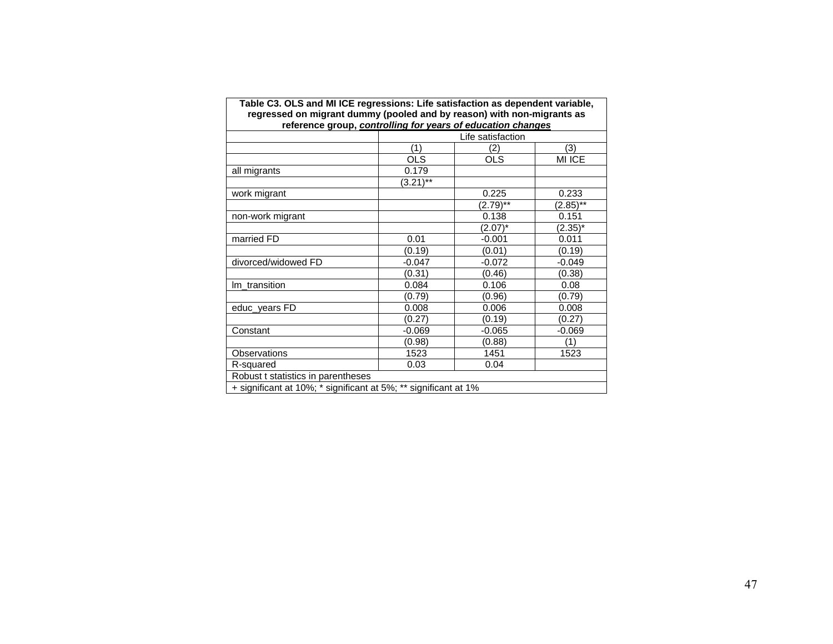| Table C3. OLS and MI ICE regressions: Life satisfaction as dependent variable,<br>regressed on migrant dummy (pooled and by reason) with non-migrants as |             |                   |             |  |  |  |  |  |  |  |
|----------------------------------------------------------------------------------------------------------------------------------------------------------|-------------|-------------------|-------------|--|--|--|--|--|--|--|
| reference group, controlling for years of education changes                                                                                              |             |                   |             |  |  |  |  |  |  |  |
|                                                                                                                                                          |             | Life satisfaction |             |  |  |  |  |  |  |  |
|                                                                                                                                                          | (1)         | (2)               | (3)         |  |  |  |  |  |  |  |
|                                                                                                                                                          | <b>OLS</b>  | <b>OLS</b>        | MI ICE      |  |  |  |  |  |  |  |
| all migrants                                                                                                                                             | 0.179       |                   |             |  |  |  |  |  |  |  |
|                                                                                                                                                          | $(3.21)$ ** |                   |             |  |  |  |  |  |  |  |
| work migrant                                                                                                                                             |             | 0.225             | 0.233       |  |  |  |  |  |  |  |
|                                                                                                                                                          |             | $(2.79)$ **       | $(2.85)$ ** |  |  |  |  |  |  |  |
| non-work migrant                                                                                                                                         |             | 0.138             | 0.151       |  |  |  |  |  |  |  |
|                                                                                                                                                          |             | $(2.07)^*$        | $(2.35)^*$  |  |  |  |  |  |  |  |
| married FD                                                                                                                                               | 0.01        | $-0.001$          | 0.011       |  |  |  |  |  |  |  |
|                                                                                                                                                          | (0.19)      | (0.01)            | (0.19)      |  |  |  |  |  |  |  |
| divorced/widowed FD                                                                                                                                      | $-0.047$    | $-0.072$          | $-0.049$    |  |  |  |  |  |  |  |
|                                                                                                                                                          | (0.31)      | (0.46)            | (0.38)      |  |  |  |  |  |  |  |
| Im_transition                                                                                                                                            | 0.084       | 0.106             | 0.08        |  |  |  |  |  |  |  |
|                                                                                                                                                          | (0.79)      | (0.96)            | (0.79)      |  |  |  |  |  |  |  |
| educ_years FD                                                                                                                                            | 0.008       | 0.006             | 0.008       |  |  |  |  |  |  |  |
|                                                                                                                                                          | (0.27)      | (0.19)            | (0.27)      |  |  |  |  |  |  |  |
| Constant                                                                                                                                                 | $-0.069$    | $-0.065$          | $-0.069$    |  |  |  |  |  |  |  |
|                                                                                                                                                          | (0.98)      | (0.88)            | (1)         |  |  |  |  |  |  |  |
| Observations                                                                                                                                             | 1523        | 1451              | 1523        |  |  |  |  |  |  |  |
| R-squared                                                                                                                                                | 0.03        | 0.04              |             |  |  |  |  |  |  |  |
| Robust t statistics in parentheses                                                                                                                       |             |                   |             |  |  |  |  |  |  |  |
| + significant at 10%; * significant at 5%; ** significant at 1%                                                                                          |             |                   |             |  |  |  |  |  |  |  |